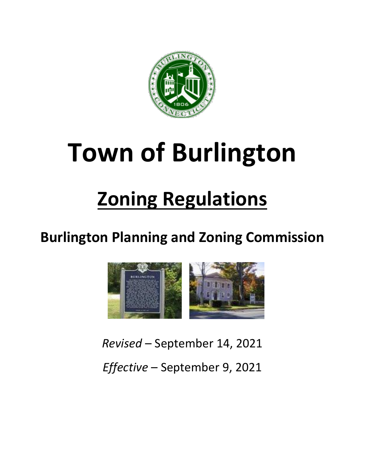

# **Town of Burlington**

# **Zoning Regulations**

# **Burlington Planning and Zoning Commission**



*Revised* – September 14, 2021 *Effective* – September 9, 2021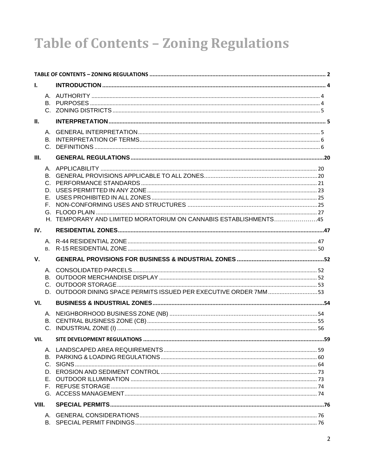# **Table of Contents - Zoning Regulations**

| L.          |                                                                   |  |
|-------------|-------------------------------------------------------------------|--|
|             |                                                                   |  |
| Ш.          |                                                                   |  |
|             |                                                                   |  |
| III.        |                                                                   |  |
|             | H. TEMPORARY AND LIMITED MORATORIUM ON CANNABIS ESTABLISHMENTS45  |  |
| IV.         |                                                                   |  |
|             |                                                                   |  |
| $V_{\cdot}$ |                                                                   |  |
|             | D. OUTDOOR DINING SPACE PERMITS ISSUED PER EXECUTIVE ORDER 7MM 53 |  |
| VI.         |                                                                   |  |
|             |                                                                   |  |
| VII.        |                                                                   |  |
|             |                                                                   |  |
| VIII.       |                                                                   |  |
|             |                                                                   |  |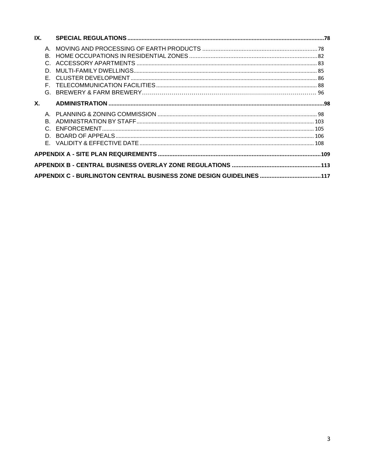| IX.       |          |                                                                     |  |
|-----------|----------|---------------------------------------------------------------------|--|
|           | D.<br>E. |                                                                     |  |
| <b>X.</b> |          |                                                                     |  |
|           | R.       |                                                                     |  |
|           |          |                                                                     |  |
|           |          |                                                                     |  |
|           |          | APPENDIX C - BURLINGTON CENTRAL BUSINESS ZONE DESIGN GUIDELINES 117 |  |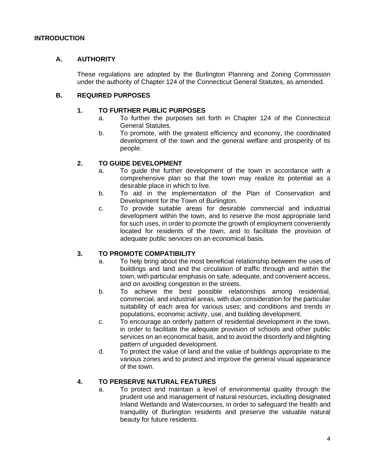# **INTRODUCTION**

# **A. AUTHORITY**

These regulations are adopted by the Burlington Planning and Zoning Commission under the authority of Chapter 124 of the Connecticut General Statutes, as amended.

# **B. REQUIRED PURPOSES**

# **1. TO FURTHER PUBLIC PURPOSES**

- a. To further the purposes set forth in Chapter 124 of the Connecticut General Statutes.
- b. To promote, with the greatest efficiency and economy, the coordinated development of the town and the general welfare and prosperity of its people.

# **2. TO GUIDE DEVELOPMENT**

- a. To guide the further development of the town in accordance with a comprehensive plan so that the town may realize its potential as a desirable place in which to live.
- b. To aid in the implementation of the Plan of Conservation and Development for the Town of Burlington.
- c. To provide suitable areas for desirable commercial and industrial development within the town, and to reserve the most appropriate land for such uses, in order to promote the growth of employment conveniently located for residents of the town, and to facilitate the provision of adequate public services on an economical basis.

# **3. TO PROMOTE COMPATIBILITY**

- a. To help bring about the most beneficial relationship between the uses of buildings and land and the circulation of traffic through and within the town, with particular emphasis on safe, adequate, and convenient access, and on avoiding congestion in the streets.
- b. To achieve the best possible relationships among residential, commercial, and industrial areas, with due consideration for the particular suitability of each area for various uses; and conditions and trends in populations, economic activity, use, and building development.
- c. To encourage an orderly pattern of residential development in the town, in order to facilitate the adequate provision of schools and other public services on an economical basis, and to avoid the disorderly and blighting pattern of unguided development.
- d. To protect the value of land and the value of buildings appropriate to the various zones and to protect and improve the general visual appearance of the town.

# **4. TO PERSERVE NATURAL FEATURES**

a. To protect and maintain a level of environmental quality through the prudent use and management of natural resources, including designated Inland Wetlands and Watercourses, in order to safeguard the health and tranquility of Burlington residents and preserve the valuable natural beauty for future residents.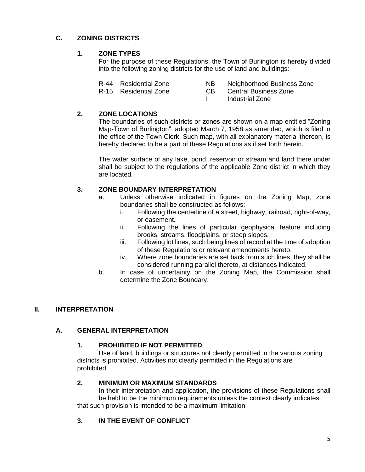# **C. ZONING DISTRICTS**

# **1. ZONE TYPES**

For the purpose of these Regulations, the Town of Burlington is hereby divided into the following zoning districts for the use of land and buildings:

- R-44 Residential Zone NB Neighborhood Business Zone
- R-15 Residential Zone CB Central Business Zone
	- I Industrial Zone

# **2. ZONE LOCATIONS**

The boundaries of such districts or zones are shown on a map entitled "Zoning Map-Town of Burlington", adopted March 7, 1958 as amended, which is filed in the office of the Town Clerk. Such map, with all explanatory material thereon, is hereby declared to be a part of these Regulations as if set forth herein.

The water surface of any lake, pond, reservoir or stream and land there under shall be subject to the regulations of the applicable Zone district in which they are located.

# **3. ZONE BOUNDARY INTERPRETATION**

- a. Unless otherwise indicated in figures on the Zoning Map, zone boundaries shall be constructed as follows:
	- i. Following the centerline of a street, highway, railroad, right-of-way, or easement.
	- ii. Following the lines of particular geophysical feature including brooks, streams, floodplains, or steep slopes.
	- iii. Following lot lines, such being lines of record at the time of adoption of these Regulations or relevant amendments hereto.
	- iv. Where zone boundaries are set back from such lines, they shall be considered running parallel thereto, at distances indicated.
- b. In case of uncertainty on the Zoning Map, the Commission shall determine the Zone Boundary.

# **II. INTERPRETATION**

# **A. GENERAL INTERPRETATION**

# **1. PROHIBITED IF NOT PERMITTED**

Use of land, buildings or structures not clearly permitted in the various zoning districts is prohibited. Activities not clearly permitted in the Regulations are prohibited.

# **2. MINIMUM OR MAXIMUM STANDARDS**

In their interpretation and application, the provisions of these Regulations shall be held to be the minimum requirements unless the context clearly indicates that such provision is intended to be a maximum limitation.

# **3. IN THE EVENT OF CONFLICT**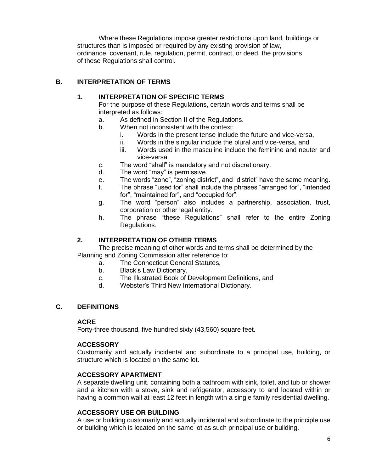Where these Regulations impose greater restrictions upon land, buildings or structures than is imposed or required by any existing provision of law, ordinance, covenant, rule, regulation, permit, contract, or deed, the provisions of these Regulations shall control.

# **B. INTERPRETATION OF TERMS**

# **1. INTERPRETATION OF SPECIFIC TERMS**

For the purpose of these Regulations, certain words and terms shall be interpreted as follows:

- a. As defined in Section II of the Regulations.
- b. When not inconsistent with the context:
	- i. Words in the present tense include the future and vice-versa,
	- ii. Words in the singular include the plural and vice-versa, and
	- iii. Words used in the masculine include the feminine and neuter and vice-versa.
- c. The word "shall" is mandatory and not discretionary.
- d. The word "may" is permissive.
- e. The words "zone", "zoning district", and "district" have the same meaning.
- f. The phrase "used for" shall include the phrases "arranged for", "intended for", "maintained for", and "occupied for".
- g. The word "person" also includes a partnership, association, trust, corporation or other legal entity.
- h. The phrase "these Regulations" shall refer to the entire Zoning Regulations.

# **2. INTERPRETATION OF OTHER TERMS**

The precise meaning of other words and terms shall be determined by the Planning and Zoning Commission after reference to:

a. The Connecticut General Statutes,

- b. Black's Law Dictionary,
- c. The Illustrated Book of Development Definitions, and
- d. Webster's Third New International Dictionary.

# **C. DEFINITIONS**

#### **ACRE**

Forty-three thousand, five hundred sixty (43,560) square feet.

#### **ACCESSORY**

Customarily and actually incidental and subordinate to a principal use, building, or structure which is located on the same lot.

#### **ACCESSORY APARTMENT**

A separate dwelling unit, containing both a bathroom with sink, toilet, and tub or shower and a kitchen with a stove, sink and refrigerator, accessory to and located within or having a common wall at least 12 feet in length with a single family residential dwelling.

# **ACCESSORY USE OR BUILDING**

A use or building customarily and actually incidental and subordinate to the principle use or building which is located on the same lot as such principal use or building.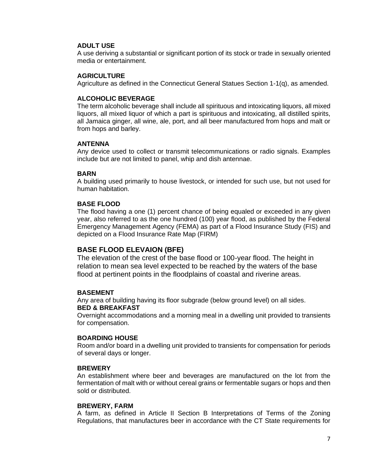# **ADULT USE**

A use deriving a substantial or significant portion of its stock or trade in sexually oriented media or entertainment.

### **AGRICULTURE**

Agriculture as defined in the Connecticut General Statues Section 1-1(q), as amended.

#### **ALCOHOLIC BEVERAGE**

The term alcoholic beverage shall include all spirituous and intoxicating liquors, all mixed liquors, all mixed liquor of which a part is spirituous and intoxicating, all distilled spirits, all Jamaica ginger, all wine, ale, port, and all beer manufactured from hops and malt or from hops and barley.

#### **ANTENNA**

Any device used to collect or transmit telecommunications or radio signals. Examples include but are not limited to panel, whip and dish antennae.

#### **BARN**

A building used primarily to house livestock, or intended for such use, but not used for human habitation.

#### **BASE FLOOD**

The flood having a one (1) percent chance of being equaled or exceeded in any given year, also referred to as the one hundred (100) year flood, as published by the Federal Emergency Management Agency (FEMA) as part of a Flood Insurance Study (FIS) and depicted on a Flood Insurance Rate Map (FIRM)

# **BASE FLOOD ELEVAION (BFE)**

The elevation of the crest of the base flood or 100-year flood. The height in relation to mean sea level expected to be reached by the waters of the base flood at pertinent points in the floodplains of coastal and riverine areas.

# **BASEMENT**

Any area of building having its floor subgrade (below ground level) on all sides. **BED & BREAKFAST**

Overnight accommodations and a morning meal in a dwelling unit provided to transients for compensation.

#### **BOARDING HOUSE**

Room and/or board in a dwelling unit provided to transients for compensation for periods of several days or longer.

#### **BREWERY**

An establishment where beer and beverages are manufactured on the lot from the fermentation of malt with or without cereal grains or fermentable sugars or hops and then sold or distributed.

#### **BREWERY, FARM**

A farm, as defined in Article II Section B Interpretations of Terms of the Zoning Regulations, that manufactures beer in accordance with the CT State requirements for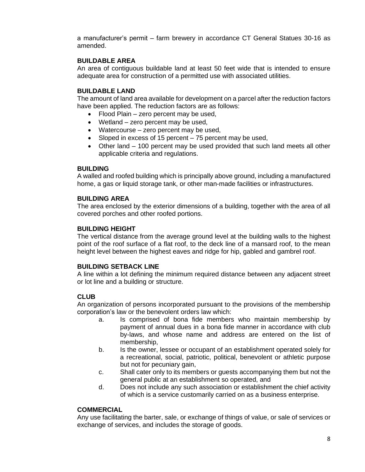a manufacturer's permit – farm brewery in accordance CT General Statues 30-16 as amended.

# **BUILDABLE AREA**

An area of contiguous buildable land at least 50 feet wide that is intended to ensure adequate area for construction of a permitted use with associated utilities.

# **BUILDABLE LAND**

The amount of land area available for development on a parcel after the reduction factors have been applied. The reduction factors are as follows:

- Flood Plain zero percent may be used,
- Wetland zero percent may be used,
- Watercourse zero percent may be used,
- Sloped in excess of 15 percent 75 percent may be used,
- Other land 100 percent may be used provided that such land meets all other applicable criteria and regulations.

# **BUILDING**

A walled and roofed building which is principally above ground, including a manufactured home, a gas or liquid storage tank, or other man-made facilities or infrastructures.

# **BUILDING AREA**

The area enclosed by the exterior dimensions of a building, together with the area of all covered porches and other roofed portions.

# **BUILDING HEIGHT**

The vertical distance from the average ground level at the building walls to the highest point of the roof surface of a flat roof, to the deck line of a mansard roof, to the mean height level between the highest eaves and ridge for hip, gabled and gambrel roof.

# **BUILDING SETBACK LINE**

A line within a lot defining the minimum required distance between any adjacent street or lot line and a building or structure.

# **CLUB**

An organization of persons incorporated pursuant to the provisions of the membership corporation's law or the benevolent orders law which:

- a. Is comprised of bona fide members who maintain membership by payment of annual dues in a bona fide manner in accordance with club by-laws, and whose name and address are entered on the list of membership,
- b. Is the owner, lessee or occupant of an establishment operated solely for a recreational, social, patriotic, political, benevolent or athletic purpose but not for pecuniary gain,
- c. Shall cater only to its members or guests accompanying them but not the general public at an establishment so operated, and
- d. Does not include any such association or establishment the chief activity of which is a service customarily carried on as a business enterprise.

# **COMMERCIAL**

Any use facilitating the barter, sale, or exchange of things of value, or sale of services or exchange of services, and includes the storage of goods.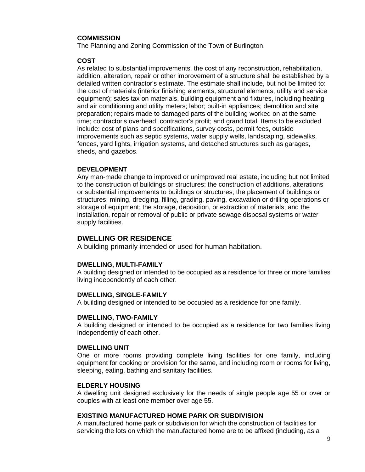#### **COMMISSION**

The Planning and Zoning Commission of the Town of Burlington.

#### **COST**

As related to substantial improvements, the cost of any reconstruction, rehabilitation, addition, alteration, repair or other improvement of a structure shall be established by a detailed written contractor's estimate. The estimate shall include, but not be limited to: the cost of materials (interior finishing elements, structural elements, utility and service equipment); sales tax on materials, building equipment and fixtures, including heating and air conditioning and utility meters; labor; built-in appliances; demolition and site preparation; repairs made to damaged parts of the building worked on at the same time; contractor's overhead; contractor's profit; and grand total. Items to be excluded include: cost of plans and specifications, survey costs, permit fees, outside improvements such as septic systems, water supply wells, landscaping, sidewalks, fences, yard lights, irrigation systems, and detached structures such as garages, sheds, and gazebos.

#### **DEVELOPMENT**

Any man-made change to improved or unimproved real estate, including but not limited to the construction of buildings or structures; the construction of additions, alterations or substantial improvements to buildings or structures; the placement of buildings or structures; mining, dredging, filling, grading, paving, excavation or drilling operations or storage of equipment; the storage, deposition, or extraction of materials; and the installation, repair or removal of public or private sewage disposal systems or water supply facilities.

# **DWELLING OR RESIDENCE**

A building primarily intended or used for human habitation.

#### **DWELLING, MULTI-FAMILY**

A building designed or intended to be occupied as a residence for three or more families living independently of each other.

#### **DWELLING, SINGLE-FAMILY**

A building designed or intended to be occupied as a residence for one family.

#### **DWELLING, TWO-FAMILY**

A building designed or intended to be occupied as a residence for two families living independently of each other.

#### **DWELLING UNIT**

One or more rooms providing complete living facilities for one family, including equipment for cooking or provision for the same, and including room or rooms for living, sleeping, eating, bathing and sanitary facilities.

#### **ELDERLY HOUSING**

A dwelling unit designed exclusively for the needs of single people age 55 or over or couples with at least one member over age 55.

#### **EXISTING MANUFACTURED HOME PARK OR SUBDIVISION**

A manufactured home park or subdivision for which the construction of facilities for servicing the lots on which the manufactured home are to be affixed (including, as a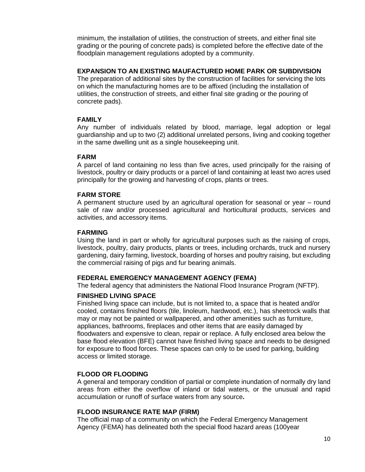minimum, the installation of utilities, the construction of streets, and either final site grading or the pouring of concrete pads) is completed before the effective date of the floodplain management regulations adopted by a community.

#### **EXPANSION TO AN EXISTING MAUFACTURED HOME PARK OR SUBDIVISION**

The preparation of additional sites by the construction of facilities for servicing the lots on which the manufacturing homes are to be affixed (including the installation of utilities, the construction of streets, and either final site grading or the pouring of concrete pads).

# **FAMILY**

Any number of individuals related by blood, marriage, legal adoption or legal guardianship and up to two (2) additional unrelated persons, living and cooking together in the same dwelling unit as a single housekeeping unit.

# **FARM**

A parcel of land containing no less than five acres, used principally for the raising of livestock, poultry or dairy products or a parcel of land containing at least two acres used principally for the growing and harvesting of crops, plants or trees.

#### **FARM STORE**

A permanent structure used by an agricultural operation for seasonal or year – round sale of raw and/or processed agricultural and horticultural products, services and activities, and accessory items.

#### **FARMING**

Using the land in part or wholly for agricultural purposes such as the raising of crops, livestock, poultry, dairy products, plants or trees, including orchards, truck and nursery gardening, dairy farming, livestock, boarding of horses and poultry raising, but excluding the commercial raising of pigs and fur bearing animals.

# **FEDERAL EMERGENCY MANAGEMENT AGENCY (FEMA)**

The federal agency that administers the National Flood Insurance Program (NFTP).

# **FINISHED LIVING SPACE**

Finished living space can include, but is not limited to, a space that is heated and/or cooled, contains finished floors (tile, linoleum, hardwood, etc.), has sheetrock walls that may or may not be painted or wallpapered, and other amenities such as furniture, appliances, bathrooms, fireplaces and other items that are easily damaged by floodwaters and expensive to clean, repair or replace. A fully enclosed area below the base flood elevation (BFE) cannot have finished living space and needs to be designed for exposure to flood forces. These spaces can only to be used for parking, building access or limited storage.

#### **FLOOD OR FLOODING**

A general and temporary condition of partial or complete inundation of normally dry land areas from either the overflow of inland or tidal waters, or the unusual and rapid accumulation or runoff of surface waters from any source**.**

#### **FLOOD INSURANCE RATE MAP (FIRM)**

The official map of a community on which the Federal Emergency Management Agency (FEMA) has delineated both the special flood hazard areas (100year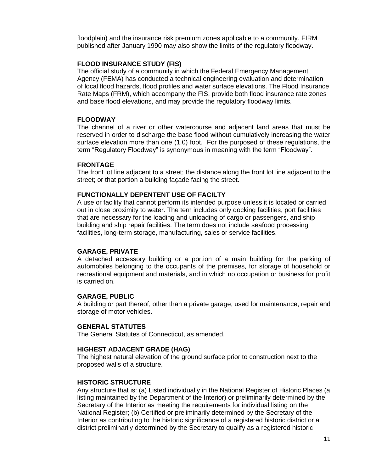floodplain) and the insurance risk premium zones applicable to a community. FIRM published after January 1990 may also show the limits of the regulatory floodway.

#### **FLOOD INSURANCE STUDY (FIS)**

The official study of a community in which the Federal Emergency Management Agency (FEMA) has conducted a technical engineering evaluation and determination of local flood hazards, flood profiles and water surface elevations. The Flood Insurance Rate Maps (FRM), which accompany the FIS, provide both flood insurance rate zones and base flood elevations, and may provide the regulatory floodway limits.

#### **FLOODWAY**

The channel of a river or other watercourse and adjacent land areas that must be reserved in order to discharge the base flood without cumulatively increasing the water surface elevation more than one (1.0) foot. For the purposed of these regulations, the term "Regulatory Floodway" is synonymous in meaning with the term "Floodway".

#### **FRONTAGE**

The front lot line adjacent to a street; the distance along the front lot line adjacent to the street; or that portion a building façade facing the street.

#### **FUNCTIONALLY DEPENTENT USE OF FACILTY**

A use or facility that cannot perform its intended purpose unless it is located or carried out in close proximity to water. The tern includes only docking facilities, port facilities that are necessary for the loading and unloading of cargo or passengers, and ship building and ship repair facilities. The term does not include seafood processing facilities, long-term storage, manufacturing, sales or service facilities.

#### **GARAGE, PRIVATE**

A detached accessory building or a portion of a main building for the parking of automobiles belonging to the occupants of the premises, for storage of household or recreational equipment and materials, and in which no occupation or business for profit is carried on.

#### **GARAGE, PUBLIC**

A building or part thereof, other than a private garage, used for maintenance, repair and storage of motor vehicles.

#### **GENERAL STATUTES**

The General Statutes of Connecticut, as amended.

#### **HIGHEST ADJACENT GRADE (HAG)**

The highest natural elevation of the ground surface prior to construction next to the proposed walls of a structure.

#### **HISTORIC STRUCTURE**

Any structure that is: (a) Listed individually in the National Register of Historic Places (a listing maintained by the Department of the Interior) or preliminarily determined by the Secretary of the Interior as meeting the requirements for individual listing on the National Register; (b) Certified or preliminarily determined by the Secretary of the Interior as contributing to the historic significance of a registered historic district or a district preliminarily determined by the Secretary to qualify as a registered historic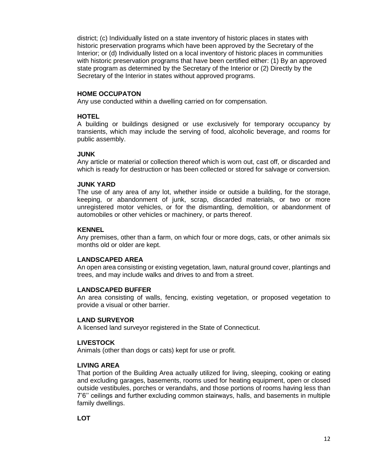district; (c) Individually listed on a state inventory of historic places in states with historic preservation programs which have been approved by the Secretary of the Interior; or (d) Individually listed on a local inventory of historic places in communities with historic preservation programs that have been certified either: (1) By an approved state program as determined by the Secretary of the Interior or (2) Directly by the Secretary of the Interior in states without approved programs.

### **HOME OCCUPATON**

Any use conducted within a dwelling carried on for compensation.

#### **HOTEL**

A building or buildings designed or use exclusively for temporary occupancy by transients, which may include the serving of food, alcoholic beverage, and rooms for public assembly.

#### **JUNK**

Any article or material or collection thereof which is worn out, cast off, or discarded and which is ready for destruction or has been collected or stored for salvage or conversion.

#### **JUNK YARD**

The use of any area of any lot, whether inside or outside a building, for the storage, keeping, or abandonment of junk, scrap, discarded materials, or two or more unregistered motor vehicles, or for the dismantling, demolition, or abandonment of automobiles or other vehicles or machinery, or parts thereof.

#### **KENNEL**

Any premises, other than a farm, on which four or more dogs, cats, or other animals six months old or older are kept.

#### **LANDSCAPED AREA**

An open area consisting or existing vegetation, lawn, natural ground cover, plantings and trees, and may include walks and drives to and from a street.

#### **LANDSCAPED BUFFER**

An area consisting of walls, fencing, existing vegetation, or proposed vegetation to provide a visual or other barrier.

#### **LAND SURVEYOR**

A licensed land surveyor registered in the State of Connecticut.

#### **LIVESTOCK**

Animals (other than dogs or cats) kept for use or profit.

#### **LIVING AREA**

That portion of the Building Area actually utilized for living, sleeping, cooking or eating and excluding garages, basements, rooms used for heating equipment, open or closed outside vestibules, porches or verandahs, and those portions of rooms having less than 7'6'' ceilings and further excluding common stairways, halls, and basements in multiple family dwellings.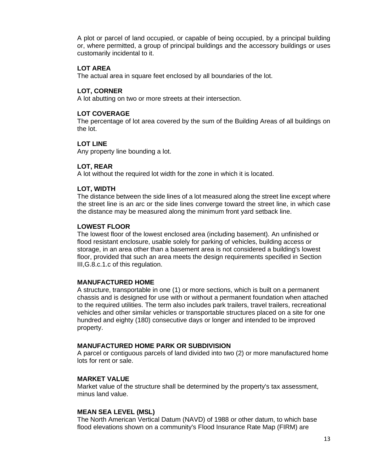A plot or parcel of land occupied, or capable of being occupied, by a principal building or, where permitted, a group of principal buildings and the accessory buildings or uses customarily incidental to it.

#### **LOT AREA**

The actual area in square feet enclosed by all boundaries of the lot.

#### **LOT, CORNER**

A lot abutting on two or more streets at their intersection.

### **LOT COVERAGE**

The percentage of lot area covered by the sum of the Building Areas of all buildings on the lot.

#### **LOT LINE**

Any property line bounding a lot.

#### **LOT, REAR**

A lot without the required lot width for the zone in which it is located.

#### **LOT, WIDTH**

The distance between the side lines of a lot measured along the street line except where the street line is an arc or the side lines converge toward the street line, in which case the distance may be measured along the minimum front yard setback line.

#### **LOWEST FLOOR**

The lowest floor of the lowest enclosed area (including basement). An unfinished or flood resistant enclosure, usable solely for parking of vehicles, building access or storage, in an area other than a basement area is not considered a building's lowest floor, provided that such an area meets the design requirements specified in Section III,G.8.c.1.c of this regulation.

#### **MANUFACTURED HOME**

A structure, transportable in one (1) or more sections, which is built on a permanent chassis and is designed for use with or without a permanent foundation when attached to the required utilities. The term also includes park trailers, travel trailers, recreational vehicles and other similar vehicles or transportable structures placed on a site for one hundred and eighty (180) consecutive days or longer and intended to be improved property.

#### **MANUFACTURED HOME PARK OR SUBDIVISION**

A parcel or contiguous parcels of land divided into two (2) or more manufactured home lots for rent or sale.

#### **MARKET VALUE**

Market value of the structure shall be determined by the property's tax assessment, minus land value.

#### **MEAN SEA LEVEL (MSL)**

The North American Vertical Datum (NAVD) of 1988 or other datum, to which base flood elevations shown on a community's Flood Insurance Rate Map (FIRM) are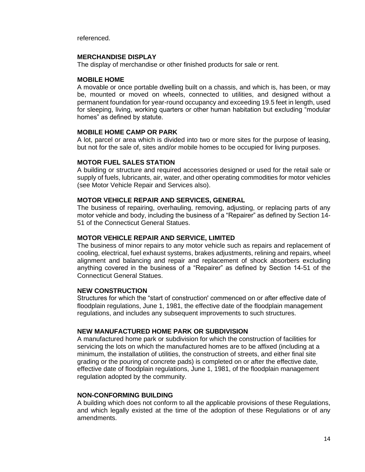referenced.

#### **MERCHANDISE DISPLAY**

The display of merchandise or other finished products for sale or rent.

#### **MOBILE HOME**

A movable or once portable dwelling built on a chassis, and which is, has been, or may be, mounted or moved on wheels, connected to utilities, and designed without a permanent foundation for year-round occupancy and exceeding 19.5 feet in length, used for sleeping, living, working quarters or other human habitation but excluding "modular homes" as defined by statute.

#### **MOBILE HOME CAMP OR PARK**

A lot, parcel or area which is divided into two or more sites for the purpose of leasing, but not for the sale of, sites and/or mobile homes to be occupied for living purposes.

#### **MOTOR FUEL SALES STATION**

A building or structure and required accessories designed or used for the retail sale or supply of fuels, lubricants, air, water, and other operating commodities for motor vehicles (see Motor Vehicle Repair and Services also).

#### **MOTOR VEHICLE REPAIR AND SERVICES, GENERAL**

The business of repairing, overhauling, removing, adjusting, or replacing parts of any motor vehicle and body, including the business of a "Repairer" as defined by Section 14- 51 of the Connecticut General Statues.

#### **MOTOR VEHICLE REPAIR AND SERVICE, LIMITED**

The business of minor repairs to any motor vehicle such as repairs and replacement of cooling, electrical, fuel exhaust systems, brakes adjustments, relining and repairs, wheel alignment and balancing and repair and replacement of shock absorbers excluding anything covered in the business of a "Repairer" as defined by Section 14-51 of the Connecticut General Statues.

#### **NEW CONSTRUCTION**

Structures for which the "start of construction' commenced on or after effective date of floodplain regulations, June 1, 1981, the effective date of the floodplain management regulations, and includes any subsequent improvements to such structures.

#### **NEW MANUFACTURED HOME PARK OR SUBDIVISION**

A manufactured home park or subdivision for which the construction of facilities for servicing the lots on which the manufactured homes are to be affixed (including at a minimum, the installation of utilities, the construction of streets, and either final site grading or the pouring of concrete pads) is completed on or after the effective date, effective date of floodplain regulations, June 1, 1981, of the floodplain management regulation adopted by the community.

#### **NON-CONFORMING BUILDING**

A building which does not conform to all the applicable provisions of these Regulations, and which legally existed at the time of the adoption of these Regulations or of any amendments.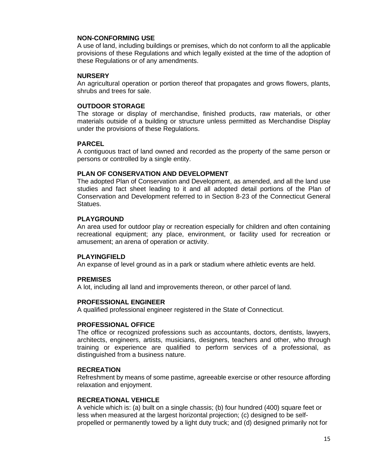#### **NON-CONFORMING USE**

A use of land, including buildings or premises, which do not conform to all the applicable provisions of these Regulations and which legally existed at the time of the adoption of these Regulations or of any amendments.

#### **NURSERY**

An agricultural operation or portion thereof that propagates and grows flowers, plants, shrubs and trees for sale.

### **OUTDOOR STORAGE**

The storage or display of merchandise, finished products, raw materials, or other materials outside of a building or structure unless permitted as Merchandise Display under the provisions of these Regulations.

# **PARCEL**

A contiguous tract of land owned and recorded as the property of the same person or persons or controlled by a single entity.

#### **PLAN OF CONSERVATION AND DEVELOPMENT**

The adopted Plan of Conservation and Development, as amended, and all the land use studies and fact sheet leading to it and all adopted detail portions of the Plan of Conservation and Development referred to in Section 8-23 of the Connecticut General Statues.

#### **PLAYGROUND**

An area used for outdoor play or recreation especially for children and often containing recreational equipment; any place, environment, or facility used for recreation or amusement; an arena of operation or activity.

#### **PLAYINGFIELD**

An expanse of level ground as in a park or stadium where athletic events are held.

# **PREMISES**

A lot, including all land and improvements thereon, or other parcel of land.

#### **PROFESSIONAL ENGINEER**

A qualified professional engineer registered in the State of Connecticut.

#### **PROFESSIONAL OFFICE**

The office or recognized professions such as accountants, doctors, dentists, lawyers, architects, engineers, artists, musicians, designers, teachers and other, who through training or experience are qualified to perform services of a professional, as distinguished from a business nature.

#### **RECREATION**

Refreshment by means of some pastime, agreeable exercise or other resource affording relaxation and enjoyment.

#### **RECREATIONAL VEHICLE**

A vehicle which is: (a) built on a single chassis; (b) four hundred (400) square feet or less when measured at the largest horizontal projection; (c) designed to be selfpropelled or permanently towed by a light duty truck; and (d) designed primarily not for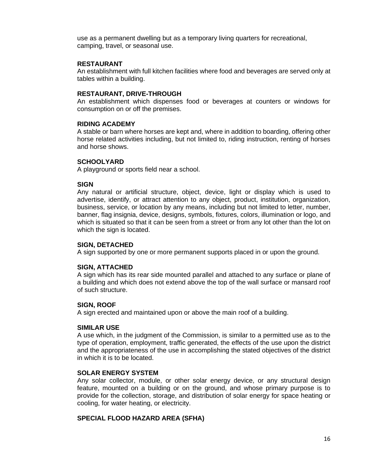use as a permanent dwelling but as a temporary living quarters for recreational, camping, travel, or seasonal use.

#### **RESTAURANT**

An establishment with full kitchen facilities where food and beverages are served only at tables within a building.

#### **RESTAURANT, DRIVE-THROUGH**

An establishment which dispenses food or beverages at counters or windows for consumption on or off the premises.

#### **RIDING ACADEMY**

A stable or barn where horses are kept and, where in addition to boarding, offering other horse related activities including, but not limited to, riding instruction, renting of horses and horse shows.

### **SCHOOLYARD**

A playground or sports field near a school.

#### **SIGN**

Any natural or artificial structure, object, device, light or display which is used to advertise, identify, or attract attention to any object, product, institution, organization, business, service, or location by any means, including but not limited to letter, number, banner, flag insignia, device, designs, symbols, fixtures, colors, illumination or logo, and which is situated so that it can be seen from a street or from any lot other than the lot on which the sign is located.

#### **SIGN, DETACHED**

A sign supported by one or more permanent supports placed in or upon the ground.

#### **SIGN, ATTACHED**

A sign which has its rear side mounted parallel and attached to any surface or plane of a building and which does not extend above the top of the wall surface or mansard roof of such structure.

#### **SIGN, ROOF**

A sign erected and maintained upon or above the main roof of a building.

#### **SIMILAR USE**

A use which, in the judgment of the Commission, is similar to a permitted use as to the type of operation, employment, traffic generated, the effects of the use upon the district and the appropriateness of the use in accomplishing the stated objectives of the district in which it is to be located.

#### **SOLAR ENERGY SYSTEM**

Any solar collector, module, or other solar energy device, or any structural design feature, mounted on a building or on the ground, and whose primary purpose is to provide for the collection, storage, and distribution of solar energy for space heating or cooling, for water heating, or electricity.

#### **SPECIAL FLOOD HAZARD AREA (SFHA)**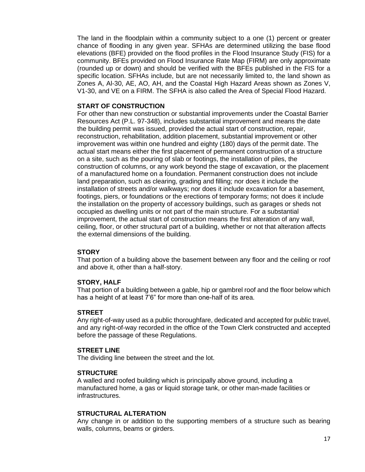The land in the floodplain within a community subject to a one (1) percent or greater chance of flooding in any given year. SFHAs are determined utilizing the base flood elevations (BFE) provided on the flood profiles in the Flood Insurance Study (FIS) for a community. BFEs provided on Flood Insurance Rate Map (FIRM) are only approximate (rounded up or down) and should be verified with the BFEs published in the FIS for a specific location. SFHAs include, but are not necessarily limited to, the land shown as Zones A, Al-30, AE, AO, AH, and the Coastal High Hazard Areas shown as Zones V, V1-30, and VE on a FIRM. The SFHA is also called the Area of Special Flood Hazard.

### **START OF CONSTRUCTION**

For other than new construction or substantial improvements under the Coastal Barrier Resources Act (P.L. 97-348), includes substantial improvement and means the date the building permit was issued, provided the actual start of construction, repair, reconstruction, rehabilitation, addition placement, substantial improvement or other improvement was within one hundred and eighty (180) days of the permit date. The actual start means either the first placement of permanent construction of a structure on a site, such as the pouring of slab or footings, the installation of piles, the construction of columns, or any work beyond the stage of excavation, or the placement of a manufactured home on a foundation. Permanent construction does not include land preparation, such as clearing, grading and filling; nor does it include the installation of streets and/or walkways; nor does it include excavation for a basement, footings, piers, or foundations or the erections of temporary forms; not does it include the installation on the property of accessory buildings, such as garages or sheds not occupied as dwelling units or not part of the main structure. For a substantial improvement, the actual start of construction means the first alteration of any wall, ceiling, floor, or other structural part of a building, whether or not that alteration affects the external dimensions of the building.

#### **STORY**

That portion of a building above the basement between any floor and the ceiling or roof and above it, other than a half-story.

#### **STORY, HALF**

That portion of a building between a gable, hip or gambrel roof and the floor below which has a height of at least 7'6" for more than one-half of its area.

#### **STREET**

Any right-of-way used as a public thoroughfare, dedicated and accepted for public travel, and any right-of-way recorded in the office of the Town Clerk constructed and accepted before the passage of these Regulations.

#### **STREET LINE**

The dividing line between the street and the lot.

#### **STRUCTURE**

A walled and roofed building which is principally above ground, including a manufactured home, a gas or liquid storage tank, or other man-made facilities or infrastructures.

#### **STRUCTURAL ALTERATION**

Any change in or addition to the supporting members of a structure such as bearing walls, columns, beams or girders.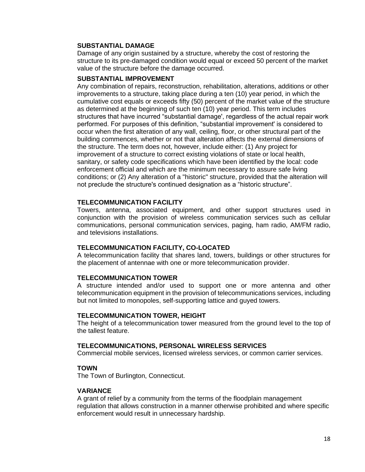#### **SUBSTANTIAL DAMAGE**

Damage of any origin sustained by a structure, whereby the cost of restoring the structure to its pre-damaged condition would equal or exceed 50 percent of the market value of the structure before the damage occurred.

# **SUBSTANTIAL IMPROVEMENT**

Any combination of repairs, reconstruction, rehabilitation, alterations, additions or other improvements to a structure, taking place during a ten (10) year period, in which the cumulative cost equals or exceeds fifty (50) percent of the market value of the structure as determined at the beginning of such ten (10) year period. This term includes structures that have incurred "substantial damage', regardless of the actual repair work performed. For purposes of this definition, "substantial improvement' is considered to occur when the first alteration of any wall, ceiling, floor, or other structural part of the building commences, whether or not that alteration affects the external dimensions of the structure. The term does not, however, include either: (1) Any project for improvement of a structure to correct existing violations of state or local health, sanitary, or safety code specifications which have been identified by the local: code enforcement official and which are the minimum necessary to assure safe living conditions; or (2) Any alteration of a "historic" structure, provided that the alteration will not preclude the structure's continued designation as a "historic structure".

#### **TELECOMMUNICATION FACILITY**

Towers, antenna, associated equipment, and other support structures used in conjunction with the provision of wireless communication services such as cellular communications, personal communication services, paging, ham radio, AM/FM radio, and televisions installations.

#### **TELECOMMUNICATION FACILITY, CO-LOCATED**

A telecommunication facility that shares land, towers, buildings or other structures for the placement of antennae with one or more telecommunication provider.

#### **TELECOMMUNICATION TOWER**

A structure intended and/or used to support one or more antenna and other telecommunication equipment in the provision of telecommunications services, including but not limited to monopoles, self-supporting lattice and guyed towers.

#### **TELECOMMUNICATION TOWER, HEIGHT**

The height of a telecommunication tower measured from the ground level to the top of the tallest feature.

#### **TELECOMMUNICATIONS, PERSONAL WIRELESS SERVICES**

Commercial mobile services, licensed wireless services, or common carrier services.

#### **TOWN**

The Town of Burlington, Connecticut.

#### **VARIANCE**

A grant of relief by a community from the terms of the floodplain management regulation that allows construction in a manner otherwise prohibited and where specific enforcement would result in unnecessary hardship.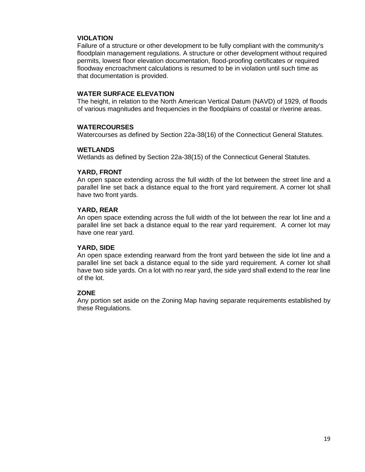#### **VIOLATION**

Failure of a structure or other development to be fully compliant with the community's floodplain management regulations. A structure or other development without required permits, lowest floor elevation documentation, flood-proofing certificates or required floodway encroachment calculations is resumed to be in violation until such time as that documentation is provided.

#### **WATER SURFACE ELEVATION**

The height, in relation to the North American Vertical Datum (NAVD) of 1929, of floods of various magnitudes and frequencies in the floodplains of coastal or riverine areas.

#### **WATERCOURSES**

Watercourses as defined by Section 22a-38(16) of the Connecticut General Statutes.

#### **WETLANDS**

Wetlands as defined by Section 22a-38(15) of the Connecticut General Statutes.

#### **YARD, FRONT**

An open space extending across the full width of the lot between the street line and a parallel line set back a distance equal to the front yard requirement. A corner lot shall have two front yards.

#### **YARD, REAR**

An open space extending across the full width of the lot between the rear lot line and a parallel line set back a distance equal to the rear yard requirement. A corner lot may have one rear yard.

#### **YARD, SIDE**

An open space extending rearward from the front yard between the side lot line and a parallel line set back a distance equal to the side yard requirement. A corner lot shall have two side yards. On a lot with no rear yard, the side yard shall extend to the rear line of the lot.

#### **ZONE**

Any portion set aside on the Zoning Map having separate requirements established by these Regulations.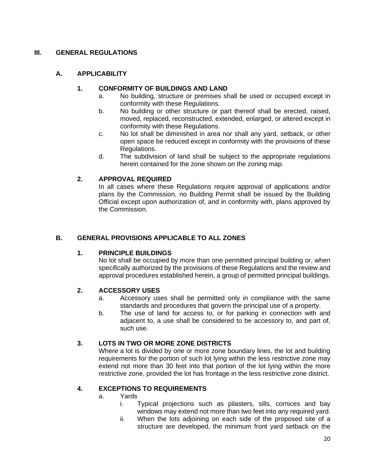# **III. GENERAL REGULATIONS**

# **A. APPLICABILITY**

# **1. CONFORMITY OF BUILDINGS AND LAND**

- a. No building, structure or premises shall be used or occupied except in conformity with these Regulations.
- b. No building or other structure or part thereof shall be erected, raised, moved, replaced, reconstructed, extended, enlarged, or altered except in conformity with these Regulations.
- c. No lot shall be diminished in area nor shall any yard, setback, or other open space be reduced except in conformity with the provisions of these Regulations.
- d. The subdivision of land shall be subject to the appropriate regulations herein contained for the zone shown on the zoning map.

# **2. APPROVAL REQUIRED**

In all cases where these Regulations require approval of applications and/or plans by the Commission, no Building Permit shall be issued by the Building Official except upon authorization of, and in conformity with, plans approved by the Commission.

# **B. GENERAL PROVISIONS APPLICABLE TO ALL ZONES**

# **1. PRINCIPLE BUILDINGS**

No lot shall be occupied by more than one permitted principal building or, when specifically authorized by the provisions of these Regulations and the review and approval procedures established herein, a group of permitted principal buildings.

# **2. ACCESSORY USES**

- a. Accessory uses shall be permitted only in compliance with the same standards and procedures that govern the principal use of a property.
- b. The use of land for access to, or for parking in connection with and adjacent to, a use shall be considered to be accessory to, and part of, such use.

# **3. LOTS IN TWO OR MORE ZONE DISTRICTS**

Where a lot is divided by one or more zone boundary lines, the lot and building requirements for the portion of such lot lying within the less restrictive zone may extend not more than 30 feet into that portion of the lot lying within the more restrictive zone, provided the lot has frontage in the less restrictive zone district.

# **4. EXCEPTIONS TO REQUIREMENTS**

- a. Yards
	- i. Typical projections such as pilasters, sills, cornices and bay windows may extend not more than two feet into any required yard.
	- ii. When the lots adjoining on each side of the proposed site of a structure are developed, the minimum front yard setback on the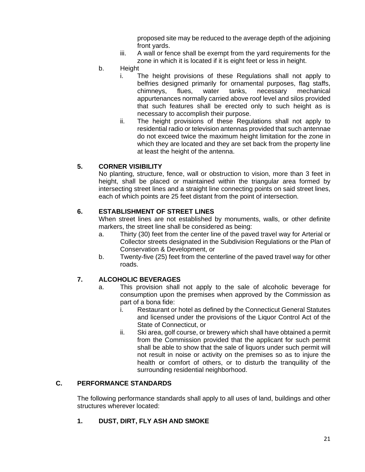proposed site may be reduced to the average depth of the adjoining front yards.

- iii. A wall or fence shall be exempt from the yard requirements for the zone in which it is located if it is eight feet or less in height.
- b. Height
	- i. The height provisions of these Regulations shall not apply to belfries designed primarily for ornamental purposes, flag staffs, chimneys, flues, water tanks, necessary mechanical appurtenances normally carried above roof level and silos provided that such features shall be erected only to such height as is necessary to accomplish their purpose.
	- ii. The height provisions of these Regulations shall not apply to residential radio or television antennas provided that such antennae do not exceed twice the maximum height limitation for the zone in which they are located and they are set back from the property line at least the height of the antenna.

# **5. CORNER VISIBILITY**

No planting, structure, fence, wall or obstruction to vision, more than 3 feet in height, shall be placed or maintained within the triangular area formed by intersecting street lines and a straight line connecting points on said street lines, each of which points are 25 feet distant from the point of intersection.

# **6. ESTABLISHMENT OF STREET LINES**

When street lines are not established by monuments, walls, or other definite markers, the street line shall be considered as being:

- a. Thirty (30) feet from the center line of the paved travel way for Arterial or Collector streets designated in the Subdivision Regulations or the Plan of Conservation & Development, or
- b. Twenty-five (25) feet from the centerline of the paved travel way for other roads.

# **7. ALCOHOLIC BEVERAGES**

- a. This provision shall not apply to the sale of alcoholic beverage for consumption upon the premises when approved by the Commission as part of a bona fide:
	- i. Restaurant or hotel as defined by the Connecticut General Statutes and licensed under the provisions of the Liquor Control Act of the State of Connecticut, or
	- ii. Ski area, golf course, or brewery which shall have obtained a permit from the Commission provided that the applicant for such permit shall be able to show that the sale of liquors under such permit will not result in noise or activity on the premises so as to injure the health or comfort of others, or to disturb the tranquility of the surrounding residential neighborhood.

# **C. PERFORMANCE STANDARDS**

The following performance standards shall apply to all uses of land, buildings and other structures wherever located:

# **1. DUST, DIRT, FLY ASH AND SMOKE**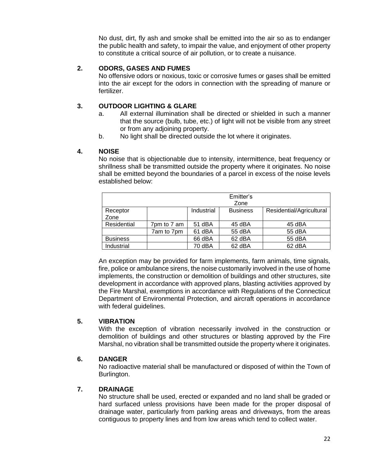No dust, dirt, fly ash and smoke shall be emitted into the air so as to endanger the public health and safety, to impair the value, and enjoyment of other property to constitute a critical source of air pollution, or to create a nuisance.

# **2. ODORS, GASES AND FUMES**

No offensive odors or noxious, toxic or corrosive fumes or gases shall be emitted into the air except for the odors in connection with the spreading of manure or fertilizer.

# **3. OUTDOOR LIGHTING & GLARE**

- a. All external illumination shall be directed or shielded in such a manner that the source (bulb, tube, etc.) of light will not be visible from any street or from any adjoining property.
- b. No light shall be directed outside the lot where it originates.

# **4. NOISE**

No noise that is objectionable due to intensity, intermittence, beat frequency or shrillness shall be transmitted outside the property where it originates. No noise shall be emitted beyond the boundaries of a parcel in excess of the noise levels established below:

|                 | Emitter's<br>Zone |            |                 |                          |  |  |
|-----------------|-------------------|------------|-----------------|--------------------------|--|--|
| Receptor        |                   | Industrial | <b>Business</b> | Residential/Agricultural |  |  |
| Zone            |                   |            |                 |                          |  |  |
| Residential     | 7pm to 7 am       | 51 dBA     | 45 dBA          | 45 dBA                   |  |  |
|                 | 7am to 7pm        | 61 dBA     | 55 dBA          | 55 dBA                   |  |  |
| <b>Business</b> |                   | 66 dBA     | 62 dBA          | 55 dBA                   |  |  |
| Industrial      |                   | 70 dBA     | 62 dBA          | 62 dBA                   |  |  |

An exception may be provided for farm implements, farm animals, time signals, fire, police or ambulance sirens, the noise customarily involved in the use of home implements, the construction or demolition of buildings and other structures, site development in accordance with approved plans, blasting activities approved by the Fire Marshal, exemptions in accordance with Regulations of the Connecticut Department of Environmental Protection, and aircraft operations in accordance with federal guidelines.

# **5. VIBRATION**

With the exception of vibration necessarily involved in the construction or demolition of buildings and other structures or blasting approved by the Fire Marshal, no vibration shall be transmitted outside the property where it originates.

# **6. DANGER**

No radioactive material shall be manufactured or disposed of within the Town of Burlington.

# **7. DRAINAGE**

No structure shall be used, erected or expanded and no land shall be graded or hard surfaced unless provisions have been made for the proper disposal of drainage water, particularly from parking areas and driveways, from the areas contiguous to property lines and from low areas which tend to collect water.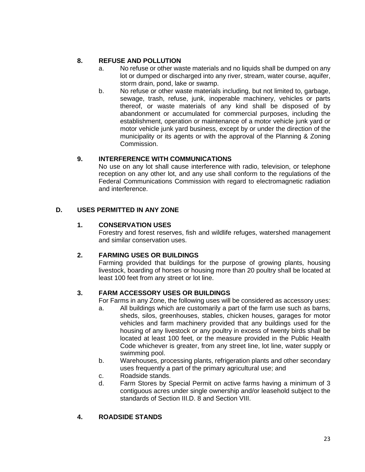# **8. REFUSE AND POLLUTION**

- a. No refuse or other waste materials and no liquids shall be dumped on any lot or dumped or discharged into any river, stream, water course, aquifer, storm drain, pond, lake or swamp.
- b. No refuse or other waste materials including, but not limited to, garbage, sewage, trash, refuse, junk, inoperable machinery, vehicles or parts thereof, or waste materials of any kind shall be disposed of by abandonment or accumulated for commercial purposes, including the establishment, operation or maintenance of a motor vehicle junk yard or motor vehicle junk yard business, except by or under the direction of the municipality or its agents or with the approval of the Planning & Zoning Commission.

# **9. INTERFERENCE WITH COMMUNICATIONS**

No use on any lot shall cause interference with radio, television, or telephone reception on any other lot, and any use shall conform to the regulations of the Federal Communications Commission with regard to electromagnetic radiation and interference.

# **D. USES PERMITTED IN ANY ZONE**

# **1. CONSERVATION USES**

Forestry and forest reserves, fish and wildlife refuges, watershed management and similar conservation uses.

# **2. FARMING USES OR BUILDINGS**

Farming provided that buildings for the purpose of growing plants, housing livestock, boarding of horses or housing more than 20 poultry shall be located at least 100 feet from any street or lot line.

# **3. FARM ACCESSORY USES OR BUILDINGS**

For Farms in any Zone, the following uses will be considered as accessory uses:

- a. All buildings which are customarily a part of the farm use such as barns, sheds, silos, greenhouses, stables, chicken houses, garages for motor vehicles and farm machinery provided that any buildings used for the housing of any livestock or any poultry in excess of twenty birds shall be located at least 100 feet, or the measure provided in the Public Health Code whichever is greater, from any street line, lot line, water supply or swimming pool.
- b. Warehouses, processing plants, refrigeration plants and other secondary uses frequently a part of the primary agricultural use; and
- c. Roadside stands.
- d. Farm Stores by Special Permit on active farms having a minimum of 3 contiguous acres under single ownership and/or leasehold subject to the standards of Section III.D. 8 and Section VIII.

# **4. ROADSIDE STANDS**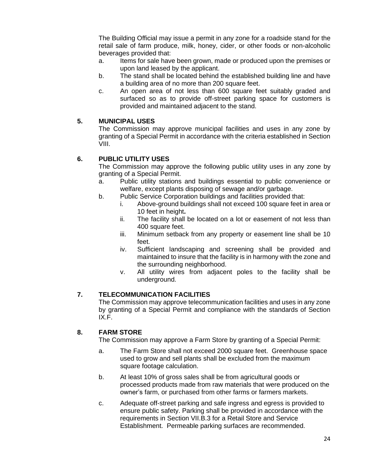The Building Official may issue a permit in any zone for a roadside stand for the retail sale of farm produce, milk, honey, cider, or other foods or non-alcoholic beverages provided that:

- a. Items for sale have been grown, made or produced upon the premises or upon land leased by the applicant.
- b. The stand shall be located behind the established building line and have a building area of no more than 200 square feet.
- c. An open area of not less than 600 square feet suitably graded and surfaced so as to provide off-street parking space for customers is provided and maintained adjacent to the stand.

# **5. MUNICIPAL USES**

The Commission may approve municipal facilities and uses in any zone by granting of a Special Permit in accordance with the criteria established in Section VIII.

# **6. PUBLIC UTILITY USES**

The Commission may approve the following public utility uses in any zone by granting of a Special Permit.

- a. Public utility stations and buildings essential to public convenience or welfare, except plants disposing of sewage and/or garbage.
- b. Public Service Corporation buildings and facilities provided that:
	- i. Above-ground buildings shall not exceed 100 square feet in area or 10 feet in height**.**
	- ii. The facility shall be located on a lot or easement of not less than 400 square feet.
	- iii. Minimum setback from any property or easement line shall be 10 feet.
	- iv. Sufficient landscaping and screening shall be provided and maintained to insure that the facility is in harmony with the zone and the surrounding neighborhood.
	- v. All utility wires from adjacent poles to the facility shall be underground.

# **7. TELECOMMUNICATION FACILITIES**

The Commission may approve telecommunication facilities and uses in any zone by granting of a Special Permit and compliance with the standards of Section IX.F.

# **8. FARM STORE**

The Commission may approve a Farm Store by granting of a Special Permit:

- a. The Farm Store shall not exceed 2000 square feet. Greenhouse space used to grow and sell plants shall be excluded from the maximum square footage calculation.
- b. At least 10% of gross sales shall be from agricultural goods or processed products made from raw materials that were produced on the owner's farm, or purchased from other farms or farmers markets.
- c. Adequate off-street parking and safe ingress and egress is provided to ensure public safety. Parking shall be provided in accordance with the requirements in Section VII.B.3 for a Retail Store and Service Establishment. Permeable parking surfaces are recommended.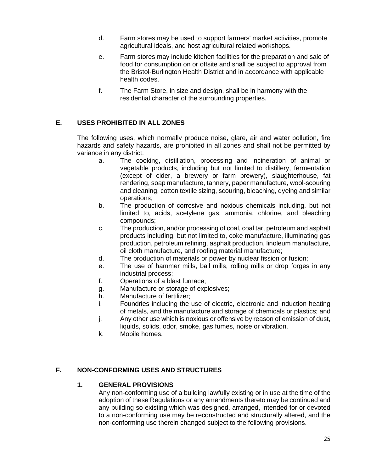- d. Farm stores may be used to support farmers' market activities, promote agricultural ideals, and host agricultural related workshops.
- e. Farm stores may include kitchen facilities for the preparation and sale of food for consumption on or offsite and shall be subject to approval from the Bristol-Burlington Health District and in accordance with applicable health codes.
- f. The Farm Store, in size and design, shall be in harmony with the residential character of the surrounding properties.

# **E. USES PROHIBITED IN ALL ZONES**

The following uses, which normally produce noise, glare, air and water pollution, fire hazards and safety hazards, are prohibited in all zones and shall not be permitted by variance in any district:

- a. The cooking, distillation, processing and incineration of animal or vegetable products, including but not limited to distillery, fermentation (except of cider, a brewery or farm brewery), slaughterhouse, fat rendering, soap manufacture, tannery, paper manufacture, wool-scouring and cleaning, cotton textile sizing, scouring, bleaching, dyeing and similar operations;
- b. The production of corrosive and noxious chemicals including, but not limited to, acids, acetylene gas, ammonia, chlorine, and bleaching compounds;
- c. The production, and/or processing of coal, coal tar, petroleum and asphalt products including, but not limited to, coke manufacture, illuminating gas production, petroleum refining, asphalt production, linoleum manufacture, oil cloth manufacture, and roofing material manufacture;
- d. The production of materials or power by nuclear fission or fusion;
- e. The use of hammer mills, ball mills, rolling mills or drop forges in any industrial process;
- f. Operations of a blast furnace;
- g. Manufacture or storage of explosives;
- h. Manufacture of fertilizer;
- i. Foundries including the use of electric, electronic and induction heating of metals, and the manufacture and storage of chemicals or plastics; and
- j. Any other use which is noxious or offensive by reason of emission of dust, liquids, solids, odor, smoke, gas fumes, noise or vibration.
- k. Mobile homes.

# **F. NON-CONFORMING USES AND STRUCTURES**

#### **1. GENERAL PROVISIONS**

Any non-conforming use of a building lawfully existing or in use at the time of the adoption of these Regulations or any amendments thereto may be continued and any building so existing which was designed, arranged, intended for or devoted to a non-conforming use may be reconstructed and structurally altered, and the non-conforming use therein changed subject to the following provisions.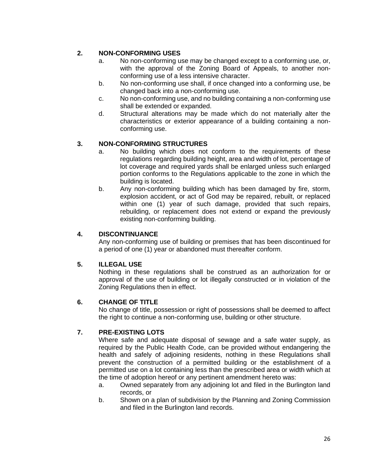# **2. NON-CONFORMING USES**

- a. No non-conforming use may be changed except to a conforming use, or, with the approval of the Zoning Board of Appeals, to another nonconforming use of a less intensive character.
- b. No non-conforming use shall, if once changed into a conforming use, be changed back into a non-conforming use.
- c. No non-conforming use, and no building containing a non-conforming use shall be extended or expanded.
- d. Structural alterations may be made which do not materially alter the characteristics or exterior appearance of a building containing a nonconforming use.

# **3. NON-CONFORMING STRUCTURES**

- a. No building which does not conform to the requirements of these regulations regarding building height, area and width of lot, percentage of lot coverage and required yards shall be enlarged unless such enlarged portion conforms to the Regulations applicable to the zone in which the building is located.
- b. Any non-conforming building which has been damaged by fire, storm, explosion accident, or act of God may be repaired, rebuilt, or replaced within one (1) year of such damage, provided that such repairs, rebuilding, or replacement does not extend or expand the previously existing non-conforming building.

# **4. DISCONTINUANCE**

Any non-conforming use of building or premises that has been discontinued for a period of one (1) year or abandoned must thereafter conform.

# **5. ILLEGAL USE**

Nothing in these regulations shall be construed as an authorization for or approval of the use of building or lot illegally constructed or in violation of the Zoning Regulations then in effect.

# **6. CHANGE OF TITLE**

No change of title, possession or right of possessions shall be deemed to affect the right to continue a non-conforming use, building or other structure.

# **7. PRE-EXISTING LOTS**

Where safe and adequate disposal of sewage and a safe water supply, as required by the Public Health Code, can be provided without endangering the health and safely of adjoining residents, nothing in these Regulations shall prevent the construction of a permitted building or the establishment of a permitted use on a lot containing less than the prescribed area or width which at the time of adoption hereof or any pertinent amendment hereto was:

- a. Owned separately from any adjoining lot and filed in the Burlington land records, or
- b. Shown on a plan of subdivision by the Planning and Zoning Commission and filed in the Burlington land records.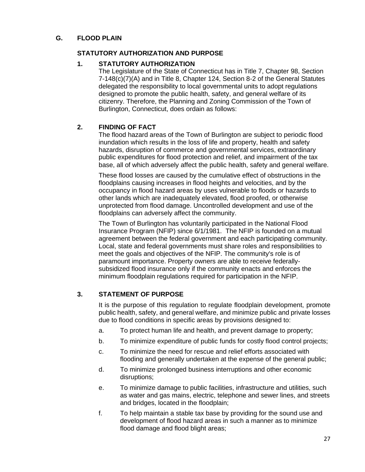# **G. FLOOD PLAIN**

# **STATUTORY AUTHORIZATION AND PURPOSE**

# **1. STATUTORY AUTHORIZATION**

The Legislature of the State of Connecticut has in Title 7, Chapter 98, Section 7-148(c)(7)(A) and in Title 8, Chapter 124, Section 8-2 of the General Statutes delegated the responsibility to local governmental units to adopt regulations designed to promote the public health, safety, and general welfare of its citizenry. Therefore, the Planning and Zoning Commission of the Town of Burlington, Connecticut, does ordain as follows:

# **2. FINDING OF FACT**

The flood hazard areas of the Town of Burlington are subject to periodic flood inundation which results in the loss of life and property, health and safety hazards, disruption of commerce and governmental services, extraordinary public expenditures for flood protection and relief, and impairment of the tax base, all of which adversely affect the public health, safety and general welfare.

These flood losses are caused by the cumulative effect of obstructions in the floodplains causing increases in flood heights and velocities, and by the occupancy in flood hazard areas by uses vulnerable to floods or hazards to other lands which are inadequately elevated, flood proofed, or otherwise unprotected from flood damage. Uncontrolled development and use of the floodplains can adversely affect the community.

The Town of Burlington has voluntarily participated in the National Flood Insurance Program (NFIP) since 6/1/1981. The NFIP is founded on a mutual agreement between the federal government and each participating community. Local, state and federal governments must share roles and responsibilities to meet the goals and objectives of the NFIP. The community's role is of paramount importance. Property owners are able to receive federallysubsidized flood insurance only if the community enacts and enforces the minimum floodplain regulations required for participation in the NFIP.

# **3. STATEMENT OF PURPOSE**

It is the purpose of this regulation to regulate floodplain development, promote public health, safety, and general welfare, and minimize public and private losses due to flood conditions in specific areas by provisions designed to:

- a. To protect human life and health, and prevent damage to property;
- b. To minimize expenditure of public funds for costly flood control projects;
- c. To minimize the need for rescue and relief efforts associated with flooding and generally undertaken at the expense of the general public;
- d. To minimize prolonged business interruptions and other economic disruptions;
- e. To minimize damage to public facilities, infrastructure and utilities, such as water and gas mains, electric, telephone and sewer lines, and streets and bridges, located in the floodplain;
- f. To help maintain a stable tax base by providing for the sound use and development of flood hazard areas in such a manner as to minimize flood damage and flood blight areas;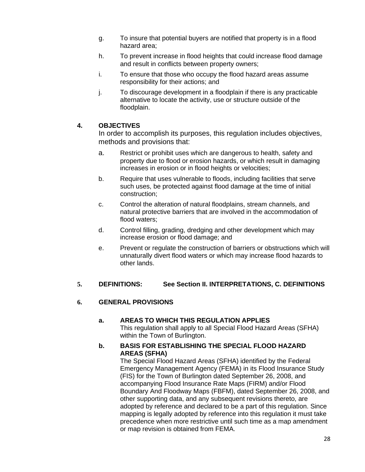- g. To insure that potential buyers are notified that property is in a flood hazard area;
- h. To prevent increase in flood heights that could increase flood damage and result in conflicts between property owners;
- i. To ensure that those who occupy the flood hazard areas assume responsibility for their actions; and
- j. To discourage development in a floodplain if there is any practicable alternative to locate the activity, use or structure outside of the floodplain.

# **4. OBJECTIVES**

In order to accomplish its purposes, this regulation includes objectives, methods and provisions that:

- a. Restrict or prohibit uses which are dangerous to health, safety and property due to flood or erosion hazards, or which result in damaging increases in erosion or in flood heights or velocities;
- b. Require that uses vulnerable to floods, including facilities that serve such uses, be protected against flood damage at the time of initial construction;
- c. Control the alteration of natural floodplains, stream channels, and natural protective barriers that are involved in the accommodation of flood waters;
- d. Control filling, grading, dredging and other development which may increase erosion or flood damage; and
- e. Prevent or regulate the construction of barriers or obstructions which will unnaturally divert flood waters or which may increase flood hazards to other lands.

# **5. DEFINITIONS: See Section II. INTERPRETATIONS, C. DEFINITIONS**

# **6. GENERAL PROVISIONS**

# **a. AREAS TO WHICH THIS REGULATION APPLIES**

This regulation shall apply to all Special Flood Hazard Areas (SFHA) within the Town of Burlington.

#### **b. BASIS FOR ESTABLISHING THE SPECIAL FLOOD HAZARD AREAS (SFHA)**

The Special Flood Hazard Areas (SFHA) identified by the Federal Emergency Management Agency (FEMA) in its Flood Insurance Study (FIS) for the Town of Burlington dated September 26, 2008, and accompanying Flood Insurance Rate Maps (FIRM) and/or Flood Boundary And Floodway Maps (FBFM), dated September 26, 2008, and other supporting data, and any subsequent revisions thereto, are adopted by reference and declared to be a part of this regulation. Since mapping is legally adopted by reference into this regulation it must take precedence when more restrictive until such time as a map amendment or map revision is obtained from FEMA.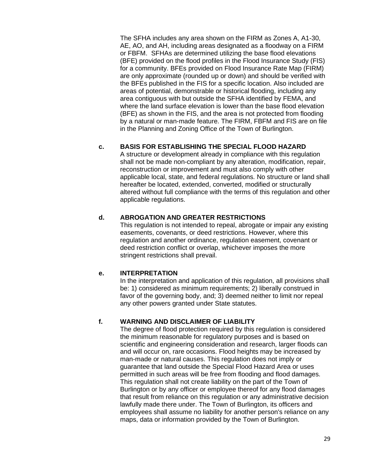The SFHA includes any area shown on the FIRM as Zones A, A1-30, AE, AO, and AH, including areas designated as a floodway on a FIRM or FBFM. SFHAs are determined utilizing the base flood elevations (BFE) provided on the flood profiles in the Flood Insurance Study (FIS) for a community. BFEs provided on Flood Insurance Rate Map (FIRM) are only approximate (rounded up or down) and should be verified with the BFEs published in the FIS for a specific location. Also included are areas of potential, demonstrable or historical flooding, including any area contiguous with but outside the SFHA identified by FEMA, and where the land surface elevation is lower than the base flood elevation (BFE) as shown in the FIS, and the area is not protected from flooding by a natural or man-made feature. The FIRM, FBFM and FIS are on file in the Planning and Zoning Office of the Town of Burlington.

# **c. BASIS FOR ESTABLISHING THE SPECIAL FLOOD HAZARD**

A structure or development already in compliance with this regulation shall not be made non-compliant by any alteration, modification, repair, reconstruction or improvement and must also comply with other applicable local, state, and federal regulations. No structure or land shall hereafter be located, extended, converted, modified or structurally altered without full compliance with the terms of this regulation and other applicable regulations.

# **d. ABROGATION AND GREATER RESTRICTIONS**

This regulation is not intended to repeal, abrogate or impair any existing easements, covenants, or deed restrictions. However, where this regulation and another ordinance, regulation easement, covenant or deed restriction conflict or overlap, whichever imposes the more stringent restrictions shall prevail.

# **e. INTERPRETATION**

In the interpretation and application of this regulation, all provisions shall be: 1) considered as minimum requirements; 2) liberally construed in favor of the governing body, and; 3) deemed neither to limit nor repeal any other powers granted under State statutes.

# **f. WARNING AND DISCLAIMER OF LIABILITY**

The degree of flood protection required by this regulation is considered the minimum reasonable for regulatory purposes and is based on scientific and engineering consideration and research, larger floods can and will occur on, rare occasions. Flood heights may be increased by man-made or natural causes. This regulation does not imply or guarantee that land outside the Special Flood Hazard Area or uses permitted in such areas will be free from flooding and flood damages. This regulation shall not create liability on the part of the Town of Burlington or by any officer or employee thereof for any flood damages that result from reliance on this regulation or any administrative decision lawfully made there under. The Town of Burlington, its officers and employees shall assume no liability for another person's reliance on any maps, data or information provided by the Town of Burlington.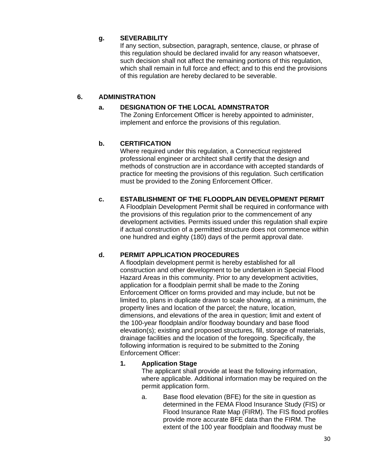# **g. SEVERABILITY**

If any section, subsection, paragraph, sentence, clause, or phrase of this regulation should be declared invalid for any reason whatsoever, such decision shall not affect the remaining portions of this regulation, which shall remain in full force and effect; and to this end the provisions of this regulation are hereby declared to be severable.

# **6. ADMINISTRATION**

# **a. DESIGNATION OF THE LOCAL ADMNSTRATOR**

The Zoning Enforcement Officer is hereby appointed to administer, implement and enforce the provisions of this regulation.

# **b. CERTIFICATION**

Where required under this regulation, a Connecticut registered professional engineer or architect shall certify that the design and methods of construction are in accordance with accepted standards of practice for meeting the provisions of this regulation. Such certification must be provided to the Zoning Enforcement Officer.

# **c. ESTABLISHMENT OF THE FLOODPLAIN DEVELOPMENT PERMIT**

A Floodplain Development Permit shall be required in conformance with the provisions of this regulation prior to the commencement of any development activities. Permits issued under this regulation shall expire if actual construction of a permitted structure does not commence within one hundred and eighty (180) days of the permit approval date.

# **d. PERMIT APPLICATION PROCEDURES**

A floodplain development permit is hereby established for all construction and other development to be undertaken in Special Flood Hazard Areas in this community. Prior to any development activities, application for a floodplain permit shall be made to the Zoning Enforcement Officer on forms provided and may include, but not be limited to, plans in duplicate drawn to scale showing, at a minimum, the property lines and location of the parcel; the nature, location, dimensions, and elevations of the area in question; limit and extent of the 100-year floodplain and/or floodway boundary and base flood elevation(s); existing and proposed structures, fill, storage of materials, drainage facilities and the location of the foregoing. Specifically, the following information is required to be submitted to the Zoning Enforcement Officer:

# **1. Application Stage**

The applicant shall provide at least the following information, where applicable. Additional information may be required on the permit application form.

a. Base flood elevation (BFE) for the site in question as determined in the FEMA Flood Insurance Study (FIS) or Flood Insurance Rate Map (FIRM). The FIS flood profiles provide more accurate BFE data than the FIRM. The extent of the 100 year floodplain and floodway must be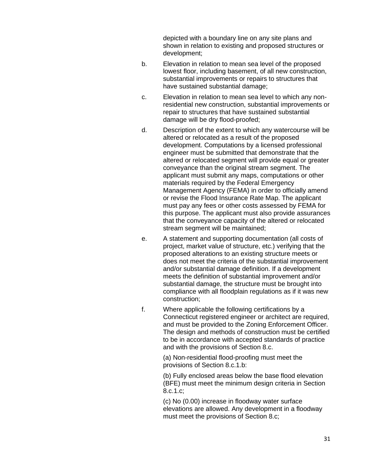depicted with a boundary line on any site plans and shown in relation to existing and proposed structures or development;

- b. Elevation in relation to mean sea level of the proposed lowest floor, including basement, of all new construction, substantial improvements or repairs to structures that have sustained substantial damage;
- c. Elevation in relation to mean sea level to which any nonresidential new construction, substantial improvements or repair to structures that have sustained substantial damage will be dry flood-proofed;
- d. Description of the extent to which any watercourse will be altered or relocated as a result of the proposed development. Computations by a licensed professional engineer must be submitted that demonstrate that the altered or relocated segment will provide equal or greater conveyance than the original stream segment. The applicant must submit any maps, computations or other materials required by the Federal Emergency Management Agency (FEMA) in order to officially amend or revise the Flood Insurance Rate Map. The applicant must pay any fees or other costs assessed by FEMA for this purpose. The applicant must also provide assurances that the conveyance capacity of the altered or relocated stream segment will be maintained;
- e. A statement and supporting documentation (all costs of project, market value of structure, etc.) verifying that the proposed alterations to an existing structure meets or does not meet the criteria of the substantial improvement and/or substantial damage definition. If a development meets the definition of substantial improvement and/or substantial damage, the structure must be brought into compliance with all floodplain regulations as if it was new construction;
- f. Where applicable the following certifications by a Connecticut registered engineer or architect are required, and must be provided to the Zoning Enforcement Officer. The design and methods of construction must be certified to be in accordance with accepted standards of practice and with the provisions of Section 8.c.

(a) Non-residential flood-proofing must meet the provisions of Section 8.c.1.b:

(b) Fully enclosed areas below the base flood elevation (BFE) must meet the minimum design criteria in Section 8.c.1.c;

(c) No (0.00) increase in floodway water surface elevations are allowed. Any development in a floodway must meet the provisions of Section 8.c;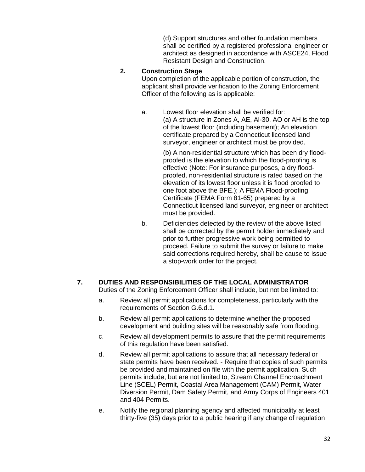(d) Support structures and other foundation members shall be certified by a registered professional engineer or architect as designed in accordance with ASCE24, Flood Resistant Design and Construction.

### **2. Construction Stage**

Upon completion of the applicable portion of construction, the applicant shall provide verification to the Zoning Enforcement Officer of the following as is applicable:

a. Lowest floor elevation shall be verified for: (a) A structure in Zones A, AE, Al-30, AO or AH is the top of the lowest floor (including basement); An elevation certificate prepared by a Connecticut licensed land surveyor, engineer or architect must be provided.

> (b) A non-residential structure which has been dry floodproofed is the elevation to which the flood-proofing is effective (Note: For insurance purposes, a dry floodproofed, non-residential structure is rated based on the elevation of its lowest floor unless it is flood proofed to one foot above the BFE.); A FEMA Flood-proofing Certificate (FEMA Form 81-65) prepared by a Connecticut licensed land surveyor, engineer or architect must be provided.

b. Deficiencies detected by the review of the above listed shall be corrected by the permit holder immediately and prior to further progressive work being permitted to proceed. Failure to submit the survey or failure to make said corrections required hereby, shall be cause to issue a stop-work order for the project.

# **7. DUTIES AND RESPONSIBILITIES OF THE LOCAL ADMINISTRATOR**

Duties of the Zoning Enforcement Officer shall include, but not be limited to:

- a. Review all permit applications for completeness, particularly with the requirements of Section G.6.d.1.
- b. Review all permit applications to determine whether the proposed development and building sites will be reasonably safe from flooding.
- c. Review all development permits to assure that the permit requirements of this regulation have been satisfied.
- d. Review all permit applications to assure that all necessary federal or state permits have been received. - Require that copies of such permits be provided and maintained on file with the permit application. Such permits include, but are not limited to, Stream Channel Encroachment Line (SCEL) Permit, Coastal Area Management (CAM) Permit, Water Diversion Permit, Dam Safety Permit, and Army Corps of Engineers 401 and 404 Permits.
- e. Notify the regional planning agency and affected municipality at least thirty-five (35) days prior to a public hearing if any change of regulation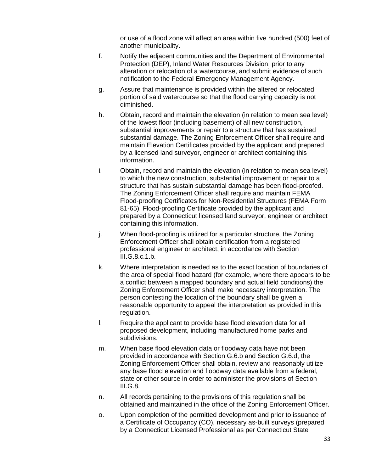or use of a flood zone will affect an area within five hundred (500) feet of another municipality.

- f. Notify the adjacent communities and the Department of Environmental Protection (DEP), Inland Water Resources Division, prior to any alteration or relocation of a watercourse, and submit evidence of such notification to the Federal Emergency Management Agency.
- g. Assure that maintenance is provided within the altered or relocated portion of said watercourse so that the flood carrying capacity is not diminished.
- h. Obtain, record and maintain the elevation (in relation to mean sea level) of the lowest floor (including basement) of all new construction, substantial improvements or repair to a structure that has sustained substantial damage. The Zoning Enforcement Officer shall require and maintain Elevation Certificates provided by the applicant and prepared by a licensed land surveyor, engineer or architect containing this information.
- i. Obtain, record and maintain the elevation (in relation to mean sea level) to which the new construction, substantial improvement or repair to a structure that has sustain substantial damage has been flood-proofed. The Zoning Enforcement Officer shall require and maintain FEMA Flood-proofing Certificates for Non-Residential Structures (FEMA Form 81-65), Flood-proofing Certificate provided by the applicant and prepared by a Connecticut licensed land surveyor, engineer or architect containing this information.
- j. When flood-proofing is utilized for a particular structure, the Zoning Enforcement Officer shall obtain certification from a registered professional engineer or architect, in accordance with Section III.G.8.c.1.b.
- k. Where interpretation is needed as to the exact location of boundaries of the area of special flood hazard (for example, where there appears to be a conflict between a mapped boundary and actual field conditions) the Zoning Enforcement Officer shall make necessary interpretation. The person contesting the location of the boundary shall be given a reasonable opportunity to appeal the interpretation as provided in this regulation.
- l. Require the applicant to provide base flood elevation data for all proposed development, including manufactured home parks and subdivisions.
- m. When base flood elevation data or floodway data have not been provided in accordance with Section G.6.b and Section G.6.d, the Zoning Enforcement Officer shall obtain, review and reasonably utilize any base flood elevation and floodway data available from a federal, state or other source in order to administer the provisions of Section III.G.8.
- n. All records pertaining to the provisions of this regulation shall be obtained and maintained in the office of the Zoning Enforcement Officer.
- o. Upon completion of the permitted development and prior to issuance of a Certificate of Occupancy (CO), necessary as-built surveys (prepared by a Connecticut Licensed Professional as per Connecticut State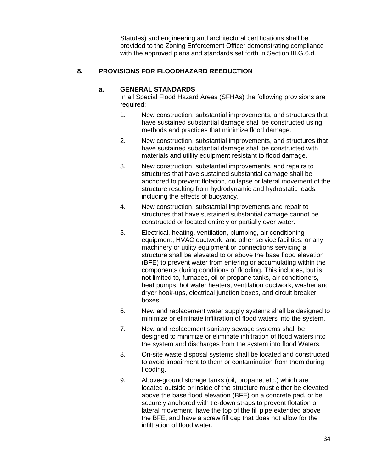Statutes) and engineering and architectural certifications shall be provided to the Zoning Enforcement Officer demonstrating compliance with the approved plans and standards set forth in Section III.G.6.d.

# **8. PROVISIONS FOR FLOODHAZARD REEDUCTION**

# **a. GENERAL STANDARDS**

In all Special Flood Hazard Areas (SFHAs) the following provisions are required:

- 1. New construction, substantial improvements, and structures that have sustained substantial damage shall be constructed using methods and practices that minimize flood damage.
- 2. New construction, substantial improvements, and structures that have sustained substantial damage shall be constructed with materials and utility equipment resistant to flood damage.
- 3. New construction, substantial improvements, and repairs to structures that have sustained substantial damage shall be anchored to prevent flotation, collapse or lateral movement of the structure resulting from hydrodynamic and hydrostatic loads, including the effects of buoyancy.
- 4. New construction, substantial improvements and repair to structures that have sustained substantial damage cannot be constructed or located entirely or partially over water.
- 5. Electrical, heating, ventilation, plumbing, air conditioning equipment, HVAC ductwork, and other service facilities, or any machinery or utility equipment or connections servicing a structure shall be elevated to or above the base flood elevation (BFE) to prevent water from entering or accumulating within the components during conditions of flooding. This includes, but is not limited to, furnaces, oil or propane tanks, air conditioners, heat pumps, hot water heaters, ventilation ductwork, washer and dryer hook-ups, electrical junction boxes, and circuit breaker boxes.
- 6. New and replacement water supply systems shall be designed to minimize or eliminate infiltration of flood waters into the system.
- 7. New and replacement sanitary sewage systems shall be designed to minimize or eliminate infiltration of flood waters into the system and discharges from the system into flood Waters.
- 8. On-site waste disposal systems shall be located and constructed to avoid impairment to them or contamination from them during flooding.
- 9. Above-ground storage tanks (oil, propane, etc.) which are located outside or inside of the structure must either be elevated above the base flood elevation (BFE) on a concrete pad, or be securely anchored with tie-down straps to prevent flotation or lateral movement, have the top of the fill pipe extended above the BFE, and have a screw fill cap that does not allow for the infiltration of flood water.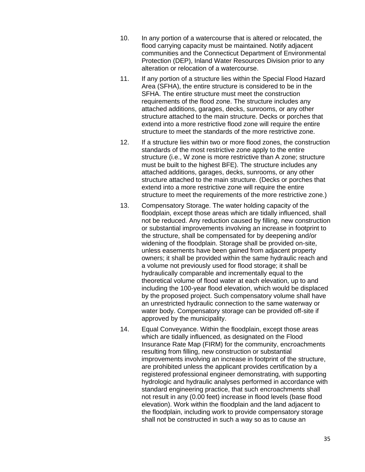- 10. In any portion of a watercourse that is altered or relocated, the flood carrying capacity must be maintained. Notify adjacent communities and the Connecticut Department of Environmental Protection (DEP), Inland Water Resources Division prior to any alteration or relocation of a watercourse.
- 11. If any portion of a structure lies within the Special Flood Hazard Area (SFHA), the entire structure is considered to be in the SFHA. The entire structure must meet the construction requirements of the flood zone. The structure includes any attached additions, garages, decks, sunrooms, or any other structure attached to the main structure. Decks or porches that extend into a more restrictive flood zone will require the entire structure to meet the standards of the more restrictive zone.
- 12. If a structure lies within two or more flood zones, the construction standards of the most restrictive zone apply to the entire structure (i.e., W zone is more restrictive than A zone; structure must be built to the highest BFE). The structure includes any attached additions, garages, decks, sunrooms, or any other structure attached to the main structure. (Decks or porches that extend into a more restrictive zone will require the entire structure to meet the requirements of the more restrictive zone.)
- 13. Compensatory Storage. The water holding capacity of the floodplain, except those areas which are tidally influenced, shall not be reduced. Any reduction caused by filling, new construction or substantial improvements involving an increase in footprint to the structure, shall be compensated for by deepening and/or widening of the floodplain. Storage shall be provided on-site, unless easements have been gained from adjacent property owners; it shall be provided within the same hydraulic reach and a volume not previously used for flood storage; it shall be hydraulically comparable and incrementally equal to the theoretical volume of flood water at each elevation, up to and including the 100-year flood elevation, which would be displaced by the proposed project. Such compensatory volume shall have an unrestricted hydraulic connection to the same waterway or water body. Compensatory storage can be provided off-site if approved by the municipality.
- 14. Equal Conveyance. Within the floodplain, except those areas which are tidally influenced, as designated on the Flood Insurance Rate Map (FIRM) for the community, encroachments resulting from filling, new construction or substantial improvements involving an increase in footprint of the structure, are prohibited unless the applicant provides certification by a registered professional engineer demonstrating, with supporting hydrologic and hydraulic analyses performed in accordance with standard engineering practice, that such encroachments shall not result in any (0.00 feet) increase in flood levels (base flood elevation). Work within the floodplain and the land adjacent to the floodplain, including work to provide compensatory storage shall not be constructed in such a way so as to cause an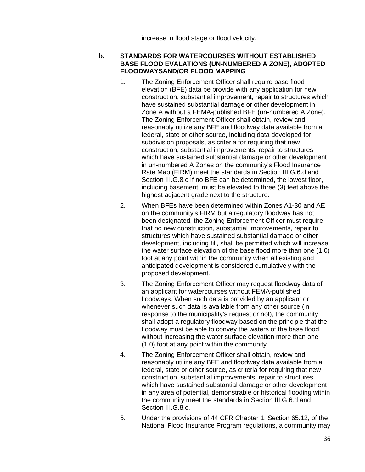increase in flood stage or flood velocity.

# **b. STANDARDS FOR WATERCOURSES WITHOUT ESTABLISHED BASE FLOOD EVALATIONS (UN-NUMBERED A ZONE), ADOPTED FLOODWAYSAND/OR FLOOD MAPPING**

- 1. The Zoning Enforcement Officer shall require base flood elevation (BFE) data be provide with any application for new construction, substantial improvement, repair to structures which have sustained substantial damage or other development in Zone A without a FEMA-published BFE (un-numbered A Zone). The Zoning Enforcement Officer shall obtain, review and reasonably utilize any BFE and floodway data available from a federal, state or other source, including data developed for subdivision proposals, as criteria for requiring that new construction, substantial improvements, repair to structures which have sustained substantial damage or other development in un-numbered A Zones on the community's Flood Insurance Rate Map (FIRM) meet the standards in Section III.G.6.d and Section III.G.8.c If no BFE can be determined, the lowest floor, including basement, must be elevated to three (3) feet above the highest adjacent grade next to the structure.
- 2. When BFEs have been determined within Zones A1-30 and AE on the community's FIRM but a regulatory floodway has not been designated, the Zoning Enforcement Officer must require that no new construction, substantial improvements, repair to structures which have sustained substantial damage or other development, including fill, shall be permitted which will increase the water surface elevation of the base flood more than one (1.0) foot at any point within the community when all existing and anticipated development is considered cumulatively with the proposed development.
- 3. The Zoning Enforcement Officer may request floodway data of an applicant for watercourses without FEMA-published floodways. When such data is provided by an applicant or whenever such data is available from any other source (in response to the municipality's request or not), the community shall adopt a regulatory floodway based on the principle that the floodway must be able to convey the waters of the base flood without increasing the water surface elevation more than one (1.0) foot at any point within the community.
- 4. The Zoning Enforcement Officer shall obtain, review and reasonably utilize any BFE and floodway data available from a federal, state or other source, as criteria for requiring that new construction, substantial improvements, repair to structures which have sustained substantial damage or other development in any area of potential, demonstrable or historical flooding within the community meet the standards in Section III.G.6.d and Section III.G.8.c.
- 5. Under the provisions of 44 CFR Chapter 1, Section 65.12, of the National Flood Insurance Program regulations, a community may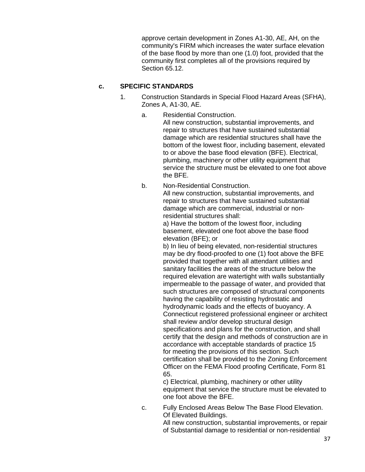approve certain development in Zones A1-30, AE, AH, on the community's FIRM which increases the water surface elevation of the base flood by more than one (1.0) foot, provided that the community first completes all of the provisions required by Section 65.12.

### **c. SPECIFIC STANDARDS**

- 1. Construction Standards in Special Flood Hazard Areas (SFHA), Zones A, A1-30, AE.
	- a. Residential Construction. All new construction, substantial improvements, and repair to structures that have sustained substantial damage which are residential structures shall have the bottom of the lowest floor, including basement, elevated to or above the base flood elevation (BFE). Electrical, plumbing, machinery or other utility equipment that service the structure must be elevated to one foot above the BFE.
	- b. Non-Residential Construction. All new construction, substantial improvements, and repair to structures that have sustained substantial damage which are commercial, industrial or nonresidential structures shall:

a) Have the bottom of the lowest floor, including basement, elevated one foot above the base flood elevation (BFE); or

b) In lieu of being elevated, non-residential structures may be dry flood-proofed to one (1) foot above the BFE provided that together with all attendant utilities and sanitary facilities the areas of the structure below the required elevation are watertight with walls substantially impermeable to the passage of water, and provided that such structures are composed of structural components having the capability of resisting hydrostatic and hydrodynamic loads and the effects of buoyancy. A Connecticut registered professional engineer or architect shall review and/or develop structural design specifications and plans for the construction, and shall certify that the design and methods of construction are in accordance with acceptable standards of practice 15 for meeting the provisions of this section. Such certification shall be provided to the Zoning Enforcement Officer on the FEMA Flood proofing Certificate, Form 81 65.

c) Electrical, plumbing, machinery or other utility equipment that service the structure must be elevated to one foot above the BFE.

c. Fully Enclosed Areas Below The Base Flood Elevation. Of Elevated Buildings.

All new construction, substantial improvements, or repair of Substantial damage to residential or non-residential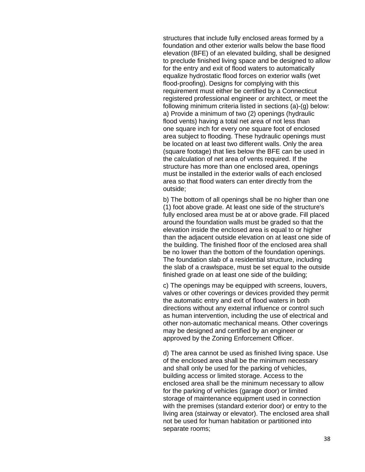structures that include fully enclosed areas formed by a foundation and other exterior walls below the base flood elevation (BFE) of an elevated building, shall be designed to preclude finished living space and be designed to allow for the entry and exit of flood waters to automatically equalize hydrostatic flood forces on exterior walls (wet flood-proofing). Designs for complying with this requirement must either be certified by a Connecticut registered professional engineer or architect, or meet the following minimum criteria listed in sections (a)-(g) below: a) Provide a minimum of two (2) openings (hydraulic flood vents) having a total net area of not less than one square inch for every one square foot of enclosed area subject to flooding. These hydraulic openings must be located on at least two different walls. Only the area (square footage) that lies below the BFE can be used in the calculation of net area of vents required. If the structure has more than one enclosed area, openings must be installed in the exterior walls of each enclosed area so that flood waters can enter directly from the outside;

b) The bottom of all openings shall be no higher than one (1) foot above grade. At least one side of the structure's fully enclosed area must be at or above grade. Fill placed around the foundation walls must be graded so that the elevation inside the enclosed area is equal to or higher than the adjacent outside elevation on at least one side of the building. The finished floor of the enclosed area shall be no lower than the bottom of the foundation openings. The foundation slab of a residential structure, including the slab of a crawlspace, must be set equal to the outside finished grade on at least one side of the building;

c) The openings may be equipped with screens, louvers, valves or other coverings or devices provided they permit the automatic entry and exit of flood waters in both directions without any external influence or control such as human intervention, including the use of electrical and other non-automatic mechanical means. Other coverings may be designed and certified by an engineer or approved by the Zoning Enforcement Officer.

d) The area cannot be used as finished living space. Use of the enclosed area shall be the minimum necessary and shall only be used for the parking of vehicles, building access or limited storage. Access to the enclosed area shall be the minimum necessary to allow for the parking of vehicles (garage door) or limited storage of maintenance equipment used in connection with the premises (standard exterior door) or entry to the living area (stairway or elevator). The enclosed area shall not be used for human habitation or partitioned into separate rooms;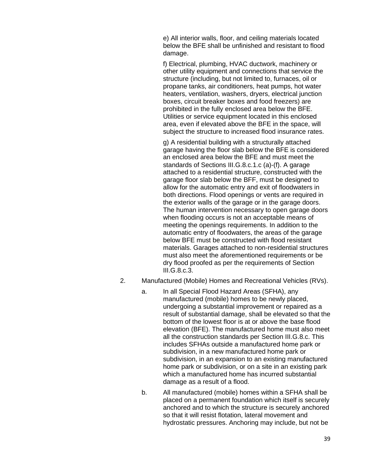e) All interior walls, floor, and ceiling materials located below the BFE shall be unfinished and resistant to flood damage.

f) Electrical, plumbing, HVAC ductwork, machinery or other utility equipment and connections that service the structure (including, but not limited to, furnaces, oil or propane tanks, air conditioners, heat pumps, hot water heaters, ventilation, washers, dryers, electrical junction boxes, circuit breaker boxes and food freezers) are prohibited in the fully enclosed area below the BFE. Utilities or service equipment located in this enclosed area, even if elevated above the BFE in the space, will subject the structure to increased flood insurance rates.

g) A residential building with a structurally attached garage having the floor slab below the BFE is considered an enclosed area below the BFE and must meet the standards of Sections III.G.8.c.1.c (a)-(f). A garage attached to a residential structure, constructed with the garage floor slab below the BFF, must be designed to allow for the automatic entry and exit of floodwaters in both directions. Flood openings or vents are required in the exterior walls of the garage or in the garage doors. The human intervention necessary to open garage doors when flooding occurs is not an acceptable means of meeting the openings requirements. In addition to the automatic entry of floodwaters, the areas of the garage below BFE must be constructed with flood resistant materials. Garages attached to non-residential structures must also meet the aforementioned requirements or be dry flood proofed as per the requirements of Section III.G.8.c.3.

- 2. Manufactured (Mobile) Homes and Recreational Vehicles (RVs).
	- a. In all Special Flood Hazard Areas (SFHA), any manufactured (mobile) homes to be newly placed, undergoing a substantial improvement or repaired as a result of substantial damage, shall be elevated so that the bottom of the lowest floor is at or above the base flood elevation (BFE). The manufactured home must also meet all the construction standards per Section III.G.8.c. This includes SFHAs outside a manufactured home park or subdivision, in a new manufactured home park or subdivision, in an expansion to an existing manufactured home park or subdivision, or on a site in an existing park which a manufactured home has incurred substantial damage as a result of a flood.
	- b. All manufactured (mobile) homes within a SFHA shall be placed on a permanent foundation which itself is securely anchored and to which the structure is securely anchored so that it will resist flotation, lateral movement and hydrostatic pressures. Anchoring may include, but not be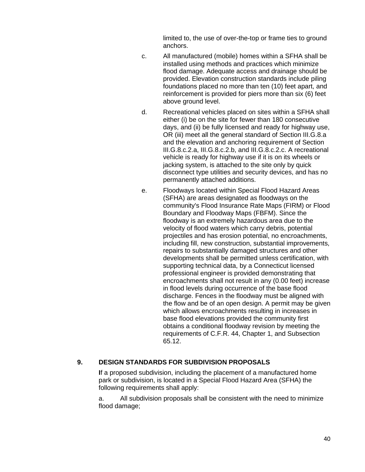limited to, the use of over-the-top or frame ties to ground anchors.

- c. All manufactured (mobile) homes within a SFHA shall be installed using methods and practices which minimize flood damage. Adequate access and drainage should be provided. Elevation construction standards include piling foundations placed no more than ten (10) feet apart, and reinforcement is provided for piers more than six (6) feet above ground level.
- d. Recreational vehicles placed on sites within a SFHA shall either (i) be on the site for fewer than 180 consecutive days, and (ii) be fully licensed and ready for highway use, OR (iii) meet all the general standard of Section III.G.8.a and the elevation and anchoring requirement of Section III.G.8.c.2.a, III.G.8.c.2.b, and III.G.8.c.2.c. A recreational vehicle is ready for highway use if it is on its wheels or jacking system, is attached to the site only by quick disconnect type utilities and security devices, and has no permanently attached additions.
- e. Floodways located within Special Flood Hazard Areas (SFHA) are areas designated as floodways on the community's Flood Insurance Rate Maps (FIRM) or Flood Boundary and Floodway Maps (FBFM). Since the floodway is an extremely hazardous area due to the velocity of flood waters which carry debris, potential projectiles and has erosion potential, no encroachments, including fill, new construction, substantial improvements, repairs to substantially damaged structures and other developments shall be permitted unless certification, with supporting technical data, by a Connecticut licensed professional engineer is provided demonstrating that encroachments shall not result in any (0.00 feet) increase in flood levels during occurrence of the base flood discharge. Fences in the floodway must be aligned with the flow and be of an open design. A permit may be given which allows encroachments resulting in increases in base flood elevations provided the community first obtains a conditional floodway revision by meeting the requirements of C.F.R. 44, Chapter 1, and Subsection 65.12.

#### **9. DESIGN STANDARDS FOR SUBDIVISION PROPOSALS**

**I**f a proposed subdivision, including the placement of a manufactured home park or subdivision, is located in a Special Flood Hazard Area (SFHA) the following requirements shall apply:

a. All subdivision proposals shall be consistent with the need to minimize flood damage;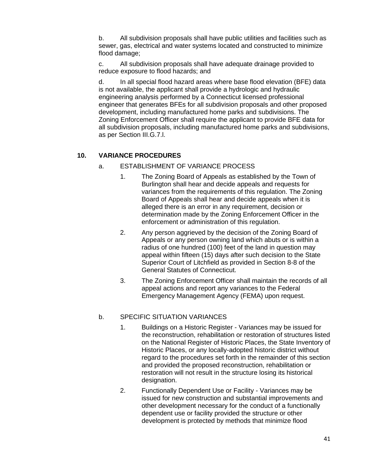b. All subdivision proposals shall have public utilities and facilities such as sewer, gas, electrical and water systems located and constructed to minimize flood damage;

c. All subdivision proposals shall have adequate drainage provided to reduce exposure to flood hazards; and

d. In all special flood hazard areas where base flood elevation (BFE) data is not available, the applicant shall provide a hydrologic and hydraulic engineering analysis performed by a Connecticut licensed professional engineer that generates BFEs for all subdivision proposals and other proposed development, including manufactured home parks and subdivisions. The Zoning Enforcement Officer shall require the applicant to provide BFE data for all subdivision proposals, including manufactured home parks and subdivisions, as per Section III.G.7.l.

### **10. VARIANCE PROCEDURES**

- a. ESTABLISHMENT OF VARIANCE PROCESS
	- 1. The Zoning Board of Appeals as established by the Town of Burlington shall hear and decide appeals and requests for variances from the requirements of this regulation. The Zoning Board of Appeals shall hear and decide appeals when it is alleged there is an error in any requirement, decision or determination made by the Zoning Enforcement Officer in the enforcement or administration of this regulation.
	- 2. Any person aggrieved by the decision of the Zoning Board of Appeals or any person owning land which abuts or is within a radius of one hundred (100) feet of the land in question may appeal within fifteen (15) days after such decision to the State Superior Court of Litchfield as provided in Section 8-8 of the General Statutes of Connecticut.
	- 3. The Zoning Enforcement Officer shall maintain the records of all appeal actions and report any variances to the Federal Emergency Management Agency (FEMA) upon request.

### b. SPECIFIC SITUATION VARIANCES

- 1. Buildings on a Historic Register Variances may be issued for the reconstruction, rehabilitation or restoration of structures listed on the National Register of Historic Places, the State Inventory of Historic Places, or any locally-adopted historic district without regard to the procedures set forth in the remainder of this section and provided the proposed reconstruction, rehabilitation or restoration will not result in the structure losing its historical designation.
- 2. Functionally Dependent Use or Facility Variances may be issued for new construction and substantial improvements and other development necessary for the conduct of a functionally dependent use or facility provided the structure or other development is protected by methods that minimize flood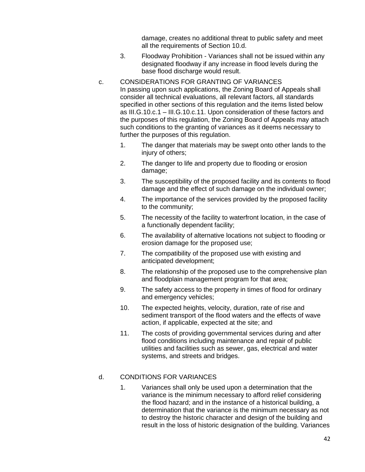damage, creates no additional threat to public safety and meet all the requirements of Section 10.d.

- 3. Floodway Prohibition Variances shall not be issued within any designated floodway if any increase in flood levels during the base flood discharge would result.
- c. CONSIDERATIONS FOR GRANTING OF VARIANCES

In passing upon such applications, the Zoning Board of Appeals shall consider all technical evaluations, all relevant factors, all standards specified in other sections of this regulation and the items listed below as III.G.10.c.1 – III.G.10.c.11. Upon consideration of these factors and the purposes of this regulation, the Zoning Board of Appeals may attach such conditions to the granting of variances as it deems necessary to further the purposes of this regulation.

- 1. The danger that materials may be swept onto other lands to the injury of others;
- 2. The danger to life and property due to flooding or erosion damage;
- 3. The susceptibility of the proposed facility and its contents to flood damage and the effect of such damage on the individual owner;
- 4. The importance of the services provided by the proposed facility to the community;
- 5. The necessity of the facility to waterfront location, in the case of a functionally dependent facility;
- 6. The availability of alternative locations not subject to flooding or erosion damage for the proposed use;
- 7. The compatibility of the proposed use with existing and anticipated development;
- 8. The relationship of the proposed use to the comprehensive plan and floodplain management program for that area;
- 9. The safety access to the property in times of flood for ordinary and emergency vehicles;
- 10. The expected heights, velocity, duration, rate of rise and sediment transport of the flood waters and the effects of wave action, if applicable, expected at the site; and
- 11. The costs of providing governmental services during and after flood conditions including maintenance and repair of public utilities and facilities such as sewer, gas, electrical and water systems, and streets and bridges.

#### d. CONDITIONS FOR VARIANCES

1. Variances shall only be used upon a determination that the variance is the minimum necessary to afford relief considering the flood hazard; and in the instance of a historical building, a determination that the variance is the minimum necessary as not to destroy the historic character and design of the building and result in the loss of historic designation of the building. Variances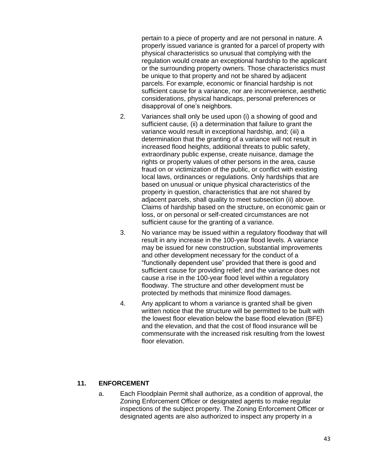pertain to a piece of property and are not personal in nature. A properly issued variance is granted for a parcel of property with physical characteristics so unusual that complying with the regulation would create an exceptional hardship to the applicant or the surrounding property owners. Those characteristics must be unique to that property and not be shared by adjacent parcels. For example, economic or financial hardship is not sufficient cause for a variance, nor are inconvenience, aesthetic considerations, physical handicaps, personal preferences or disapproval of one's neighbors.

- 2. Variances shall only be used upon (i) a showing of good and sufficient cause, (ii) a determination that failure to grant the variance would result in exceptional hardship, and; (iii) a determination that the granting of a variance will not result in increased flood heights, additional threats to public safety, extraordinary public expense, create nuisance, damage the rights or property values of other persons in the area, cause fraud on or victimization of the public, or conflict with existing local laws, ordinances or regulations. Only hardships that are based on unusual or unique physical characteristics of the property in question, characteristics that are not shared by adjacent parcels, shall quality to meet subsection (ii) above. Claims of hardship based on the structure, on economic gain or loss, or on personal or self-created circumstances are not sufficient cause for the granting of a variance.
- 3. No variance may be issued within a regulatory floodway that will result in any increase in the 100-year flood levels. A variance may be issued for new construction, substantial improvements and other development necessary for the conduct of a "functionally dependent use" provided that there is good and sufficient cause for providing relief; and the variance does not cause a rise in the 100-year flood level within a regulatory floodway. The structure and other development must be protected by methods that minimize flood damages.
- 4. Any applicant to whom a variance is granted shall be given written notice that the structure will be permitted to be built with the lowest floor elevation below the base flood elevation (BFE) and the elevation, and that the cost of flood insurance will be commensurate with the increased risk resulting from the lowest floor elevation.

### **11. ENFORCEMENT**

a. Each Floodplain Permit shall authorize, as a condition of approval, the Zoning Enforcement Officer or designated agents to make regular inspections of the subject property. The Zoning Enforcement Officer or designated agents are also authorized to inspect any property in a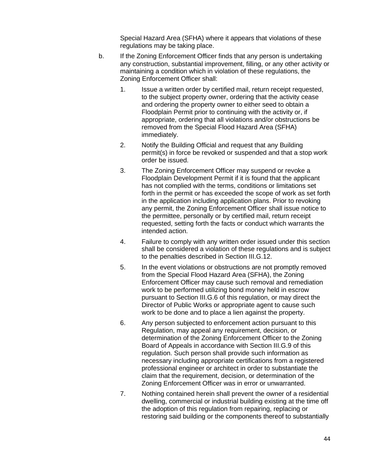Special Hazard Area (SFHA) where it appears that violations of these regulations may be taking place.

- b. If the Zoning Enforcement Officer finds that any person is undertaking any construction, substantial improvement, filling, or any other activity or maintaining a condition which in violation of these regulations, the Zoning Enforcement Officer shall:
	- 1. Issue a written order by certified mail, return receipt requested, to the subject property owner, ordering that the activity cease and ordering the property owner to either seed to obtain a Floodplain Permit prior to continuing with the activity or, if appropriate, ordering that all violations and/or obstructions be removed from the Special Flood Hazard Area (SFHA) immediately.
	- 2. Notify the Building Official and request that any Building permit(s) in force be revoked or suspended and that a stop work order be issued.
	- 3. The Zoning Enforcement Officer may suspend or revoke a Floodplain Development Permit if it is found that the applicant has not complied with the terms, conditions or limitations set forth in the permit or has exceeded the scope of work as set forth in the application including application plans. Prior to revoking any permit, the Zoning Enforcement Officer shall issue notice to the permittee, personally or by certified mail, return receipt requested, setting forth the facts or conduct which warrants the intended action.
	- 4. Failure to comply with any written order issued under this section shall be considered a violation of these regulations and is subject to the penalties described in Section III.G.12.
	- 5. In the event violations or obstructions are not promptly removed from the Special Flood Hazard Area (SFHA), the Zoning Enforcement Officer may cause such removal and remediation work to be performed utilizing bond money held in escrow pursuant to Section III.G.6 of this regulation, or may direct the Director of Public Works or appropriate agent to cause such work to be done and to place a lien against the property.
	- 6. Any person subjected to enforcement action pursuant to this Regulation, may appeal any requirement, decision, or determination of the Zoning Enforcement Officer to the Zoning Board of Appeals in accordance with Section III.G.9 of this regulation. Such person shall provide such information as necessary including appropriate certifications from a registered professional engineer or architect in order to substantiate the claim that the requirement, decision, or determination of the Zoning Enforcement Officer was in error or unwarranted.
	- 7. Nothing contained herein shall prevent the owner of a residential dwelling, commercial or industrial building existing at the time off the adoption of this regulation from repairing, replacing or restoring said building or the components thereof to substantially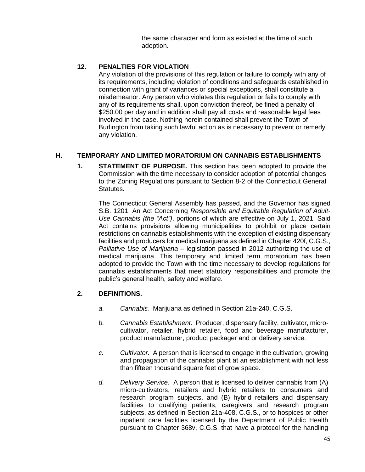the same character and form as existed at the time of such adoption.

## **12. PENALTIES FOR VIOLATION**

Any violation of the provisions of this regulation or failure to comply with any of its requirements, including violation of conditions and safeguards established in connection with grant of variances or special exceptions, shall constitute a misdemeanor. Any person who violates this regulation or fails to comply with any of its requirements shall, upon conviction thereof, be fined a penalty of \$250.00 per day and in addition shall pay all costs and reasonable legal fees involved in the case. Nothing herein contained shall prevent the Town of Burlington from taking such lawful action as is necessary to prevent or remedy any violation.

# **H. TEMPORARY AND LIMITED MORATORIUM ON CANNABIS ESTABLISHMENTS**

**1. STATEMENT OF PURPOSE.** This section has been adopted to provide the Commission with the time necessary to consider adoption of potential changes to the Zoning Regulations pursuant to Section 8-2 of the Connecticut General Statutes.

The Connecticut General Assembly has passed, and the Governor has signed S.B. 1201, An Act Concerning *Responsible and Equitable Regulation of Adult-Use Cannabis (the "Act")*, portions of which are effective on July 1, 2021. Said Act contains provisions allowing municipalities to prohibit or place certain restrictions on cannabis establishments with the exception of existing dispensary facilities and producers for medical marijuana as defined in Chapter 420f, C.G.S., *Palliative Use of Marijuana* – legislation passed in 2012 authorizing the use of medical marijuana. This temporary and limited term moratorium has been adopted to provide the Town with the time necessary to develop regulations for cannabis establishments that meet statutory responsibilities and promote the public's general health, safety and welfare.

### **2. DEFINITIONS.**

- *a. Cannabis.* Marijuana as defined in Section 21a-240, C.G.S.
- *b. Cannabis Establishment*. Producer, dispensary facility, cultivator, microcultivator, retailer, hybrid retailer, food and beverage manufacturer, product manufacturer, product packager and or delivery service.
- *c. Cultivator.* A person that is licensed to engage in the cultivation, growing and propagation of the cannabis plant at an establishment with not less than fifteen thousand square feet of grow space.
- *d. Delivery Service.* A person that is licensed to deliver cannabis from (A) micro-cultivators, retailers and hybrid retailers to consumers and research program subjects, and (B) hybrid retailers and dispensary facilities to qualifying patients, caregivers and research program subjects, as defined in Section 21a-408, C.G.S., or to hospices or other inpatient care facilities licensed by the Department of Public Health pursuant to Chapter 368v, C.G.S. that have a protocol for the handling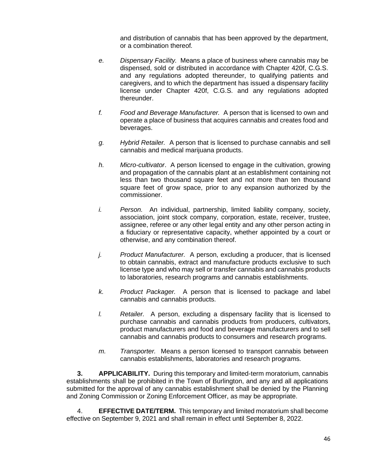and distribution of cannabis that has been approved by the department, or a combination thereof*.*

- *e. Dispensary Facility.* Means a place of business where cannabis may be dispensed, sold or distributed in accordance with Chapter 420f, C.G.S. and any regulations adopted thereunder, to qualifying patients and caregivers, and to which the department has issued a dispensary facility license under Chapter 420f, C.G.S. and any regulations adopted thereunder.
- *f. Food and Beverage Manufacturer.* A person that is licensed to own and operate a place of business that acquires cannabis and creates food and beverages.
- *g. Hybrid Retailer.* A person that is licensed to purchase cannabis and sell cannabis and medical marijuana products.
- *h. Micro-cultivator*. A person licensed to engage in the cultivation, growing and propagation of the cannabis plant at an establishment containing not less than two thousand square feet and not more than ten thousand square feet of grow space, prior to any expansion authorized by the commissioner.
- *i. Person.* An individual, partnership, limited liability company, society, association, joint stock company, corporation, estate, receiver, trustee, assignee, referee or any other legal entity and any other person acting in a fiduciary or representative capacity, whether appointed by a court or otherwise, and any combination thereof.
- *j. Product Manufacturer.* A person, excluding a producer, that is licensed to obtain cannabis, extract and manufacture products exclusive to such license type and who may sell or transfer cannabis and cannabis products to laboratories, research programs and cannabis establishments.
- *k. Product Packager.* A person that is licensed to package and label cannabis and cannabis products.
- *l. Retailer.* A person, excluding a dispensary facility that is licensed to purchase cannabis and cannabis products from producers, cultivators, product manufacturers and food and beverage manufacturers and to sell cannabis and cannabis products to consumers and research programs.
- *m. Transporter.* Means a person licensed to transport cannabis between cannabis establishments, laboratories and research programs*.*

**3. APPLICABILITY.** During this temporary and limited-term moratorium, cannabis establishments shall be prohibited in the Town of Burlington, and any and all applications submitted for the approval of any cannabis establishment shall be denied by the Planning and Zoning Commission or Zoning Enforcement Officer, as may be appropriate.

4. **EFFECTIVE DATE/TERM.** This temporary and limited moratorium shall become effective on September 9, 2021 and shall remain in effect until September 8, 2022.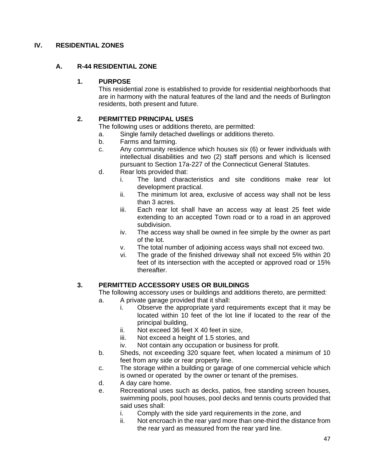### **IV. RESIDENTIAL ZONES**

#### **A. R-44 RESIDENTIAL ZONE**

#### **1. PURPOSE**

This residential zone is established to provide for residential neighborhoods that are in harmony with the natural features of the land and the needs of Burlington residents, both present and future.

#### **2. PERMITTED PRINCIPAL USES**

The following uses or additions thereto, are permitted:

- a. Single family detached dwellings or additions thereto.
- b. Farms and farming.
- c. Any community residence which houses six (6) or fewer individuals with intellectual disabilities and two (2) staff persons and which is licensed pursuant to Section 17a-227 of the Connecticut General Statutes.
- d. Rear lots provided that:
	- i. The land characteristics and site conditions make rear lot development practical.
	- ii. The minimum lot area, exclusive of access way shall not be less than 3 acres.
	- iii. Each rear lot shall have an access way at least 25 feet wide extending to an accepted Town road or to a road in an approved subdivision.
	- iv. The access way shall be owned in fee simple by the owner as part of the lot.
	- v. The total number of adjoining access ways shall not exceed two.
	- vi. The grade of the finished driveway shall not exceed 5% within 20 feet of its intersection with the accepted or approved road or 15% thereafter.

### **3. PERMITTED ACCESSORY USES OR BUILDINGS**

- The following accessory uses or buildings and additions thereto, are permitted:
	- a. A private garage provided that it shall:
		- i. Observe the appropriate yard requirements except that it may be located within 10 feet of the lot line if located to the rear of the principal building,
		- ii. Not exceed 36 feet X 40 feet in size,
		- iii. Not exceed a height of 1.5 stories, and
		- iv. Not contain any occupation or business for profit.
	- b. Sheds, not exceeding 320 square feet, when located a minimum of 10 feet from any side or rear property line.
	- c. The storage within a building or garage of one commercial vehicle which is owned or operated by the owner or tenant of the premises.
	- d. A day care home.
	- e. Recreational uses such as decks, patios, free standing screen houses, swimming pools, pool houses, pool decks and tennis courts provided that said uses shall:
		- i. Comply with the side yard requirements in the zone, and
		- ii. Not encroach in the rear yard more than one-third the distance from the rear yard as measured from the rear yard line.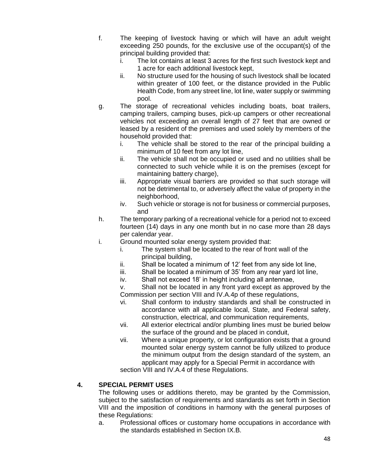- f. The keeping of livestock having or which will have an adult weight exceeding 250 pounds, for the exclusive use of the occupant(s) of the principal building provided that:
	- i. The lot contains at least 3 acres for the first such livestock kept and 1 acre for each additional livestock kept,
	- ii. No structure used for the housing of such livestock shall be located within greater of 100 feet, or the distance provided in the Public Health Code, from any street line, lot line, water supply or swimming pool.
- g. The storage of recreational vehicles including boats, boat trailers, camping trailers, camping buses, pick-up campers or other recreational vehicles not exceeding an overall length of 27 feet that are owned or leased by a resident of the premises and used solely by members of the household provided that:
	- i. The vehicle shall be stored to the rear of the principal building a minimum of 10 feet from any lot line,
	- ii. The vehicle shall not be occupied or used and no utilities shall be connected to such vehicle while it is on the premises (except for maintaining battery charge),
	- iii. Appropriate visual barriers are provided so that such storage will not be detrimental to, or adversely affect the value of property in the neighborhood,
	- iv. Such vehicle or storage is not for business or commercial purposes, and
- h. The temporary parking of a recreational vehicle for a period not to exceed fourteen (14) days in any one month but in no case more than 28 days per calendar year.
- i. Ground mounted solar energy system provided that:
	- i. The system shall be located to the rear of front wall of the principal building,
	- ii. Shall be located a minimum of 12' feet from any side lot line,
	- iii. Shall be located a minimum of 35' from any rear yard lot line,
	- iv. Shall not exceed 18' in height including all antennae,
	- v. Shall not be located in any front yard except as approved by the Commission per section VIII and IV.A.4p of these regulations,
	- vi. Shall conform to industry standards and shall be constructed in accordance with all applicable local, State, and Federal safety, construction, electrical, and communication requirements,
	- vii. All exterior electrical and/or plumbing lines must be buried below the surface of the ground and be placed in conduit,
	- vii. Where a unique property, or lot configuration exists that a ground mounted solar energy system cannot be fully utilized to produce the minimum output from the design standard of the system, an applicant may apply for a Special Permit in accordance with

section VIII and IV.A.4 of these Regulations.

### **4. SPECIAL PERMIT USES**

The following uses or additions thereto, may be granted by the Commission, subject to the satisfaction of requirements and standards as set forth in Section VIII and the imposition of conditions in harmony with the general purposes of these Regulations:

a. Professional offices or customary home occupations in accordance with the standards established in Section IX.B.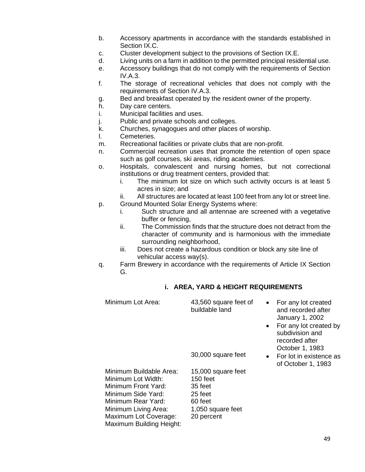- b. Accessory apartments in accordance with the standards established in Section IX.C.
- c. Cluster development subject to the provisions of Section IX.E.
- d. Living units on a farm in addition to the permitted principal residential use.
- e. Accessory buildings that do not comply with the requirements of Section IV.A.3.
- f. The storage of recreational vehicles that does not comply with the requirements of Section IV.A.3.
- g. Bed and breakfast operated by the resident owner of the property.
- h. Day care centers.
- i. Municipal facilities and uses.
- j. Public and private schools and colleges.
- k. Churches, synagogues and other places of worship.
- l. Cemeteries.
- m. Recreational facilities or private clubs that are non-profit.
- n. Commercial recreation uses that promote the retention of open space such as golf courses, ski areas, riding academies.
- o. Hospitals, convalescent and nursing homes, but not correctional institutions or drug treatment centers, provided that:
	- i. The minimum lot size on which such activity occurs is at least 5 acres in size; and
	- ii. All structures are located at least 100 feet from any lot or street line.
- p. Ground Mounted Solar Energy Systems where: i. Such structure and all antennae are screened with a vegetative
	- buffer or fencing, ii. The Commission finds that the structure does not detract from the character of community and is harmonious with the immediate surrounding neighborhood,
	- iii. Does not create a hazardous condition or block any site line of vehicular access way(s).
- q. Farm Brewery in accordance with the requirements of Article IX Section G.

### **i. AREA, YARD & HEIGHT REQUIREMENTS**

| Minimum Lot Area:                                                                                                                                                                             | 43,560 square feet of<br>buildable land                                                              | $\bullet$<br>$\bullet$ | For any lot created<br>and recorded after<br>January 1, 2002<br>For any lot created by<br>subdivision and<br>recorded after<br>October 1, 1983 |
|-----------------------------------------------------------------------------------------------------------------------------------------------------------------------------------------------|------------------------------------------------------------------------------------------------------|------------------------|------------------------------------------------------------------------------------------------------------------------------------------------|
|                                                                                                                                                                                               | 30,000 square feet                                                                                   |                        | • For lot in existence as<br>of October 1, 1983                                                                                                |
| Minimum Buildable Area:<br>Minimum Lot Width:<br>Minimum Front Yard:<br>Minimum Side Yard:<br>Minimum Rear Yard:<br>Minimum Living Area:<br>Maximum Lot Coverage:<br>Maximum Building Height: | 15,000 square feet<br>$150$ feet<br>35 feet<br>25 feet<br>60 feet<br>1,050 square feet<br>20 percent |                        |                                                                                                                                                |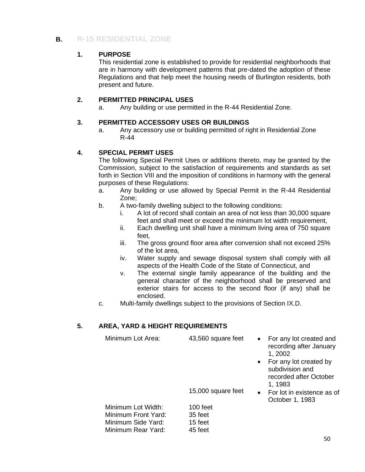# **B. R-15 RESIDENTIAL ZONE**

### **1. PURPOSE**

This residential zone is established to provide for residential neighborhoods that are in harmony with development patterns that pre-dated the adoption of these Regulations and that help meet the housing needs of Burlington residents, both present and future.

#### **2. PERMITTED PRINCIPAL USES**

a. Any building or use permitted in the R-44 Residential Zone.

#### **3. PERMITTED ACCESSORY USES OR BUILDINGS**

a. Any accessory use or building permitted of right in Residential Zone R-44

#### **4. SPECIAL PERMIT USES**

The following Special Permit Uses or additions thereto, may be granted by the Commission, subject to the satisfaction of requirements and standards as set forth in Section VIII and the imposition of conditions in harmony with the general purposes of these Regulations:

- a. Any building or use allowed by Special Permit in the R-44 Residential Zone;
- b. A two-family dwelling subject to the following conditions:
	- i. A lot of record shall contain an area of not less than 30,000 square feet and shall meet or exceed the minimum lot width requirement,
	- ii. Each dwelling unit shall have a minimum living area of 750 square feet,
	- iii. The gross ground floor area after conversion shall not exceed 25% of the lot area,
	- iv. Water supply and sewage disposal system shall comply with all aspects of the Health Code of the State of Connecticut, and
	- v. The external single family appearance of the building and the general character of the neighborhood shall be preserved and exterior stairs for access to the second floor (if any) shall be enclosed.
- c. Multi-family dwellings subject to the provisions of Section IX.D.

### **5. AREA, YARD & HEIGHT REQUIREMENTS**

| Minimum Lot Area:   | 43,560 square feet | $\bullet$ | For any lot created and<br>recording after January<br>1, 2002<br>• For any lot created by<br>subdivision and<br>recorded after October |
|---------------------|--------------------|-----------|----------------------------------------------------------------------------------------------------------------------------------------|
|                     | 15,000 square feet | $\bullet$ | 1, 1983<br>For lot in existence as of<br>October 1, 1983                                                                               |
| Minimum Lot Width:  | 100 feet           |           |                                                                                                                                        |
| Minimum Front Yard: | 35 feet            |           |                                                                                                                                        |
| Minimum Side Yard:  | 15 feet            |           |                                                                                                                                        |
| Minimum Rear Yard:  | 45 feet            |           |                                                                                                                                        |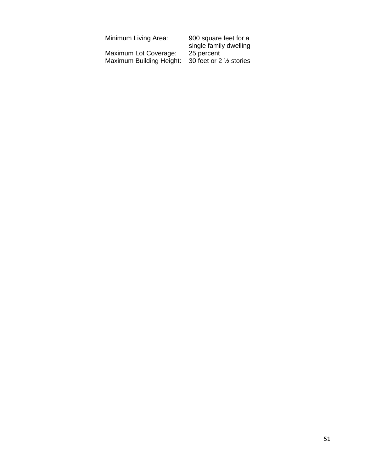| Minimum Living Area:     | 900 square feet for a              |
|--------------------------|------------------------------------|
|                          | single family dwelling             |
| Maximum Lot Coverage:    | 25 percent                         |
| Maximum Building Height: | 30 feet or 2 $\frac{1}{2}$ stories |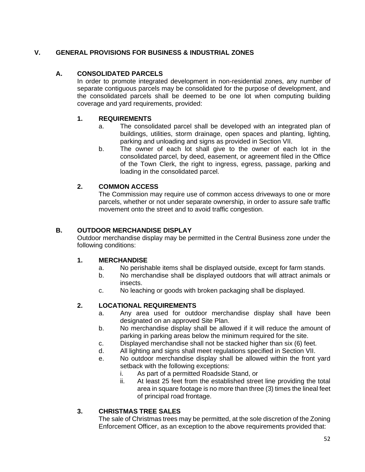## **V. GENERAL PROVISIONS FOR BUSINESS & INDUSTRIAL ZONES**

### **A. CONSOLIDATED PARCELS**

In order to promote integrated development in non-residential zones, any number of separate contiguous parcels may be consolidated for the purpose of development, and the consolidated parcels shall be deemed to be one lot when computing building coverage and yard requirements, provided:

#### **1. REQUIREMENTS**

- a. The consolidated parcel shall be developed with an integrated plan of buildings, utilities, storm drainage, open spaces and planting, lighting, parking and unloading and signs as provided in Section VII.
- b. The owner of each lot shall give to the owner of each lot in the consolidated parcel, by deed, easement, or agreement filed in the Office of the Town Clerk, the right to ingress, egress, passage, parking and loading in the consolidated parcel.

### **2. COMMON ACCESS**

The Commission may require use of common access driveways to one or more parcels, whether or not under separate ownership, in order to assure safe traffic movement onto the street and to avoid traffic congestion.

#### **B. OUTDOOR MERCHANDISE DISPLAY**

Outdoor merchandise display may be permitted in the Central Business zone under the following conditions:

#### **1. MERCHANDISE**

- a. No perishable items shall be displayed outside, except for farm stands.
- b. No merchandise shall be displayed outdoors that will attract animals or insects.
- c. No leaching or goods with broken packaging shall be displayed.

#### **2. LOCATIONAL REQUIREMENTS**

- a. Any area used for outdoor merchandise display shall have been designated on an approved Site Plan.
- b. No merchandise display shall be allowed if it will reduce the amount of parking in parking areas below the minimum required for the site.
- c. Displayed merchandise shall not be stacked higher than six (6) feet.
- d. All lighting and signs shall meet regulations specified in Section VII.
- e. No outdoor merchandise display shall be allowed within the front yard setback with the following exceptions:
	- i. As part of a permitted Roadside Stand, or
	- ii. At least 25 feet from the established street line providing the total area in square footage is no more than three (3) times the lineal feet of principal road frontage.

#### **3. CHRISTMAS TREE SALES**

The sale of Christmas trees may be permitted, at the sole discretion of the Zoning Enforcement Officer, as an exception to the above requirements provided that: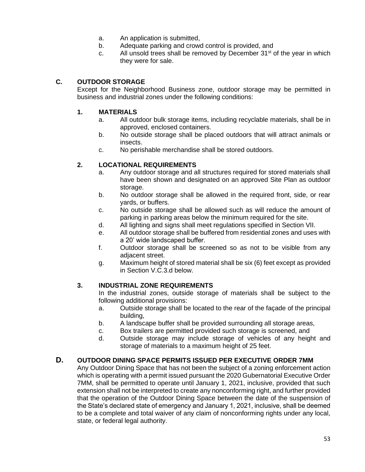- a. An application is submitted,
- b. Adequate parking and crowd control is provided, and
- c. All unsold trees shall be removed by December  $31<sup>st</sup>$  of the year in which they were for sale.

### **C. OUTDOOR STORAGE**

Except for the Neighborhood Business zone, outdoor storage may be permitted in business and industrial zones under the following conditions:

#### **1. MATERIALS**

- a. All outdoor bulk storage items, including recyclable materials, shall be in approved, enclosed containers.
- b. No outside storage shall be placed outdoors that will attract animals or insects.
- c. No perishable merchandise shall be stored outdoors.

#### **2. LOCATIONAL REQUIREMENTS**

- a. Any outdoor storage and all structures required for stored materials shall have been shown and designated on an approved Site Plan as outdoor storage.
- b. No outdoor storage shall be allowed in the required front, side, or rear yards, or buffers.
- c. No outside storage shall be allowed such as will reduce the amount of parking in parking areas below the minimum required for the site.
- d. All lighting and signs shall meet regulations specified in Section VII.
- e. All outdoor storage shall be buffered from residential zones and uses with a 20' wide landscaped buffer.
- f. Outdoor storage shall be screened so as not to be visible from any adjacent street.
- g. Maximum height of stored material shall be six (6) feet except as provided in Section V.C.3.d below.

#### **3. INDUSTRIAL ZONE REQUIREMENTS**

In the industrial zones, outside storage of materials shall be subject to the following additional provisions:

- a. Outside storage shall be located to the rear of the façade of the principal building,
- b. A landscape buffer shall be provided surrounding all storage areas,
- c. Box trailers are permitted provided such storage is screened, and
- d. Outside storage may include storage of vehicles of any height and storage of materials to a maximum height of 25 feet.

#### **D. OUTDOOR DINING SPACE PERMITS ISSUED PER EXECUTIVE ORDER 7MM**

Any Outdoor Dining Space that has not been the subject of a zoning enforcement action which is operating with a permit issued pursuant the 2020 Gubernatorial Executive Order 7MM, shall be permitted to operate until January 1, 2021, inclusive, provided that such extension shall not be interpreted to create any nonconforming right, and further provided that the operation of the Outdoor Dining Space between the date of the suspension of the State's declared state of emergency and January 1, 2021, inclusive, shall be deemed to be a complete and total waiver of any claim of nonconforming rights under any local, state, or federal legal authority.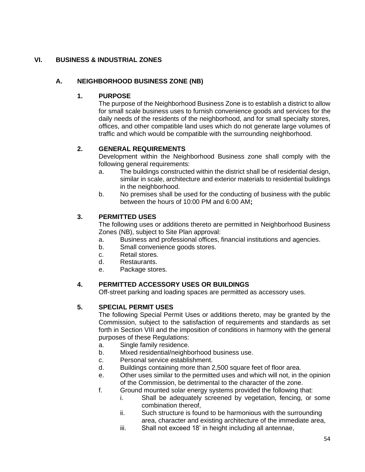# **VI. BUSINESS & INDUSTRIAL ZONES**

# **A. NEIGHBORHOOD BUSINESS ZONE (NB)**

#### **1. PURPOSE**

The purpose of the Neighborhood Business Zone is to establish a district to allow for small scale business uses to furnish convenience goods and services for the daily needs of the residents of the neighborhood, and for small specialty stores, offices, and other compatible land uses which do not generate large volumes of traffic and which would be compatible with the surrounding neighborhood.

#### **2. GENERAL REQUIREMENTS**

Development within the Neighborhood Business zone shall comply with the following general requirements:

- a. The buildings constructed within the district shall be of residential design, similar in scale, architecture and exterior materials to residential buildings in the neighborhood.
- b. No premises shall be used for the conducting of business with the public between the hours of 10:00 PM and 6:00 AM**;**

### **3. PERMITTED USES**

The following uses or additions thereto are permitted in Neighborhood Business Zones (NB), subject to Site Plan approval:

- a. Business and professional offices, financial institutions and agencies.
- b. Small convenience goods stores.
- c. Retail stores.
- d. Restaurants.
- e. Package stores.

### **4. PERMITTED ACCESSORY USES OR BUILDINGS**

Off-street parking and loading spaces are permitted as accessory uses.

### **5. SPECIAL PERMIT USES**

The following Special Permit Uses or additions thereto, may be granted by the Commission, subject to the satisfaction of requirements and standards as set forth in Section VIII and the imposition of conditions in harmony with the general purposes of these Regulations:

- a. Single family residence.
- b. Mixed residential/neighborhood business use.
- c. Personal service establishment.
- d. Buildings containing more than 2,500 square feet of floor area.
- e. Other uses similar to the permitted uses and which will not, in the opinion of the Commission, be detrimental to the character of the zone.
- f. Ground mounted solar energy systems provided the following that:
	- i. Shall be adequately screened by vegetation, fencing, or some combination thereof,
	- ii. Such structure is found to be harmonious with the surrounding area, character and existing architecture of the immediate area,
	- iii. Shall not exceed 18' in height including all antennae,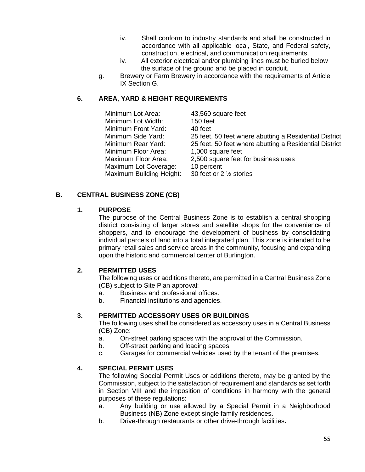- iv. Shall conform to industry standards and shall be constructed in accordance with all applicable local, State, and Federal safety, construction, electrical, and communication requirements,
- iv. All exterior electrical and/or plumbing lines must be buried below the surface of the ground and be placed in conduit.
- g. Brewery or Farm Brewery in accordance with the requirements of Article IX Section G.

### **6. AREA, YARD & HEIGHT REQUIREMENTS**

| Minimum Lot Area:        | 43,560 square feet                                     |
|--------------------------|--------------------------------------------------------|
| Minimum Lot Width:       | 150 feet                                               |
| Minimum Front Yard:      | 40 feet                                                |
| Minimum Side Yard:       | 25 feet, 50 feet where abutting a Residential District |
| Minimum Rear Yard:       | 25 feet, 50 feet where abutting a Residential District |
| Minimum Floor Area:      | 1,000 square feet                                      |
| Maximum Floor Area:      | 2,500 square feet for business uses                    |
| Maximum Lot Coverage:    | 10 percent                                             |
| Maximum Building Height: | 30 feet or 2 $\frac{1}{2}$ stories                     |

### **B. CENTRAL BUSINESS ZONE (CB)**

#### **1. PURPOSE**

The purpose of the Central Business Zone is to establish a central shopping district consisting of larger stores and satellite shops for the convenience of shoppers, and to encourage the development of business by consolidating individual parcels of land into a total integrated plan. This zone is intended to be primary retail sales and service areas in the community, focusing and expanding upon the historic and commercial center of Burlington.

### **2. PERMITTED USES**

The following uses or additions thereto, are permitted in a Central Business Zone (CB) subject to Site Plan approval:

- a. Business and professional offices.
- b. Financial institutions and agencies.

### **3. PERMITTED ACCESSORY USES OR BUILDINGS**

The following uses shall be considered as accessory uses in a Central Business (CB) Zone:

- a. On-street parking spaces with the approval of the Commission.
- b. Off-street parking and loading spaces.
- c. Garages for commercial vehicles used by the tenant of the premises.

### **4. SPECIAL PERMIT USES**

The following Special Permit Uses or additions thereto, may be granted by the Commission, subject to the satisfaction of requirement and standards as set forth in Section VIII and the imposition of conditions in harmony with the general purposes of these regulations:

- a. Any building or use allowed by a Special Permit in a Neighborhood Business (NB) Zone except single family residences**.**
- b. Drive-through restaurants or other drive-through facilities**.**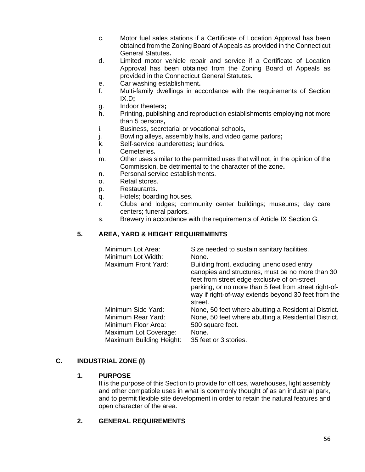- c. Motor fuel sales stations if a Certificate of Location Approval has been obtained from the Zoning Board of Appeals as provided in the Connecticut General Statutes**.**
- d. Limited motor vehicle repair and service if a Certificate of Location Approval has been obtained from the Zoning Board of Appeals as provided in the Connecticut General Statutes**.**
- e. Car washing establishment**.**
- f. Multi-family dwellings in accordance with the requirements of Section IX.D**;**
- g. Indoor theaters**;**
- h. Printing, publishing and reproduction establishments employing not more than 5 persons**,**
- i. Business, secretarial or vocational schools**,**
- j. Bowling alleys, assembly halls, and video game parlors**;**
- k. Self-service launderettes**;** laundries**.**
- l. Cemeteries**.**
- m. Other uses similar to the permitted uses that will not, in the opinion of the Commission, be detrimental to the character of the zone**.**
- n. Personal service establishments.
- o. Retail stores.
- p. Restaurants.
- q. Hotels; boarding houses.
- r. Clubs and lodges; community center buildings; museums; day care centers; funeral parlors.
- s. Brewery in accordance with the requirements of Article IX Section G.

### **5. AREA, YARD & HEIGHT REQUIREMENTS**

| Minimum Lot Area:<br>Minimum Lot Width:<br>Maximum Front Yard:                           | Size needed to sustain sanitary facilities.<br>None.<br>Building front, excluding unenclosed entry<br>canopies and structures, must be no more than 30<br>feet from street edge exclusive of on-street |
|------------------------------------------------------------------------------------------|--------------------------------------------------------------------------------------------------------------------------------------------------------------------------------------------------------|
|                                                                                          | parking, or no more than 5 feet from street right-of-<br>way if right-of-way extends beyond 30 feet from the<br>street.                                                                                |
| Minimum Side Yard:<br>Minimum Rear Yard:<br>Minimum Floor Area:<br>Maximum Lot Coverage: | None, 50 feet where abutting a Residential District.<br>None, 50 feet where abutting a Residential District.<br>500 square feet.<br>None.                                                              |
| Maximum Building Height:                                                                 | 35 feet or 3 stories.                                                                                                                                                                                  |

#### **C. INDUSTRIAL ZONE (I)**

#### **1. PURPOSE**

It is the purpose of this Section to provide for offices, warehouses, light assembly and other compatible uses in what is commonly thought of as an industrial park, and to permit flexible site development in order to retain the natural features and open character of the area.

#### **2. GENERAL REQUIREMENTS**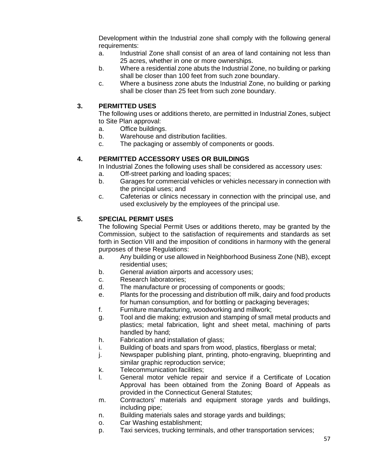Development within the Industrial zone shall comply with the following general requirements:

- a. Industrial Zone shall consist of an area of land containing not less than 25 acres, whether in one or more ownerships.
- b. Where a residential zone abuts the Industrial Zone, no building or parking shall be closer than 100 feet from such zone boundary.
- c. Where a business zone abuts the Industrial Zone, no building or parking shall be closer than 25 feet from such zone boundary.

## **3. PERMITTED USES**

The following uses or additions thereto, are permitted in Industrial Zones, subject to Site Plan approval:

- a. Office buildings.
- b. Warehouse and distribution facilities.
- c. The packaging or assembly of components or goods.

# **4. PERMITTED ACCESSORY USES OR BUILDINGS**

In Industrial Zones the following uses shall be considered as accessory uses:

- a. Off-street parking and loading spaces;
- b. Garages for commercial vehicles or vehicles necessary in connection with the principal uses; and
- c. Cafeterias or clinics necessary in connection with the principal use, and used exclusively by the employees of the principal use.

### **5. SPECIAL PERMIT USES**

The following Special Permit Uses or additions thereto, may be granted by the Commission, subject to the satisfaction of requirements and standards as set forth in Section VIII and the imposition of conditions in harmony with the general purposes of these Regulations:

- a. Any building or use allowed in Neighborhood Business Zone (NB), except residential uses;
- b. General aviation airports and accessory uses;
- c. Research laboratories;
- d. The manufacture or processing of components or goods;
- e. Plants for the processing and distribution off milk, dairy and food products for human consumption, and for bottling or packaging beverages;
- f. Furniture manufacturing, woodworking and millwork;
- g. Tool and die making; extrusion and stamping of small metal products and plastics; metal fabrication, light and sheet metal, machining of parts handled by hand;
- h. Fabrication and installation of glass;
- i. Building of boats and spars from wood, plastics, fiberglass or metal;
- j. Newspaper publishing plant, printing, photo-engraving, blueprinting and similar graphic reproduction service;
- k. Telecommunication facilities;
- l. General motor vehicle repair and service if a Certificate of Location Approval has been obtained from the Zoning Board of Appeals as provided in the Connecticut General Statutes;
- m. Contractors' materials and equipment storage yards and buildings, including pipe;
- n. Building materials sales and storage yards and buildings;
- o. Car Washing establishment;
- p. Taxi services, trucking terminals, and other transportation services;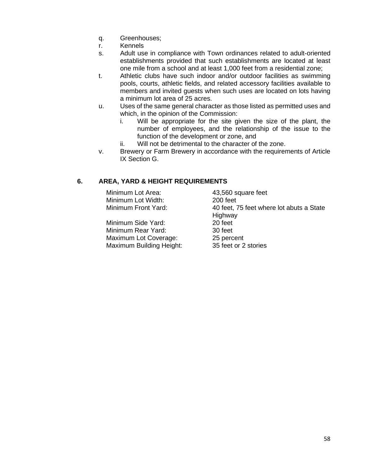- q. Greenhouses;
- r. Kennels
- s. Adult use in compliance with Town ordinances related to adult-oriented establishments provided that such establishments are located at least one mile from a school and at least 1,000 feet from a residential zone;
- t. Athletic clubs have such indoor and/or outdoor facilities as swimming pools, courts, athletic fields, and related accessory facilities available to members and invited guests when such uses are located on lots having a minimum lot area of 25 acres.
- u. Uses of the same general character as those listed as permitted uses and which, in the opinion of the Commission:
	- i. Will be appropriate for the site given the size of the plant, the number of employees, and the relationship of the issue to the function of the development or zone, and
	- ii. Will not be detrimental to the character of the zone.
- v. Brewery or Farm Brewery in accordance with the requirements of Article IX Section G.

### **6. AREA, YARD & HEIGHT REQUIREMENTS**

| Minimum Lot Area:     | 43,560 square feet                       |
|-----------------------|------------------------------------------|
| Minimum Lot Width:    | 200 feet                                 |
| Minimum Front Yard:   | 40 feet, 75 feet where lot abuts a State |
|                       | Highway                                  |
| Minimum Side Yard:    | 20 feet                                  |
| Minimum Rear Yard:    | 30 feet                                  |
| Maximum Lot Coverage: | 25 percent                               |
|                       |                                          |

Maximum Building Height: 35 feet or 2 stories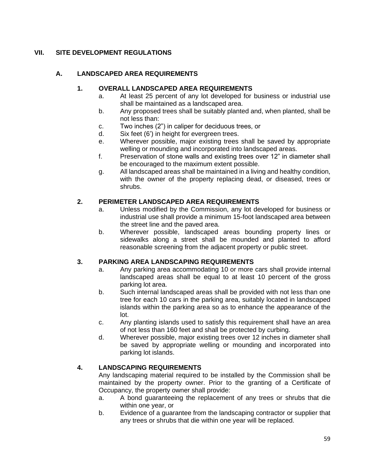# **VII. SITE DEVELOPMENT REGULATIONS**

## **A. LANDSCAPED AREA REQUIREMENTS**

#### **1. OVERALL LANDSCAPED AREA REQUIREMENTS**

- a. At least 25 percent of any lot developed for business or industrial use shall be maintained as a landscaped area.
- b. Any proposed trees shall be suitably planted and, when planted, shall be not less than:
- c. Two inches (2") in caliper for deciduous trees, or
- d. Six feet (6') in height for evergreen trees.
- e. Wherever possible, major existing trees shall be saved by appropriate welling or mounding and incorporated into landscaped areas.
- f. Preservation of stone walls and existing trees over 12" in diameter shall be encouraged to the maximum extent possible.
- g. All landscaped areas shall be maintained in a living and healthy condition, with the owner of the property replacing dead, or diseased, trees or shrubs.

#### **2. PERIMETER LANDSCAPED AREA REQUIREMENTS**

- a. Unless modified by the Commission, any lot developed for business or industrial use shall provide a minimum 15-foot landscaped area between the street line and the paved area.
- b. Wherever possible, landscaped areas bounding property lines or sidewalks along a street shall be mounded and planted to afford reasonable screening from the adjacent property or public street.

### **3. PARKING AREA LANDSCAPING REQUIREMENTS**

- a. Any parking area accommodating 10 or more cars shall provide internal landscaped areas shall be equal to at least 10 percent of the gross parking lot area.
- b. Such internal landscaped areas shall be provided with not less than one tree for each 10 cars in the parking area, suitably located in landscaped islands within the parking area so as to enhance the appearance of the lot.
- c. Any planting islands used to satisfy this requirement shall have an area of not less than 160 feet and shall be protected by curbing.
- d. Wherever possible, major existing trees over 12 inches in diameter shall be saved by appropriate welling or mounding and incorporated into parking lot islands.

### **4. LANDSCAPING REQUIREMENTS**

Any landscaping material required to be installed by the Commission shall be maintained by the property owner. Prior to the granting of a Certificate of Occupancy, the property owner shall provide:

- a. A bond guaranteeing the replacement of any trees or shrubs that die within one year, or
- b. Evidence of a guarantee from the landscaping contractor or supplier that any trees or shrubs that die within one year will be replaced.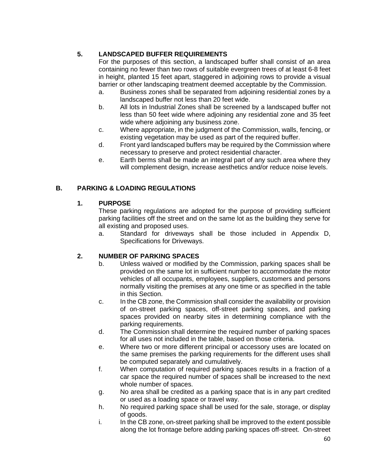# **5. LANDSCAPED BUFFER REQUIREMENTS**

For the purposes of this section, a landscaped buffer shall consist of an area containing no fewer than two rows of suitable evergreen trees of at least 6-8 feet in height, planted 15 feet apart, staggered in adjoining rows to provide a visual barrier or other landscaping treatment deemed acceptable by the Commission.

- a. Business zones shall be separated from adjoining residential zones by a landscaped buffer not less than 20 feet wide.
- b. All lots in Industrial Zones shall be screened by a landscaped buffer not less than 50 feet wide where adjoining any residential zone and 35 feet wide where adjoining any business zone.
- c. Where appropriate, in the judgment of the Commission, walls, fencing, or existing vegetation may be used as part of the required buffer.
- d. Front yard landscaped buffers may be required by the Commission where necessary to preserve and protect residential character.
- e. Earth berms shall be made an integral part of any such area where they will complement design, increase aesthetics and/or reduce noise levels.

# **B. PARKING & LOADING REGULATIONS**

# **1. PURPOSE**

These parking regulations are adopted for the purpose of providing sufficient parking facilities off the street and on the same lot as the building they serve for all existing and proposed uses.

a. Standard for driveways shall be those included in Appendix D, Specifications for Driveways.

# **2. NUMBER OF PARKING SPACES**

- b. Unless waived or modified by the Commission, parking spaces shall be provided on the same lot in sufficient number to accommodate the motor vehicles of all occupants, employees, suppliers, customers and persons normally visiting the premises at any one time or as specified in the table in this Section.
- c. In the CB zone, the Commission shall consider the availability or provision of on-street parking spaces, off-street parking spaces, and parking spaces provided on nearby sites in determining compliance with the parking requirements.
- d. The Commission shall determine the required number of parking spaces for all uses not included in the table, based on those criteria.
- e. Where two or more different principal or accessory uses are located on the same premises the parking requirements for the different uses shall be computed separately and cumulatively.
- f. When computation of required parking spaces results in a fraction of a car space the required number of spaces shall be increased to the next whole number of spaces.
- g. No area shall be credited as a parking space that is in any part credited or used as a loading space or travel way.
- h. No required parking space shall be used for the sale, storage, or display of goods.
- i. In the CB zone, on-street parking shall be improved to the extent possible along the lot frontage before adding parking spaces off-street. On-street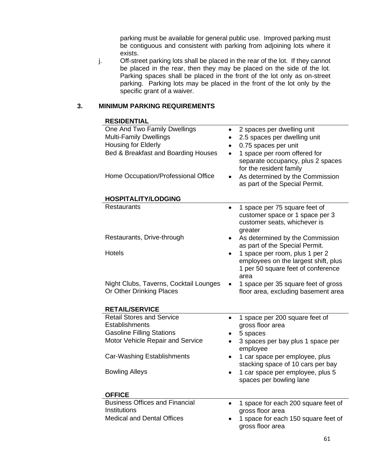parking must be available for general public use. Improved parking must be contiguous and consistent with parking from adjoining lots where it exists.

j. Off-street parking lots shall be placed in the rear of the lot. If they cannot be placed in the rear, then they may be placed on the side of the lot. Parking spaces shall be placed in the front of the lot only as on-street parking. Parking lots may be placed in the front of the lot only by the specific grant of a waiver.

### **3. MINIMUM PARKING REQUIREMENTS**

| <b>RESIDENTIAL</b>                                                         |                                                                                                                                   |
|----------------------------------------------------------------------------|-----------------------------------------------------------------------------------------------------------------------------------|
| One And Two Family Dwellings                                               | 2 spaces per dwelling unit<br>$\bullet$                                                                                           |
| <b>Multi-Family Dwellings</b>                                              | 2.5 spaces per dwelling unit<br>$\bullet$                                                                                         |
| Housing for Elderly                                                        | 0.75 spaces per unit<br>$\bullet$                                                                                                 |
| Bed & Breakfast and Boarding Houses<br>Home Occupation/Professional Office | 1 space per room offered for<br>separate occupancy, plus 2 spaces<br>for the resident family<br>As determined by the Commission   |
|                                                                            | as part of the Special Permit.                                                                                                    |
| <b>HOSPITALITY/LODGING</b>                                                 |                                                                                                                                   |
| <b>Restaurants</b>                                                         | 1 space per 75 square feet of<br>$\bullet$<br>customer space or 1 space per 3<br>customer seats, whichever is<br>greater          |
| Restaurants, Drive-through                                                 | As determined by the Commission<br>as part of the Special Permit.                                                                 |
| <b>Hotels</b>                                                              | 1 space per room, plus 1 per 2<br>$\bullet$<br>employees on the largest shift, plus<br>1 per 50 square feet of conference<br>area |
| Night Clubs, Taverns, Cocktail Lounges                                     | 1 space per 35 square feet of gross                                                                                               |
| Or Other Drinking Places                                                   | floor area, excluding basement area                                                                                               |
| <b>RETAIL/SERVICE</b>                                                      |                                                                                                                                   |
| <b>Retail Stores and Service</b>                                           | 1 space per 200 square feet of<br>$\bullet$                                                                                       |
| <b>Establishments</b>                                                      | gross floor area                                                                                                                  |
| <b>Gasoline Filling Stations</b>                                           | 5 spaces                                                                                                                          |
| Motor Vehicle Repair and Service                                           | 3 spaces per bay plus 1 space per<br>employee                                                                                     |
| Car-Washing Establishments                                                 | 1 car space per employee, plus<br>stacking space of 10 cars per bay                                                               |
| <b>Bowling Alleys</b>                                                      | 1 car space per employee, plus 5<br>spaces per bowling lane                                                                       |
| <b>OFFICE</b>                                                              |                                                                                                                                   |
| <b>Business Offices and Financial</b><br>Institutions                      | 1 space for each 200 square feet of                                                                                               |
| <b>Medical and Dental Offices</b>                                          | gross floor area                                                                                                                  |
|                                                                            | 1 space for each 150 square feet of<br>gross floor area                                                                           |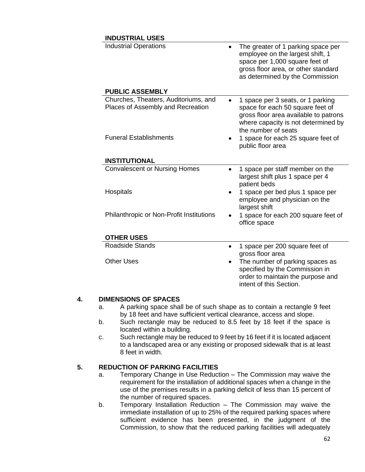# **INDUSTRIAL USES**

| טשטש שמוווטטש                                                             |                                                                                                                                                                                    |
|---------------------------------------------------------------------------|------------------------------------------------------------------------------------------------------------------------------------------------------------------------------------|
| <b>Industrial Operations</b><br><b>PUBLIC ASSEMBLY</b>                    | The greater of 1 parking space per<br>employee on the largest shift, 1<br>space per 1,000 square feet of<br>gross floor area, or other standard<br>as determined by the Commission |
|                                                                           |                                                                                                                                                                                    |
| Churches, Theaters, Auditoriums, and<br>Places of Assembly and Recreation | 1 space per 3 seats, or 1 parking<br>space for each 50 square feet of<br>gross floor area available to patrons<br>where capacity is not determined by<br>the number of seats       |
| <b>Funeral Establishments</b>                                             | 1 space for each 25 square feet of<br>public floor area                                                                                                                            |
| <b>INSTITUTIONAL</b>                                                      |                                                                                                                                                                                    |
| <b>Convalescent or Nursing Homes</b>                                      | 1 space per staff member on the<br>largest shift plus 1 space per 4<br>patient beds                                                                                                |
| Hospitals                                                                 | 1 space per bed plus 1 space per<br>employee and physician on the<br>largest shift                                                                                                 |
| Philanthropic or Non-Profit Institutions                                  | 1 space for each 200 square feet of<br>office space                                                                                                                                |
| <b>OTHER USES</b>                                                         |                                                                                                                                                                                    |
| <b>Roadside Stands</b>                                                    | 1 space per 200 square feet of<br>gross floor area                                                                                                                                 |
| <b>Other Uses</b>                                                         | The number of parking spaces as<br>specified by the Commission in                                                                                                                  |

#### **4. DIMENSIONS OF SPACES**

- a. A parking space shall be of such shape as to contain a rectangle 9 feet by 18 feet and have sufficient vertical clearance, access and slope.
- b. Such rectangle may be reduced to 8.5 feet by 18 feet if the space is located within a building.
- c. Such rectangle may be reduced to 9 feet by 16 feet if it is located adjacent to a landscaped area or any existing or proposed sidewalk that is at least 8 feet in width.

### **5. REDUCTION OF PARKING FACILITIES**

- a. Temporary Change in Use Reduction The Commission may waive the requirement for the installation of additional spaces when a change in the use of the premises results in a parking deficit of less than 15 percent of the number of required spaces.
- b. Temporary Installation Reduction The Commission may waive the immediate installation of up to 25% of the required parking spaces where sufficient evidence has been presented, in the judgment of the Commission, to show that the reduced parking facilities will adequately

order to maintain the purpose and

intent of this Section.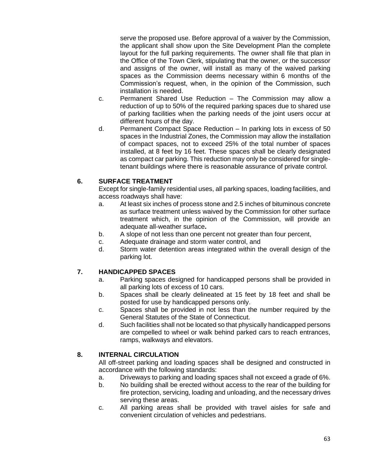serve the proposed use. Before approval of a waiver by the Commission, the applicant shall show upon the Site Development Plan the complete layout for the full parking requirements. The owner shall file that plan in the Office of the Town Clerk, stipulating that the owner, or the successor and assigns of the owner, will install as many of the waived parking spaces as the Commission deems necessary within 6 months of the Commission's request, when, in the opinion of the Commission, such installation is needed.

- c. Permanent Shared Use Reduction The Commission may allow a reduction of up to 50% of the required parking spaces due to shared use of parking facilities when the parking needs of the joint users occur at different hours of the day.
- d. Permanent Compact Space Reduction In parking lots in excess of 50 spaces in the Industrial Zones, the Commission may allow the installation of compact spaces, not to exceed 25% of the total number of spaces installed, at 8 feet by 16 feet. These spaces shall be clearly designated as compact car parking. This reduction may only be considered for singletenant buildings where there is reasonable assurance of private control.

# **6. SURFACE TREATMENT**

Except for single-family residential uses, all parking spaces, loading facilities, and access roadways shall have:

- a. At least six inches of process stone and 2.5 inches of bituminous concrete as surface treatment unless waived by the Commission for other surface treatment which, in the opinion of the Commission, will provide an adequate all-weather surface**.**
- b. A slope of not less than one percent not greater than four percent,
- c. Adequate drainage and storm water control, and
- d. Storm water detention areas integrated within the overall design of the parking lot.

### **7. HANDICAPPED SPACES**

- a. Parking spaces designed for handicapped persons shall be provided in all parking lots of excess of 10 cars.
- b. Spaces shall be clearly delineated at 15 feet by 18 feet and shall be posted for use by handicapped persons only.
- c. Spaces shall be provided in not less than the number required by the General Statutes of the State of Connecticut.
- d. Such facilities shall not be located so that physically handicapped persons are compelled to wheel or walk behind parked cars to reach entrances, ramps, walkways and elevators.

### **8. INTERNAL CIRCULATION**

All off-street parking and loading spaces shall be designed and constructed in accordance with the following standards:

- a. Driveways to parking and loading spaces shall not exceed a grade of 6%.
- b. No building shall be erected without access to the rear of the building for fire protection, servicing, loading and unloading, and the necessary drives serving these areas.
- c. All parking areas shall be provided with travel aisles for safe and convenient circulation of vehicles and pedestrians.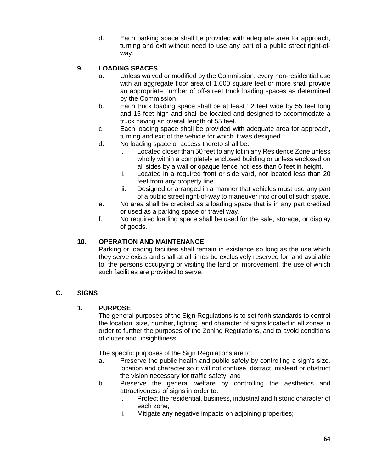d. Each parking space shall be provided with adequate area for approach, turning and exit without need to use any part of a public street right-ofway.

# **9. LOADING SPACES**

- a. Unless waived or modified by the Commission, every non-residential use with an aggregate floor area of 1,000 square feet or more shall provide an appropriate number of off-street truck loading spaces as determined by the Commission.
- b. Each truck loading space shall be at least 12 feet wide by 55 feet long and 15 feet high and shall be located and designed to accommodate a truck having an overall length of 55 feet.
- c. Each loading space shall be provided with adequate area for approach, turning and exit of the vehicle for which it was designed.
- d. No loading space or access thereto shall be:
	- i. Located closer than 50 feet to any lot in any Residence Zone unless wholly within a completely enclosed building or unless enclosed on all sides by a wall or opaque fence not less than 6 feet in height.
	- ii. Located in a required front or side yard, nor located less than 20 feet from any property line.
	- iii. Designed or arranged in a manner that vehicles must use any part of a public street right-of-way to maneuver into or out of such space.
- e. No area shall be credited as a loading space that is in any part credited or used as a parking space or travel way.
- f. No required loading space shall be used for the sale, storage, or display of goods.

### **10. OPERATION AND MAINTENANCE**

Parking or loading facilities shall remain in existence so long as the use which they serve exists and shall at all times be exclusively reserved for, and available to, the persons occupying or visiting the land or improvement, the use of which such facilities are provided to serve.

### **C. SIGNS**

### **1. PURPOSE**

The general purposes of the Sign Regulations is to set forth standards to control the location, size, number, lighting, and character of signs located in all zones in order to further the purposes of the Zoning Regulations, and to avoid conditions of clutter and unsightliness.

The specific purposes of the Sign Regulations are to:

- a. Preserve the public health and public safety by controlling a sign's size, location and character so it will not confuse, distract, mislead or obstruct the vision necessary for traffic safety; and
- b. Preserve the general welfare by controlling the aesthetics and attractiveness of signs in order to:
	- i. Protect the residential, business, industrial and historic character of each zone;
	- ii. Mitigate any negative impacts on adjoining properties;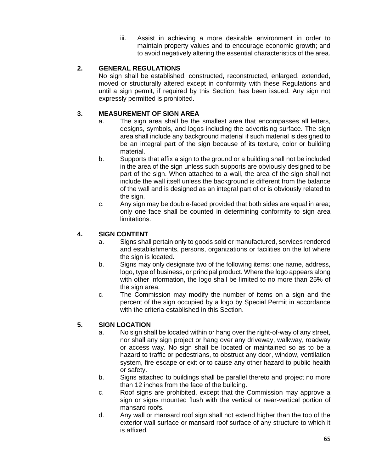iii. Assist in achieving a more desirable environment in order to maintain property values and to encourage economic growth; and to avoid negatively altering the essential characteristics of the area.

## **2. GENERAL REGULATIONS**

No sign shall be established, constructed, reconstructed, enlarged, extended, moved or structurally altered except in conformity with these Regulations and until a sign permit, if required by this Section, has been issued. Any sign not expressly permitted is prohibited.

## **3. MEASUREMENT OF SIGN AREA**

- a. The sign area shall be the smallest area that encompasses all letters, designs, symbols, and logos including the advertising surface. The sign area shall include any background material if such material is designed to be an integral part of the sign because of its texture, color or building material.
- b. Supports that affix a sign to the ground or a building shall not be included in the area of the sign unless such supports are obviously designed to be part of the sign. When attached to a wall, the area of the sign shall not include the wall itself unless the background is different from the balance of the wall and is designed as an integral part of or is obviously related to the sign.
- c. Any sign may be double-faced provided that both sides are equal in area; only one face shall be counted in determining conformity to sign area limitations.

# **4. SIGN CONTENT**

- a. Signs shall pertain only to goods sold or manufactured, services rendered and establishments, persons, organizations or facilities on the lot where the sign is located.
- b. Signs may only designate two of the following items: one name, address, logo, type of business, or principal product. Where the logo appears along with other information, the logo shall be limited to no more than 25% of the sign area.
- c. The Commission may modify the number of items on a sign and the percent of the sign occupied by a logo by Special Permit in accordance with the criteria established in this Section.

### **5. SIGN LOCATION**

- a. No sign shall be located within or hang over the right-of-way of any street, nor shall any sign project or hang over any driveway, walkway, roadway or access way. No sign shall be located or maintained so as to be a hazard to traffic or pedestrians, to obstruct any door, window, ventilation system, fire escape or exit or to cause any other hazard to public health or safety.
- b. Signs attached to buildings shall be parallel thereto and project no more than 12 inches from the face of the building.
- c. Roof signs are prohibited, except that the Commission may approve a sign or signs mounted flush with the vertical or near-vertical portion of mansard roofs.
- d. Any wall or mansard roof sign shall not extend higher than the top of the exterior wall surface or mansard roof surface of any structure to which it is affixed.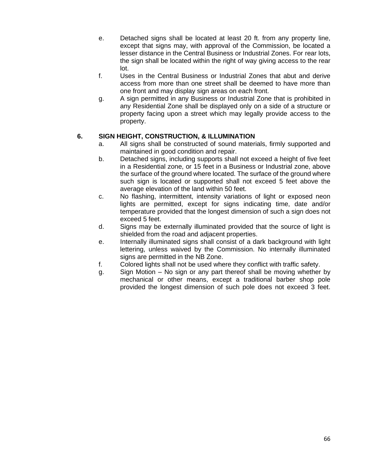- e. Detached signs shall be located at least 20 ft. from any property line, except that signs may, with approval of the Commission, be located a lesser distance in the Central Business or Industrial Zones. For rear lots, the sign shall be located within the right of way giving access to the rear lot.
- f. Uses in the Central Business or Industrial Zones that abut and derive access from more than one street shall be deemed to have more than one front and may display sign areas on each front.
- g. A sign permitted in any Business or Industrial Zone that is prohibited in any Residential Zone shall be displayed only on a side of a structure or property facing upon a street which may legally provide access to the property.

### **6. SIGN HEIGHT, CONSTRUCTION, & ILLUMINATION**

- a. All signs shall be constructed of sound materials, firmly supported and maintained in good condition and repair.
- b. Detached signs, including supports shall not exceed a height of five feet in a Residential zone, or 15 feet in a Business or Industrial zone, above the surface of the ground where located. The surface of the ground where such sign is located or supported shall not exceed 5 feet above the average elevation of the land within 50 feet.
- c. No flashing, intermittent, intensity variations of light or exposed neon lights are permitted, except for signs indicating time, date and/or temperature provided that the longest dimension of such a sign does not exceed 5 feet.
- d. Signs may be externally illuminated provided that the source of light is shielded from the road and adjacent properties.
- e. Internally illuminated signs shall consist of a dark background with light lettering, unless waived by the Commission. No internally illuminated signs are permitted in the NB Zone.
- f. Colored lights shall not be used where they conflict with traffic safety.
- g. Sign Motion No sign or any part thereof shall be moving whether by mechanical or other means, except a traditional barber shop pole provided the longest dimension of such pole does not exceed 3 feet.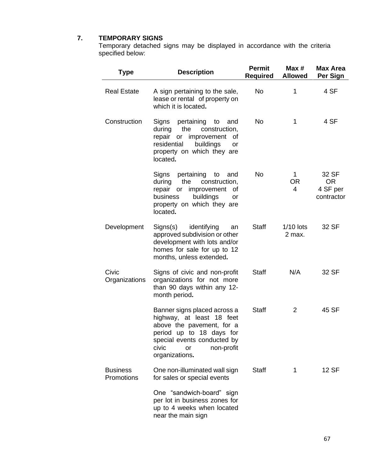#### **7. TEMPORARY SIGNS**

Temporary detached signs may be displayed in accordance with the criteria specified below:

| <b>Type</b>                   | <b>Description</b>                                                                                                                                                                               | <b>Permit</b><br>Required | Max#<br><b>Allowed</b> | <b>Max Area</b><br>Per Sign                  |
|-------------------------------|--------------------------------------------------------------------------------------------------------------------------------------------------------------------------------------------------|---------------------------|------------------------|----------------------------------------------|
| <b>Real Estate</b>            | A sign pertaining to the sale,<br>lease or rental of property on<br>which it is located.                                                                                                         | No                        | 1                      | 4 SF                                         |
| Construction                  | Signs pertaining to<br>and<br>during<br>the<br>construction,<br>repair or improvement of<br>residential<br>buildings<br>or<br>property on which they are<br>located.                             | No.                       | 1                      | 4 SF                                         |
|                               | Signs pertaining to<br>and<br>during the<br>construction,<br>repair or improvement of<br>business<br>buildings<br>or<br>property on which they are<br>located.                                   | <b>No</b>                 | 1<br>OR<br>4           | 32 SF<br><b>OR</b><br>4 SF per<br>contractor |
| Development                   | identifying<br>Signs(s)<br>an<br>approved subdivision or other<br>development with lots and/or<br>homes for sale for up to 12<br>months, unless extended.                                        | <b>Staff</b>              | $1/10$ lots<br>2 max.  | 32 SF                                        |
| Civic<br>Organizations        | Signs of civic and non-profit<br>organizations for not more<br>than 90 days within any 12-<br>month period.                                                                                      | <b>Staff</b>              | N/A                    | 32 SF                                        |
|                               | Banner signs placed across a<br>highway, at least 18 feet<br>above the pavement, for a<br>period up to 18 days for<br>special events conducted by<br>civic<br>non-profit<br>or<br>organizations. | <b>Staff</b>              | 2                      | 45 SF                                        |
| <b>Business</b><br>Promotions | One non-illuminated wall sign<br>for sales or special events                                                                                                                                     | <b>Staff</b>              | 1                      | 12 SF                                        |
|                               | One "sandwich-board" sign<br>per lot in business zones for<br>up to 4 weeks when located<br>near the main sign                                                                                   |                           |                        |                                              |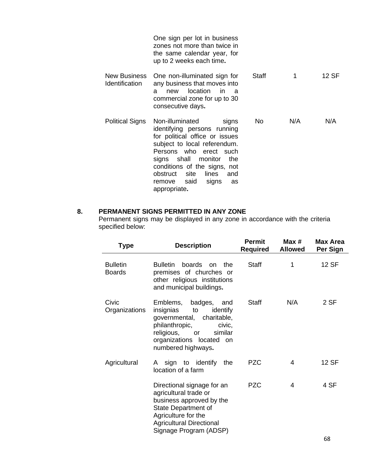|                                | One sign per lot in business<br>zones not more than twice in<br>the same calendar year, for<br>up to 2 weeks each time.                                                                                                                                                                                |              |     |       |
|--------------------------------|--------------------------------------------------------------------------------------------------------------------------------------------------------------------------------------------------------------------------------------------------------------------------------------------------------|--------------|-----|-------|
| New Business<br>Identification | One non-illuminated sign for<br>any business that moves into<br>location<br>- in<br>new<br>a<br>a<br>commercial zone for up to 30<br>consecutive days.                                                                                                                                                 | <b>Staff</b> | 1   | 12 SF |
| <b>Political Signs</b>         | Non-illuminated<br>signs<br>identifying persons running<br>for political office or issues<br>subject to local referendum.<br>Persons who erect such<br>signs shall monitor<br>the<br>conditions of the signs, not<br>obstruct<br>site<br>lines<br>and<br>said<br>signs<br>remove<br>as<br>appropriate. | No.          | N/A | N/A   |

# **8. PERMANENT SIGNS PERMITTED IN ANY ZONE**

Permanent signs may be displayed in any zone in accordance with the criteria specified below:

| <b>Type</b>                      | <b>Description</b>                                                                                                                                                                            | Permit<br><b>Required</b> | Max #<br><b>Allowed</b> | <b>Max Area</b><br>Per Sign |
|----------------------------------|-----------------------------------------------------------------------------------------------------------------------------------------------------------------------------------------------|---------------------------|-------------------------|-----------------------------|
| <b>Bulletin</b><br><b>Boards</b> | <b>Bulletin</b><br>boards<br>the<br>on<br>premises of churches or<br>other religious institutions<br>and municipal buildings.                                                                 | Staff                     | 1                       | 12 SF                       |
| Civic<br>Organizations           | Emblems, badges, and<br>insignias<br>identify<br>to<br>governmental, charitable,<br>philanthropic,<br>civic,<br>religious, or<br>similar<br>organizations located<br>on<br>numbered highways. | Staff                     | N/A                     | 2 SF                        |
| Agricultural                     | A sign to identify the<br>location of a farm                                                                                                                                                  | <b>PZC</b>                | 4                       | 12 SF                       |
|                                  | Directional signage for an<br>agricultural trade or<br>business approved by the<br>State Department of<br>Agriculture for the<br><b>Agricultural Directional</b><br>Signage Program (ADSP)    | <b>PZC</b>                | 4                       | 4 SF                        |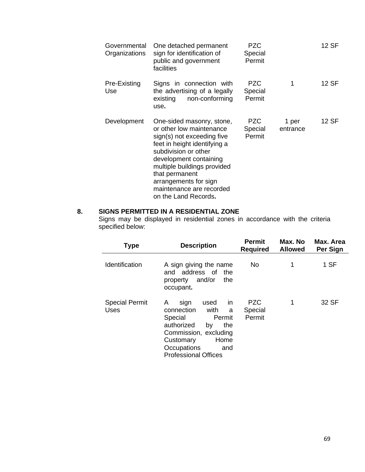| Governmental<br>Organizations | One detached permanent<br>sign for identification of<br>public and government<br>facilities                                                                                                                                                                                                         | PZC.<br>Special<br>Permit       |                   | 12 SF |
|-------------------------------|-----------------------------------------------------------------------------------------------------------------------------------------------------------------------------------------------------------------------------------------------------------------------------------------------------|---------------------------------|-------------------|-------|
| Pre-Existing<br>Use           | Signs in connection with<br>the advertising of a legally<br>non-conforming<br>existing<br>use.                                                                                                                                                                                                      | <b>PZC</b><br>Special<br>Permit | 1                 | 12 SF |
| Development                   | One-sided masonry, stone,<br>or other low maintenance<br>sign(s) not exceeding five<br>feet in height identifying a<br>subdivision or other<br>development containing<br>multiple buildings provided<br>that permanent<br>arrangements for sign<br>maintenance are recorded<br>on the Land Records. | <b>PZC</b><br>Special<br>Permit | 1 per<br>entrance | 12 SF |

# **8. SIGNS PERMITTED IN A RESIDENTIAL ZONE**

Signs may be displayed in residential zones in accordance with the criteria specified below:

| <b>Type</b>                   | <b>Description</b>                                                                                                                                                                                    | <b>Permit</b><br><b>Required</b> | Max. No<br><b>Allowed</b> | Max. Area<br>Per Sign |
|-------------------------------|-------------------------------------------------------------------------------------------------------------------------------------------------------------------------------------------------------|----------------------------------|---------------------------|-----------------------|
| Identification                | A sign giving the name<br>and address of<br>the<br>and/or<br>the<br>property<br>occupant.                                                                                                             | No                               | 1                         | 1 SF                  |
| <b>Special Permit</b><br>Uses | in<br>used<br>A<br>sign<br>with<br>connection<br>a<br>Special<br>Permit<br>authorized<br>the<br>by<br>Commission, excluding<br>Home<br>Customary<br>Occupations<br>and<br><b>Professional Offices</b> | <b>PZC</b><br>Special<br>Permit  | 1                         | 32 SF                 |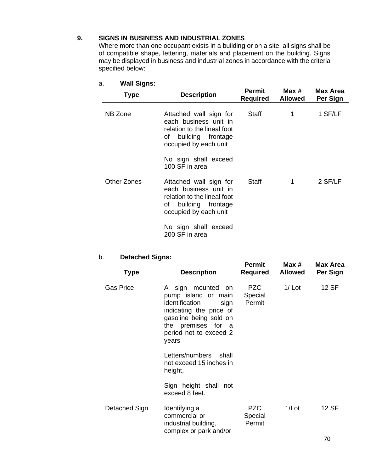#### **9. SIGNS IN BUSINESS AND INDUSTRIAL ZONES**

Where more than one occupant exists in a building or on a site, all signs shall be of compatible shape, lettering, materials and placement on the building. Signs may be displayed in business and industrial zones in accordance with the criteria specified below:

| <b>Type</b> | <b>Description</b>                                                                                                              | Permit<br>Required | Max #<br><b>Allowed</b> | Max Area<br>Per Sign |
|-------------|---------------------------------------------------------------------------------------------------------------------------------|--------------------|-------------------------|----------------------|
| NB Zone     | Attached wall sign for<br>each business unit in<br>relation to the lineal foot<br>of building frontage<br>occupied by each unit | Staff              | 1                       | 1 SF/LF              |
|             | No sign shall exceed<br>100 SF in area                                                                                          |                    |                         |                      |
| Other Zones | Attached wall sign for<br>each business unit in<br>relation to the lineal foot<br>of building frontage<br>occupied by each unit | Staff              | 1                       | 2 SF/LF              |
|             | No sign shall exceed<br>200 SF in area                                                                                          |                    |                         |                      |

# a. **Wall Signs:**

### b. **Detached Signs:**

| Type             | <b>Description</b>                                                                                                                                                                         | Permit<br><b>Required</b>       | Max $#$<br><b>Allowed</b> | <b>Max Area</b><br>Per Sign |
|------------------|--------------------------------------------------------------------------------------------------------------------------------------------------------------------------------------------|---------------------------------|---------------------------|-----------------------------|
| <b>Gas Price</b> | A sign mounted<br><b>on</b><br>pump island or main<br>identification<br>sign<br>indicating the price of<br>gasoline being sold on<br>the premises for a<br>period not to exceed 2<br>years | PZC<br>Special<br>Permit        | $1/$ Lot                  | 12 SF                       |
|                  | Letters/numbers<br>shall<br>not exceed 15 inches in<br>height,                                                                                                                             |                                 |                           |                             |
|                  | Sign height shall not<br>exceed 8 feet.                                                                                                                                                    |                                 |                           |                             |
| Detached Sign    | Identifying a<br>commercial or<br>industrial building,<br>complex or park and/or                                                                                                           | <b>PZC</b><br>Special<br>Permit | 1/Lot                     | 12 SF                       |
|                  |                                                                                                                                                                                            |                                 |                           | 70.                         |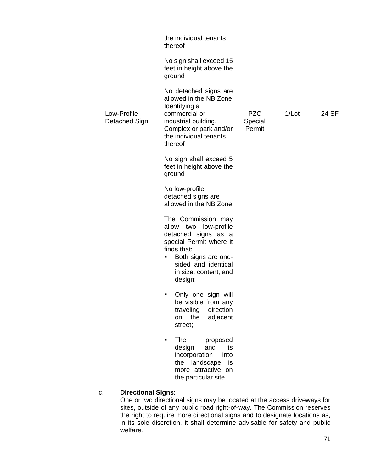|                              | the individual tenants<br>thereof                                                                                                                                                                   |                                 |       |       |
|------------------------------|-----------------------------------------------------------------------------------------------------------------------------------------------------------------------------------------------------|---------------------------------|-------|-------|
|                              | No sign shall exceed 15<br>feet in height above the<br>ground                                                                                                                                       |                                 |       |       |
| Low-Profile<br>Detached Sign | No detached signs are<br>allowed in the NB Zone<br>Identifying a<br>commercial or<br>industrial building,<br>Complex or park and/or<br>the individual tenants<br>thereof                            | <b>PZC</b><br>Special<br>Permit | 1/Lot | 24 SF |
|                              | No sign shall exceed 5<br>feet in height above the<br>ground                                                                                                                                        |                                 |       |       |
|                              | No low-profile<br>detached signs are<br>allowed in the NB Zone                                                                                                                                      |                                 |       |       |
|                              | The Commission may<br>allow two low-profile<br>detached signs as a<br>special Permit where it<br>finds that:<br>Both signs are one-<br>٠<br>sided and identical<br>in size, content, and<br>design; |                                 |       |       |
|                              | Only one sign will<br>٠<br>be visible from any<br>traveling<br>direction<br>adjacent<br>the<br>on<br>street;                                                                                        |                                 |       |       |
|                              | The<br>proposed<br>its<br>design<br>and<br>incorporation<br>into<br>the landscape<br>is<br>more attractive on<br>the particular site                                                                |                                 |       |       |

### c. **Directional Signs:**

One or two directional signs may be located at the access driveways for sites, outside of any public road right-of-way. The Commission reserves the right to require more directional signs and to designate locations as, in its sole discretion, it shall determine advisable for safety and public welfare.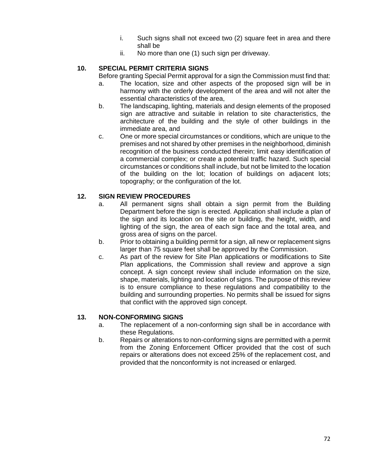- i. Such signs shall not exceed two (2) square feet in area and there shall be
- ii. No more than one (1) such sign per driveway.

## **10. SPECIAL PERMIT CRITERIA SIGNS**

- Before granting Special Permit approval for a sign the Commission must find that:
- a. The location, size and other aspects of the proposed sign will be in harmony with the orderly development of the area and will not alter the essential characteristics of the area,
- b. The landscaping, lighting, materials and design elements of the proposed sign are attractive and suitable in relation to site characteristics, the architecture of the building and the style of other buildings in the immediate area, and
- c. One or more special circumstances or conditions, which are unique to the premises and not shared by other premises in the neighborhood, diminish recognition of the business conducted therein; limit easy identification of a commercial complex; or create a potential traffic hazard. Such special circumstances or conditions shall include, but not be limited to the location of the building on the lot; location of buildings on adjacent lots; topography; or the configuration of the lot.

### **12. SIGN REVIEW PROCEDURES**

- a. All permanent signs shall obtain a sign permit from the Building Department before the sign is erected. Application shall include a plan of the sign and its location on the site or building, the height, width, and lighting of the sign, the area of each sign face and the total area, and gross area of signs on the parcel.
- b. Prior to obtaining a building permit for a sign, all new or replacement signs larger than 75 square feet shall be approved by the Commission.
- c. As part of the review for Site Plan applications or modifications to Site Plan applications, the Commission shall review and approve a sign concept. A sign concept review shall include information on the size, shape, materials, lighting and location of signs. The purpose of this review is to ensure compliance to these regulations and compatibility to the building and surrounding properties. No permits shall be issued for signs that conflict with the approved sign concept.

### **13. NON-CONFORMING SIGNS**

- a. The replacement of a non-conforming sign shall be in accordance with these Regulations.
- b. Repairs or alterations to non-conforming signs are permitted with a permit from the Zoning Enforcement Officer provided that the cost of such repairs or alterations does not exceed 25% of the replacement cost, and provided that the nonconformity is not increased or enlarged.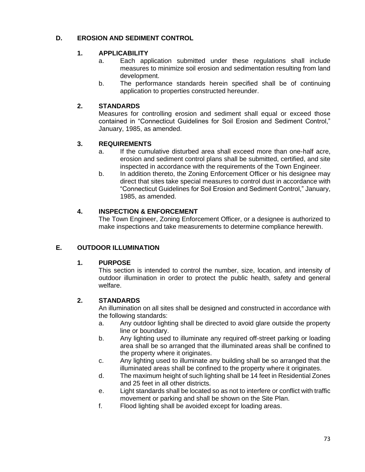## **D. EROSION AND SEDIMENT CONTROL**

## **1. APPLICABILITY**

- a. Each application submitted under these regulations shall include measures to minimize soil erosion and sedimentation resulting from land development.
- b. The performance standards herein specified shall be of continuing application to properties constructed hereunder.

# **2. STANDARDS**

Measures for controlling erosion and sediment shall equal or exceed those contained in "Connecticut Guidelines for Soil Erosion and Sediment Control," January, 1985, as amended.

## **3. REQUIREMENTS**

- a. If the cumulative disturbed area shall exceed more than one-half acre, erosion and sediment control plans shall be submitted, certified, and site inspected in accordance with the requirements of the Town Engineer.
- b. In addition thereto, the Zoning Enforcement Officer or his designee may direct that sites take special measures to control dust in accordance with "Connecticut Guidelines for Soil Erosion and Sediment Control," January, 1985, as amended.

# **4. INSPECTION & ENFORCEMENT**

The Town Engineer, Zoning Enforcement Officer, or a designee is authorized to make inspections and take measurements to determine compliance herewith.

# **E. OUTDOOR ILLUMINATION**

## **1. PURPOSE**

This section is intended to control the number, size, location, and intensity of outdoor illumination in order to protect the public health, safety and general welfare.

## **2. STANDARDS**

An illumination on all sites shall be designed and constructed in accordance with the following standards:

- a. Any outdoor lighting shall be directed to avoid glare outside the property line or boundary.
- b. Any lighting used to illuminate any required off-street parking or loading area shall be so arranged that the illuminated areas shall be confined to the property where it originates.
- c. Any lighting used to illuminate any building shall be so arranged that the illuminated areas shall be confined to the property where it originates.
- d. The maximum height of such lighting shall be 14 feet in Residential Zones and 25 feet in all other districts.
- e. Light standards shall be located so as not to interfere or conflict with traffic movement or parking and shall be shown on the Site Plan.
- f. Flood lighting shall be avoided except for loading areas.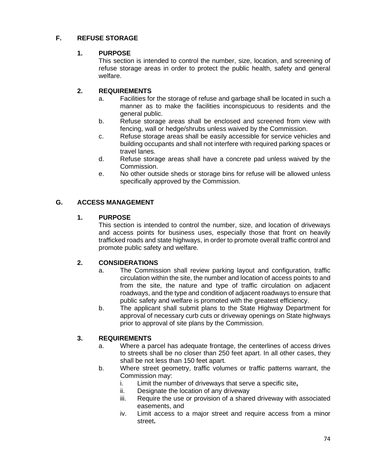# **F. REFUSE STORAGE**

#### **1. PURPOSE**

This section is intended to control the number, size, location, and screening of refuse storage areas in order to protect the public health, safety and general welfare.

### **2. REQUIREMENTS**

- a. Facilities for the storage of refuse and garbage shall be located in such a manner as to make the facilities inconspicuous to residents and the general public.
- b. Refuse storage areas shall be enclosed and screened from view with fencing, wall or hedge/shrubs unless waived by the Commission.
- c. Refuse storage areas shall be easily accessible for service vehicles and building occupants and shall not interfere with required parking spaces or travel lanes.
- d. Refuse storage areas shall have a concrete pad unless waived by the Commission.
- e. No other outside sheds or storage bins for refuse will be allowed unless specifically approved by the Commission.

#### **G. ACCESS MANAGEMENT**

#### **1. PURPOSE**

This section is intended to control the number, size, and location of driveways and access points for business uses, especially those that front on heavily trafficked roads and state highways, in order to promote overall traffic control and promote public safety and welfare.

## **2. CONSIDERATIONS**

- a. The Commission shall review parking layout and configuration, traffic circulation within the site, the number and location of access points to and from the site, the nature and type of traffic circulation on adjacent roadways, and the type and condition of adjacent roadways to ensure that public safety and welfare is promoted with the greatest efficiency.
- b. The applicant shall submit plans to the State Highway Department for approval of necessary curb cuts or driveway openings on State highways prior to approval of site plans by the Commission.

## **3. REQUIREMENTS**

- a. Where a parcel has adequate frontage, the centerlines of access drives to streets shall be no closer than 250 feet apart. In all other cases, they shall be not less than 150 feet apart.
- b. Where street geometry, traffic volumes or traffic patterns warrant, the Commission may:
	- i. Limit the number of driveways that serve a specific site**,**
	- ii. Designate the location of any driveway
	- iii. Require the use or provision of a shared driveway with associated easements, and
	- iv. Limit access to a major street and require access from a minor street**.**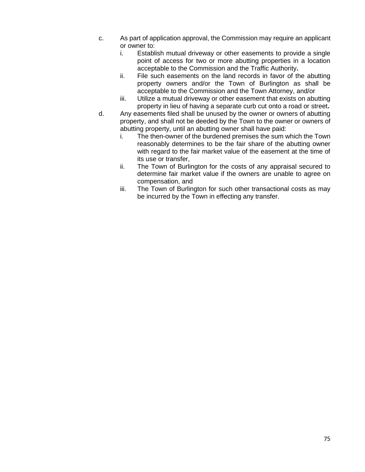- c. As part of application approval, the Commission may require an applicant or owner to:
	- i. Establish mutual driveway or other easements to provide a single point of access for two or more abutting properties in a location acceptable to the Commission and the Traffic Authority**.**
	- ii. File such easements on the land records in favor of the abutting property owners and/or the Town of Burlington as shall be acceptable to the Commission and the Town Attorney, and/or
	- iii. Utilize a mutual driveway or other easement that exists on abutting property in lieu of having a separate curb cut onto a road or street**.**
- d. Any easements filed shall be unused by the owner or owners of abutting property, and shall not be deeded by the Town to the owner or owners of abutting property, until an abutting owner shall have paid:
	- i. The then-owner of the burdened premises the sum which the Town reasonably determines to be the fair share of the abutting owner with regard to the fair market value of the easement at the time of its use or transfer,
	- ii. The Town of Burlington for the costs of any appraisal secured to determine fair market value if the owners are unable to agree on compensation, and
	- iii. The Town of Burlington for such other transactional costs as may be incurred by the Town in effecting any transfer.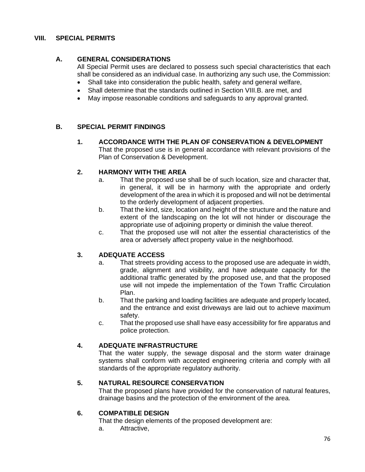#### **VIII. SPECIAL PERMITS**

### **A. GENERAL CONSIDERATIONS**

All Special Permit uses are declared to possess such special characteristics that each shall be considered as an individual case. In authorizing any such use, the Commission:

- Shall take into consideration the public health, safety and general welfare,
- Shall determine that the standards outlined in Section VIII.B. are met, and
- May impose reasonable conditions and safeguards to any approval granted.

#### **B. SPECIAL PERMIT FINDINGS**

**1. ACCORDANCE WITH THE PLAN OF CONSERVATION & DEVELOPMENT** That the proposed use is in general accordance with relevant provisions of the Plan of Conservation & Development.

#### **2. HARMONY WITH THE AREA**

- a. That the proposed use shall be of such location, size and character that, in general, it will be in harmony with the appropriate and orderly development of the area in which it is proposed and will not be detrimental to the orderly development of adjacent properties.
- b. That the kind, size, location and height of the structure and the nature and extent of the landscaping on the lot will not hinder or discourage the appropriate use of adjoining property or diminish the value thereof.
- c. That the proposed use will not alter the essential characteristics of the area or adversely affect property value in the neighborhood.

#### **3. ADEQUATE ACCESS**

- a. That streets providing access to the proposed use are adequate in width, grade, alignment and visibility, and have adequate capacity for the additional traffic generated by the proposed use, and that the proposed use will not impede the implementation of the Town Traffic Circulation Plan.
- b. That the parking and loading facilities are adequate and properly located, and the entrance and exist driveways are laid out to achieve maximum safety.
- c. That the proposed use shall have easy accessibility for fire apparatus and police protection.

#### **4. ADEQUATE INFRASTRUCTURE**

That the water supply, the sewage disposal and the storm water drainage systems shall conform with accepted engineering criteria and comply with all standards of the appropriate regulatory authority.

#### **5. NATURAL RESOURCE CONSERVATION**

That the proposed plans have provided for the conservation of natural features, drainage basins and the protection of the environment of the area.

#### **6. COMPATIBLE DESIGN**

That the design elements of the proposed development are:

a. Attractive,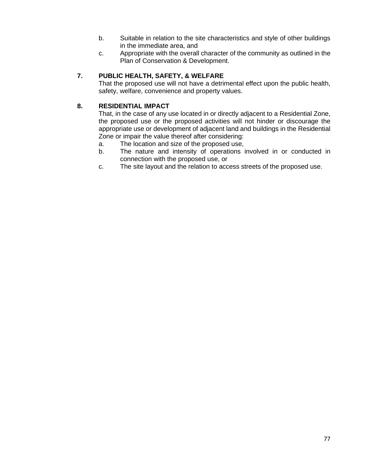- b. Suitable in relation to the site characteristics and style of other buildings in the immediate area, and
- c. Appropriate with the overall character of the community as outlined in the Plan of Conservation & Development.

# **7. PUBLIC HEALTH, SAFETY, & WELFARE**

That the proposed use will not have a detrimental effect upon the public health, safety, welfare, convenience and property values.

## **8. RESIDENTIAL IMPACT**

That, in the case of any use located in or directly adjacent to a Residential Zone, the proposed use or the proposed activities will not hinder or discourage the appropriate use or development of adjacent land and buildings in the Residential Zone or impair the value thereof after considering:

- a. The location and size of the proposed use,
- b. The nature and intensity of operations involved in or conducted in connection with the proposed use, or
- c. The site layout and the relation to access streets of the proposed use.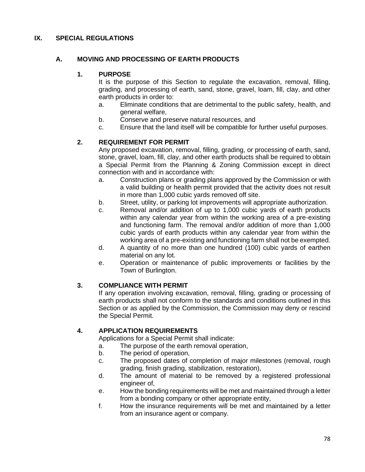#### **IX. SPECIAL REGULATIONS**

#### **A. MOVING AND PROCESSING OF EARTH PRODUCTS**

#### **1. PURPOSE**

It is the purpose of this Section to regulate the excavation, removal, filling, grading, and processing of earth, sand, stone, gravel, loam, fill, clay, and other earth products in order to:

- a. Eliminate conditions that are detrimental to the public safety, health, and general welfare,
- b. Conserve and preserve natural resources, and
- c. Ensure that the land itself will be compatible for further useful purposes.

#### **2. REQUIREMENT FOR PERMIT**

Any proposed excavation, removal, filling, grading, or processing of earth, sand, stone, gravel, loam, fill, clay, and other earth products shall be required to obtain a Special Permit from the Planning & Zoning Commission except in direct connection with and in accordance with:

- a. Construction plans or grading plans approved by the Commission or with a valid building or health permit provided that the activity does not result in more than 1,000 cubic yards removed off site.
- b. Street, utility, or parking lot improvements will appropriate authorization.
- c. Removal and/or addition of up to 1,000 cubic yards of earth products within any calendar year from within the working area of a pre-existing and functioning farm. The removal and/or addition of more than 1,000 cubic yards of earth products within any calendar year from within the working area of a pre-existing and functioning farm shall not be exempted.
- d. A quantity of no more than one hundred (100) cubic yards of earthen material on any lot.
- e. Operation or maintenance of public improvements or facilities by the Town of Burlington.

#### **3. COMPLIANCE WITH PERMIT**

If any operation involving excavation, removal, filling, grading or processing of earth products shall not conform to the standards and conditions outlined in this Section or as applied by the Commission, the Commission may deny or rescind the Special Permit.

#### **4. APPLICATION REQUIREMENTS**

Applications for a Special Permit shall indicate:

- a. The purpose of the earth removal operation,
- b. The period of operation,
- c. The proposed dates of completion of major milestones (removal, rough grading, finish grading, stabilization, restoration),
- d. The amount of material to be removed by a registered professional engineer of,
- e. How the bonding requirements will be met and maintained through a letter from a bonding company or other appropriate entity,
- f. How the insurance requirements will be met and maintained by a letter from an insurance agent or company.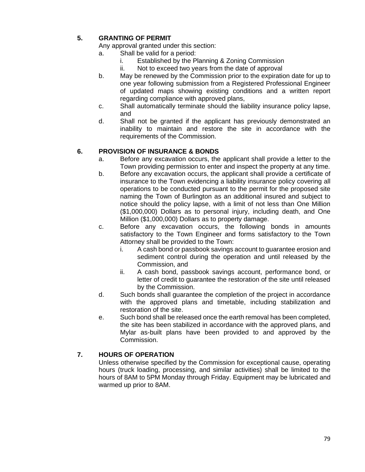# **5. GRANTING OF PERMIT**

- Any approval granted under this section:
- a. Shall be valid for a period:
	- i. Established by the Planning & Zoning Commission
	- ii. Not to exceed two years from the date of approval
- b. May be renewed by the Commission prior to the expiration date for up to one year following submission from a Registered Professional Engineer of updated maps showing existing conditions and a written report regarding compliance with approved plans,
- c. Shall automatically terminate should the liability insurance policy lapse, and
- d. Shall not be granted if the applicant has previously demonstrated an inability to maintain and restore the site in accordance with the requirements of the Commission.

## **6. PROVISION OF INSURANCE & BONDS**

- a. Before any excavation occurs, the applicant shall provide a letter to the Town providing permission to enter and inspect the property at any time.
- b. Before any excavation occurs, the applicant shall provide a certificate of insurance to the Town evidencing a liability insurance policy covering all operations to be conducted pursuant to the permit for the proposed site naming the Town of Burlington as an additional insured and subject to notice should the policy lapse, with a limit of not less than One Million (\$1,000,000) Dollars as to personal injury, including death, and One Million (\$1,000,000) Dollars as to property damage.
- c. Before any excavation occurs, the following bonds in amounts satisfactory to the Town Engineer and forms satisfactory to the Town Attorney shall be provided to the Town:
	- i. A cash bond or passbook savings account to guarantee erosion and sediment control during the operation and until released by the Commission, and
	- ii. A cash bond, passbook savings account, performance bond, or letter of credit to guarantee the restoration of the site until released by the Commission.
- d. Such bonds shall guarantee the completion of the project in accordance with the approved plans and timetable, including stabilization and restoration of the site.
- e. Such bond shall be released once the earth removal has been completed, the site has been stabilized in accordance with the approved plans, and Mylar as-built plans have been provided to and approved by the Commission.

## **7. HOURS OF OPERATION**

Unless otherwise specified by the Commission for exceptional cause, operating hours (truck loading, processing, and similar activities) shall be limited to the hours of 8AM to 5PM Monday through Friday. Equipment may be lubricated and warmed up prior to 8AM.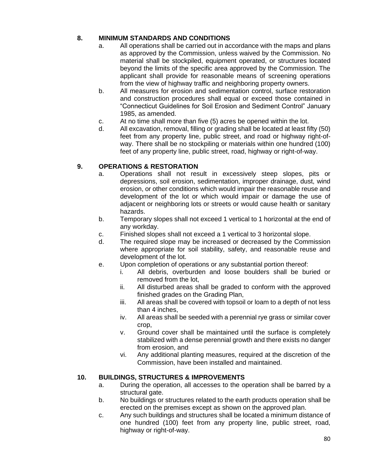## **8. MINIMUM STANDARDS AND CONDITIONS**

- a. All operations shall be carried out in accordance with the maps and plans as approved by the Commission, unless waived by the Commission. No material shall be stockpiled, equipment operated, or structures located beyond the limits of the specific area approved by the Commission. The applicant shall provide for reasonable means of screening operations from the view of highway traffic and neighboring property owners.
- b. All measures for erosion and sedimentation control, surface restoration and construction procedures shall equal or exceed those contained in "Connecticut Guidelines for Soil Erosion and Sediment Control" January 1985, as amended.
- c. At no time shall more than five (5) acres be opened within the lot.
- d. All excavation, removal, filling or grading shall be located at least fifty (50) feet from any property line, public street, and road or highway right-ofway. There shall be no stockpiling or materials within one hundred (100) feet of any property line, public street, road, highway or right-of-way.

# **9. OPERATIONS & RESTORATION**

- a. Operations shall not result in excessively steep slopes, pits or depressions, soil erosion, sedimentation, improper drainage, dust, wind erosion, or other conditions which would impair the reasonable reuse and development of the lot or which would impair or damage the use of adjacent or neighboring lots or streets or would cause health or sanitary hazards.
- b. Temporary slopes shall not exceed 1 vertical to 1 horizontal at the end of any workday.
- c. Finished slopes shall not exceed a 1 vertical to 3 horizontal slope.
- d. The required slope may be increased or decreased by the Commission where appropriate for soil stability, safety, and reasonable reuse and development of the lot.
- e. Upon completion of operations or any substantial portion thereof:
	- i. All debris, overburden and loose boulders shall be buried or removed from the lot,
	- ii. All disturbed areas shall be graded to conform with the approved finished grades on the Grading Plan,
	- iii. All areas shall be covered with topsoil or loam to a depth of not less than 4 inches,
	- iv. All areas shall be seeded with a perennial rye grass or similar cover crop,
	- v. Ground cover shall be maintained until the surface is completely stabilized with a dense perennial growth and there exists no danger from erosion, and
	- vi. Any additional planting measures, required at the discretion of the Commission, have been installed and maintained.

## **10. BUILDINGS, STRUCTURES & IMPROVEMENTS**

- a. During the operation, all accesses to the operation shall be barred by a structural gate.
- b. No buildings or structures related to the earth products operation shall be erected on the premises except as shown on the approved plan.
- c. Any such buildings and structures shall be located a minimum distance of one hundred (100) feet from any property line, public street, road, highway or right-of-way.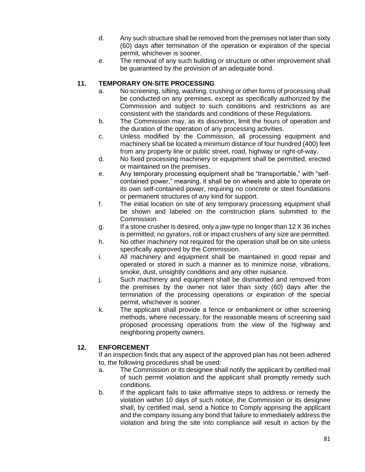- d. Any such structure shall be removed from the premises not later than sixty (60) days after termination of the operation or expiration of the special permit, whichever is sooner.
- e. The removal of any such building or structure or other improvement shall be guaranteed by the provision of an adequate bond.

## **11. TEMPORARY ON-SITE PROCESSING**

- a. No screening, sifting, washing, crushing or other forms of processing shall be conducted on any premises, except as specifically authorized by the Commission and subject to such conditions and restrictions as are consistent with the standards and conditions of these Regulations.
- b. The Commission may, as its discretion, limit the hours of operation and the duration of the operation of any processing activities.
- c. Unless modified by the Commission, all processing equipment and machinery shall be located a minimum distance of four hundred (400) feet from any property line or public street, road, highway or right-of-way.
- d. No fixed processing machinery or equipment shall be permitted, erected or maintained on the premises.
- e. Any temporary processing equipment shall be "transportable," with "selfcontained power," meaning, it shall be on wheels and able to operate on its own self-contained power, requiring no concrete or steel foundations or permanent structures of any kind for support.
- f. The initial location on site of any temporary processing equipment shall be shown and labeled on the construction plans submitted to the Commission.
- g. If a stone crusher is desired, only a jaw-type no longer than  $12 \times 36$  inches is permitted; no gyrators, roll or impact crushers of any size are permitted.
- h. No other machinery not required for the operation shall be on site unless specifically approved by the Commission.
- i. All machinery and equipment shall be maintained in good repair and operated or stored in such a manner as to minimize noise, vibrations, smoke, dust, unsightly conditions and any other nuisance.
- j. Such machinery and equipment shall be dismantled and removed from the premises by the owner not later than sixty (60) days after the termination of the processing operations or expiration of the special permit, whichever is sooner.
- k. The applicant shall provide a fence or embankment or other screening methods, where necessary, for the reasonable means of screening said proposed processing operations from the view of the highway and neighboring property owners.

## **12. ENFORCEMENT**

If an inspection finds that any aspect of the approved plan has not been adhered to, the following procedures shall be used:

- a. The Commission or its designee shall notify the applicant by certified mail of such permit violation and the applicant shall promptly remedy such conditions.
- b. If the applicant fails to take affirmative steps to address or remedy the violation within 10 days of such notice, the Commission or its designee shall, by certified mail, send a Notice to Comply apprising the applicant and the company issuing any bond that failure to immediately address the violation and bring the site into compliance will result in action by the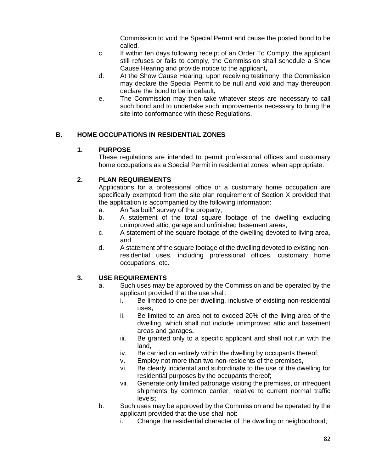Commission to void the Special Permit and cause the posted bond to be called.

- c. If within ten days following receipt of an Order To Comply, the applicant still refuses or fails to comply, the Commission shall schedule a Show Cause Hearing and provide notice to the applicant**,**
- d. At the Show Cause Hearing, upon receiving testimony, the Commission may declare the Special Permit to be null and void and may thereupon declare the bond to be in default**,**
- e. The Commission may then take whatever steps are necessary to call such bond and to undertake such improvements necessary to bring the site into conformance with these Regulations.

## **B. HOME OCCUPATIONS IN RESIDENTIAL ZONES**

#### **1. PURPOSE**

These regulations are intended to permit professional offices and customary home occupations as a Special Permit in residential zones, when appropriate.

## **2. PLAN REQUIREMENTS**

Applications for a professional office or a customary home occupation are specifically exempted from the site plan requirement of Section X provided that the application is accompanied by the following information:

- a. An "as built" survey of the property,
- b. A statement of the total square footage of the dwelling excluding unimproved attic, garage and unfinished basement areas,
- c. A statement of the square footage of the dwelling devoted to living area, and
- d. A statement of the square footage of the dwelling devoted to existing nonresidential uses, including professional offices, customary home occupations, etc.

## **3. USE REQUIREMENTS**

- a. Such uses may be approved by the Commission and be operated by the applicant provided that the use shall:
	- i. Be limited to one per dwelling, inclusive of existing non-residential uses**,**
	- ii. Be limited to an area not to exceed 20% of the living area of the dwelling, which shall not include unimproved attic and basement areas and garages**.**
	- iii. Be granted only to a specific applicant and shall not run with the land**,**
	- iv. Be carried on entirely within the dwelling by occupants thereof;
	- v. Employ not more than two non-residents of the premises**,**
	- vi. Be clearly incidental and subordinate to the use of the dwelling for residential purposes by the occupants thereof;
	- vii. Generate only limited patronage visiting the premises, or infrequent shipments by common carrier, relative to current normal traffic levels**;**
- b. Such uses may be approved by the Commission and be operated by the applicant provided that the use shall not:
	- i. Change the residential character of the dwelling or neighborhood;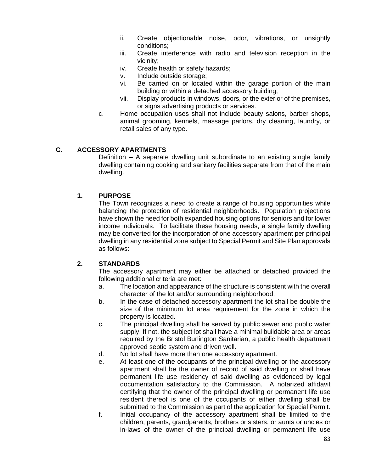- ii. Create objectionable noise, odor, vibrations, or unsightly conditions;
- iii. Create interference with radio and television reception in the vicinity;
- iv. Create health or safety hazards;
- v. Include outside storage;
- vi. Be carried on or located within the garage portion of the main building or within a detached accessory building;
- vii. Display products in windows, doors, or the exterior of the premises, or signs advertising products or services.
- c. Home occupation uses shall not include beauty salons, barber shops, animal grooming, kennels, massage parlors, dry cleaning, laundry, or retail sales of any type.

#### **C. ACCESSORY APARTMENTS**

Definition – A separate dwelling unit subordinate to an existing single family dwelling containing cooking and sanitary facilities separate from that of the main dwelling.

#### **1. PURPOSE**

The Town recognizes a need to create a range of housing opportunities while balancing the protection of residential neighborhoods. Population projections have shown the need for both expanded housing options for seniors and for lower income individuals. To facilitate these housing needs, a single family dwelling may be converted for the incorporation of one accessory apartment per principal dwelling in any residential zone subject to Special Permit and Site Plan approvals as follows:

#### **2. STANDARDS**

The accessory apartment may either be attached or detached provided the following additional criteria are met:

- a. The location and appearance of the structure is consistent with the overall character of the lot and/or surrounding neighborhood.
- b. In the case of detached accessory apartment the lot shall be double the size of the minimum lot area requirement for the zone in which the property is located.
- c. The principal dwelling shall be served by public sewer and public water supply. If not, the subject lot shall have a minimal buildable area or areas required by the Bristol Burlington Sanitarian, a public health department approved septic system and driven well.
- d. No lot shall have more than one accessory apartment.
- e. At least one of the occupants of the principal dwelling or the accessory apartment shall be the owner of record of said dwelling or shall have permanent life use residency of said dwelling as evidenced by legal documentation satisfactory to the Commission. A notarized affidavit certifying that the owner of the principal dwelling or permanent life use resident thereof is one of the occupants of either dwelling shall be submitted to the Commission as part of the application for Special Permit.
- f. Initial occupancy of the accessory apartment shall be limited to the children, parents, grandparents, brothers or sisters, or aunts or uncles or in-laws of the owner of the principal dwelling or permanent life use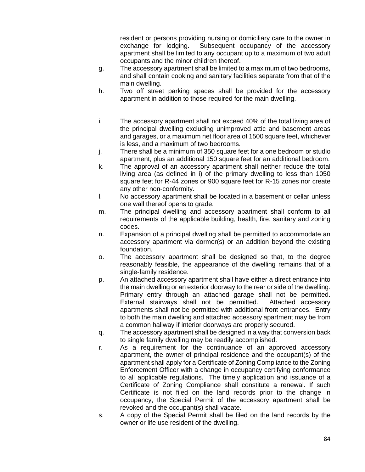resident or persons providing nursing or domiciliary care to the owner in exchange for lodging. Subsequent occupancy of the accessory apartment shall be limited to any occupant up to a maximum of two adult occupants and the minor children thereof.

- g. The accessory apartment shall be limited to a maximum of two bedrooms, and shall contain cooking and sanitary facilities separate from that of the main dwelling.
- h. Two off street parking spaces shall be provided for the accessory apartment in addition to those required for the main dwelling.
- i. The accessory apartment shall not exceed 40% of the total living area of the principal dwelling excluding unimproved attic and basement areas and garages, or a maximum net floor area of 1500 square feet, whichever is less, and a maximum of two bedrooms.
- j. There shall be a minimum of 350 square feet for a one bedroom or studio apartment, plus an additional 150 square feet for an additional bedroom.
- k. The approval of an accessory apartment shall neither reduce the total living area (as defined in i) of the primary dwelling to less than 1050 square feet for R-44 zones or 900 square feet for R-15 zones nor create any other non-conformity.
- l. No accessory apartment shall be located in a basement or cellar unless one wall thereof opens to grade.
- m. The principal dwelling and accessory apartment shall conform to all requirements of the applicable building, health, fire, sanitary and zoning codes.
- n. Expansion of a principal dwelling shall be permitted to accommodate an accessory apartment via dormer(s) or an addition beyond the existing foundation.
- o. The accessory apartment shall be designed so that, to the degree reasonably feasible, the appearance of the dwelling remains that of a single-family residence.
- p. An attached accessory apartment shall have either a direct entrance into the main dwelling or an exterior doorway to the rear or side of the dwelling. Primary entry through an attached garage shall not be permitted. External stairways shall not be permitted. Attached accessory apartments shall not be permitted with additional front entrances. Entry to both the main dwelling and attached accessory apartment may be from a common hallway if interior doorways are properly secured.
- q. The accessory apartment shall be designed in a way that conversion back to single family dwelling may be readily accomplished.
- r. As a requirement for the continuance of an approved accessory apartment, the owner of principal residence and the occupant(s) of the apartment shall apply for a Certificate of Zoning Compliance to the Zoning Enforcement Officer with a change in occupancy certifying conformance to all applicable regulations. The timely application and issuance of a Certificate of Zoning Compliance shall constitute a renewal. If such Certificate is not filed on the land records prior to the change in occupancy, the Special Permit of the accessory apartment shall be revoked and the occupant(s) shall vacate.
- s. A copy of the Special Permit shall be filed on the land records by the owner or life use resident of the dwelling.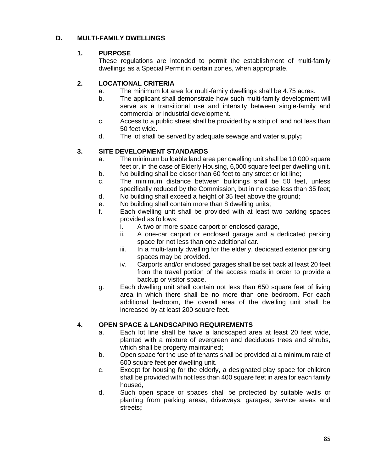## **D. MULTI-FAMILY DWELLINGS**

## **1. PURPOSE**

These regulations are intended to permit the establishment of multi-family dwellings as a Special Permit in certain zones, when appropriate.

## **2. LOCATIONAL CRITERIA**

- a. The minimum lot area for multi-family dwellings shall be 4.75 acres.
- b. The applicant shall demonstrate how such multi-family development will serve as a transitional use and intensity between single-family and commercial or industrial development.
- c. Access to a public street shall be provided by a strip of land not less than 50 feet wide.
- d. The lot shall be served by adequate sewage and water supply**;**

## **3. SITE DEVELOPMENT STANDARDS**

- a. The minimum buildable land area per dwelling unit shall be 10,000 square feet or, in the case of Elderly Housing, 6,000 square feet per dwelling unit.
- b. No building shall be closer than 60 feet to any street or lot line;
- c. The minimum distance between buildings shall be 50 feet, unless specifically reduced by the Commission, but in no case less than 35 feet;
- d. No building shall exceed a height of 35 feet above the ground;
- e. No building shall contain more than 8 dwelling units;
- f. Each dwelling unit shall be provided with at least two parking spaces provided as follows:
	- i. A two or more space carport or enclosed garage,
	- ii. A one-car carport or enclosed garage and a dedicated parking space for not less than one additional car**.**
	- iii. In a multi-family dwelling for the elderly, dedicated exterior parking spaces may be provided**.**
	- iv. Carports and/or enclosed garages shall be set back at least 20 feet from the travel portion of the access roads in order to provide a backup or visitor space.
- g. Each dwelling unit shall contain not less than 650 square feet of living area in which there shall be no more than one bedroom. For each additional bedroom, the overall area of the dwelling unit shall be increased by at least 200 square feet.

## **4. OPEN SPACE & LANDSCAPING REQUIREMENTS**

- a. Each lot line shall be have a landscaped area at least 20 feet wide, planted with a mixture of evergreen and deciduous trees and shrubs, which shall be property maintained**;**
- b. Open space for the use of tenants shall be provided at a minimum rate of 600 square feet per dwelling unit.
- c. Except for housing for the elderly, a designated play space for children shall be provided with not less than 400 square feet in area for each family housed**,**
- d. Such open space or spaces shall be protected by suitable walls or planting from parking areas, driveways, garages, service areas and streets**;**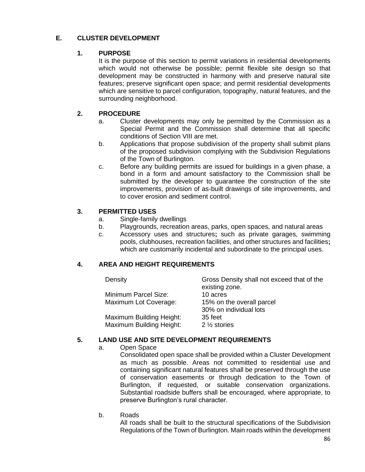## **E. CLUSTER DEVELOPMENT**

### **1. PURPOSE**

It is the purpose of this section to permit variations in residential developments which would not otherwise be possible; permit flexible site design so that development may be constructed in harmony with and preserve natural site features; preserve significant open space; and permit residential developments which are sensitive to parcel configuration, topography, natural features, and the surrounding neighborhood.

## **2. PROCEDURE**

- a. Cluster developments may only be permitted by the Commission as a Special Permit and the Commission shall determine that all specific conditions of Section VIII are met.
- b. Applications that propose subdivision of the property shall submit plans of the proposed subdivision complying with the Subdivision Regulations of the Town of Burlington.
- c. Before any building permits are issued for buildings in a given phase, a bond in a form and amount satisfactory to the Commission shall be submitted by the developer to guarantee the construction of the site improvements, provision of as-built drawings of site improvements, and to cover erosion and sediment control.

## **3. PERMITTED USES**

- a. Single-family dwellings
- b. Playgrounds, recreation areas, parks, open spaces, and natural areas
- c. Accessory uses and structures**;** such as private garages, swimming pools, clubhouses, recreation facilities, and other structures and facilities**;** which are customarily incidental and subordinate to the principal uses.

## **4. AREA AND HEIGHT REQUIREMENTS**

Density Gross Density shall not exceed that of the Minimum Parcel Size: 10 acres

existing zone. Maximum Lot Coverage: 15% on the overall parcel 30% on individual lots Maximum Building Height: 35 feet Maximum Building Height: 2 1/2 stories

#### **5. LAND USE AND SITE DEVELOPMENT REQUIREMENTS**

#### a. Open Space

Consolidated open space shall be provided within a Cluster Development as much as possible. Areas not committed to residential use and containing significant natural features shall be preserved through the use of conservation easements or through dedication to the Town of Burlington, if requested, or suitable conservation organizations. Substantial roadside buffers shall be encouraged, where appropriate, to preserve Burlington's rural character.

b. Roads

All roads shall be built to the structural specifications of the Subdivision Regulations of the Town of Burlington. Main roads within the development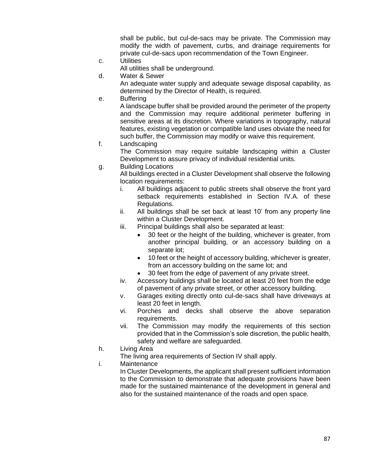shall be public, but cul-de-sacs may be private. The Commission may modify the width of pavement, curbs, and drainage requirements for private cul-de-sacs upon recommendation of the Town Engineer.

c. Utilities

All utilities shall be underground.

d. Water & Sewer

An adequate water supply and adequate sewage disposal capability, as determined by the Director of Health, is required.

e. Buffering

A landscape buffer shall be provided around the perimeter of the property and the Commission may require additional perimeter buffering in sensitive areas at its discretion. Where variations in topography, natural features, existing vegetation or compatible land uses obviate the need for such buffer, the Commission may modify or waive this requirement.

f. Landscaping

The Commission may require suitable landscaping within a Cluster Development to assure privacy of individual residential units.

g. Building Locations

All buildings erected in a Cluster Development shall observe the following location requirements:

- i. All buildings adjacent to public streets shall observe the front yard setback requirements established in Section IV.A. of these Regulations.
- ii. All buildings shall be set back at least 10' from any property line within a Cluster Development.
- iii. Principal buildings shall also be separated at least:
	- 30 feet or the height of the building, whichever is greater, from another principal building, or an accessory building on a separate lot;
	- 10 feet or the height of accessory building, whichever is greater, from an accessory building on the same lot; and
	- 30 feet from the edge of pavement of any private street.
- iv. Accessory buildings shall be located at least 20 feet from the edge of pavement of any private street, or other accessory building.
- v. Garages exiting directly onto cul-de-sacs shall have driveways at least 20 feet in length.
- vi. Porches and decks shall observe the above separation requirements.
- vii. The Commission may modify the requirements of this section provided that in the Commission's sole discretion, the public health, safety and welfare are safeguarded.
- h. Living Area

The living area requirements of Section IV shall apply.

i. Maintenance

In Cluster Developments, the applicant shall present sufficient information to the Commission to demonstrate that adequate provisions have been made for the sustained maintenance of the development in general and also for the sustained maintenance of the roads and open space.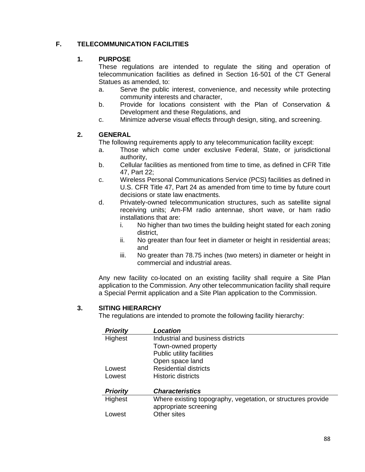# **F. TELECOMMUNICATION FACILITIES**

### **1. PURPOSE**

These regulations are intended to regulate the siting and operation of telecommunication facilities as defined in Section 16-501 of the CT General Statues as amended, to:

- a. Serve the public interest, convenience, and necessity while protecting community interests and character,
- b. Provide for locations consistent with the Plan of Conservation & Development and these Regulations, and
- c. Minimize adverse visual effects through design, siting, and screening.

#### **2. GENERAL**

The following requirements apply to any telecommunication facility except:

- a. Those which come under exclusive Federal, State, or jurisdictional authority,
- b. Cellular facilities as mentioned from time to time, as defined in CFR Title 47, Part 22;
- c. Wireless Personal Communications Service (PCS) facilities as defined in U.S. CFR Title 47, Part 24 as amended from time to time by future court decisions or state law enactments.
- d. Privately-owned telecommunication structures, such as satellite signal receiving units; Am-FM radio antennae, short wave, or ham radio installations that are:
	- i. No higher than two times the building height stated for each zoning district,
	- ii. No greater than four feet in diameter or height in residential areas; and
	- iii. No greater than 78.75 inches (two meters) in diameter or height in commercial and industrial areas.

Any new facility co-located on an existing facility shall require a Site Plan application to the Commission. Any other telecommunication facility shall require a Special Permit application and a Site Plan application to the Commission.

#### **3. SITING HIERARCHY**

The regulations are intended to promote the following facility hierarchy:

| Where existing topography, vegetation, or structures provide |
|--------------------------------------------------------------|
|                                                              |
|                                                              |
|                                                              |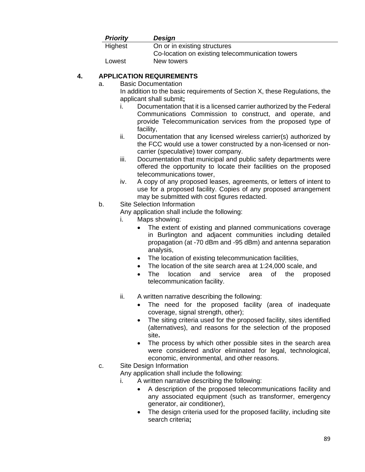| <b>Priority</b> | Design                                           |
|-----------------|--------------------------------------------------|
| Highest         | On or in existing structures                     |
|                 | Co-location on existing telecommunication towers |
| Lowest          | New towers                                       |

# **4. APPLICATION REQUIREMENTS**

a. Basic Documentation

In addition to the basic requirements of Section X, these Regulations, the applicant shall submit**;**

- i. Documentation that it is a licensed carrier authorized by the Federal Communications Commission to construct, and operate, and provide Telecommunication services from the proposed type of facility,
- ii. Documentation that any licensed wireless carrier(s) authorized by the FCC would use a tower constructed by a non-licensed or noncarrier (speculative) tower company.
- iii. Documentation that municipal and public safety departments were offered the opportunity to locate their facilities on the proposed telecommunications tower,
- iv. A copy of any proposed leases, agreements, or letters of intent to use for a proposed facility. Copies of any proposed arrangement may be submitted with cost figures redacted.
- b. Site Selection Information

Any application shall include the following:

- i. Maps showing:
	- The extent of existing and planned communications coverage in Burlington and adjacent communities including detailed propagation (at -70 dBm and -95 dBm) and antenna separation analysis,
	- The location of existing telecommunication facilities,
	- The location of the site search area at 1:24,000 scale, and
	- The location and service area of the proposed telecommunication facility.
- ii. A written narrative describing the following:
	- The need for the proposed facility (area of inadequate coverage, signal strength, other);
	- The siting criteria used for the proposed facility, sites identified (alternatives), and reasons for the selection of the proposed site**.**
	- The process by which other possible sites in the search area were considered and/or eliminated for legal, technological, economic, environmental, and other reasons.
- c. Site Design Information

Any application shall include the following:

i. A written narrative describing the following:

- A description of the proposed telecommunications facility and any associated equipment (such as transformer, emergency generator, air conditioner),
- The design criteria used for the proposed facility, including site search criteria**;**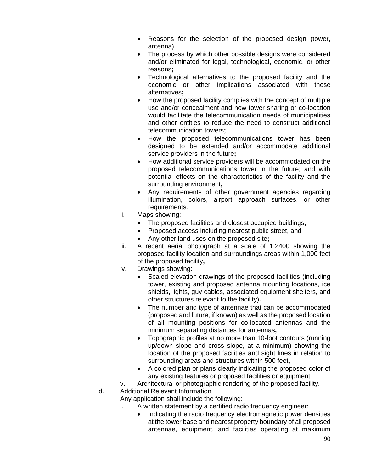- Reasons for the selection of the proposed design (tower, antenna)
- The process by which other possible designs were considered and/or eliminated for legal, technological, economic, or other reasons**;**
- Technological alternatives to the proposed facility and the economic or other implications associated with those alternatives**;**
- How the proposed facility complies with the concept of multiple use and/or concealment and how tower sharing or co-location would facilitate the telecommunication needs of municipalities and other entities to reduce the need to construct additional telecommunication towers**;**
- How the proposed telecommunications tower has been designed to be extended and/or accommodate additional service providers in the future**;**
- How additional service providers will be accommodated on the proposed telecommunications tower in the future; and with potential effects on the characteristics of the facility and the surrounding environment**,**
- Any requirements of other government agencies regarding illumination, colors, airport approach surfaces, or other requirements.
- ii. Maps showing:
	- The proposed facilities and closest occupied buildings,
	- Proposed access including nearest public street, and
	- Any other land uses on the proposed site**;**
- iii. A recent aerial photograph at a scale of 1:2400 showing the proposed facility location and surroundings areas within 1,000 feet of the proposed facility**,**
- iv. Drawings showing:
	- Scaled elevation drawings of the proposed facilities (including tower, existing and proposed antenna mounting locations, ice shields, lights, guy cables, associated equipment shelters, and other structures relevant to the facility)**.**
	- The number and type of antennae that can be accommodated (proposed and future, if known) as well as the proposed location of all mounting positions for co-located antennas and the minimum separating distances for antennas**,**
	- Topographic profiles at no more than 10-foot contours (running up/down slope and cross slope, at a minimum) showing the location of the proposed facilities and sight lines in relation to surrounding areas and structures within 500 feet**,**
	- A colored plan or plans clearly indicating the proposed color of any existing features or proposed facilities or equipment
- v. Architectural or photographic rendering of the proposed facility.
- d. Additional Relevant Information
	- Any application shall include the following:
		- i. A written statement by a certified radio frequency engineer:
			- Indicating the radio frequency electromagnetic power densities at the tower base and nearest property boundary of all proposed antennae, equipment, and facilities operating at maximum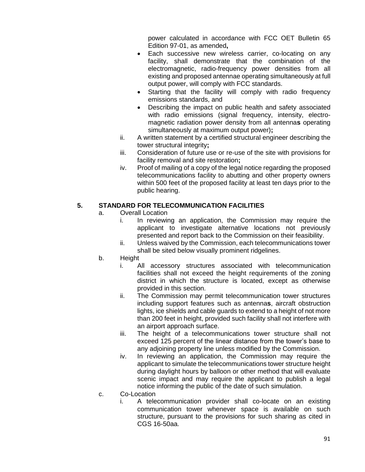power calculated in accordance with FCC OET Bulletin 65 Edition 97-01, as amended**,**

- Each successive new wireless carrier, co-locating on any facility, shall demonstrate that the combination of the electromagnetic, radio-frequency power densities from all existing and proposed antennae operating simultaneously at full output power, will comply with FCC standards.
- Starting that the facility will comply with radio frequency emissions standards, and
- Describing the impact on public health and safety associated with radio emissions (signal frequency, intensity, electromagnetic radiation power density from all antenna**s** operating simultaneously at maximum output power)**;**
- ii. A written statement by a certified structural engineer describing the tower structural integrity**;**
- iii. Consideration of future use or re-use of the site with provisions for facility removal and site restoration**;**
- iv. Proof of mailing of a copy of the legal notice regarding the proposed telecommunications facility to abutting and other property owners within 500 feet of the proposed facility at least ten days prior to the public hearing.

#### **5. STANDARD FOR TELECOMMUNICATION FACILITIES**

- a. Overall Location
	- i. In reviewing an application, the Commission may require the applicant to investigate alternative locations not previously presented and report back to the Commission on their feasibility.
	- ii. Unless waived by the Commission, each telecommunications tower shall be sited below visually prominent ridgelines.
- b. Height
	- i. All accessory structures associated with telecommunication facilities shall not exceed the height requirements of the zoning district in which the structure is located, except as otherwise provided in this section.
	- ii. The Commission may permit telecommunication tower structures including support features such as antenna**s**, aircraft obstruction lights, ice shields and cable guards to extend to a height of not more than 200 feet in height, provided such facility shall not interfere with an airport approach surface.
	- iii. The height of a telecommunications tower structure shall not exceed 125 percent of the linear distance from the tower's base to any adjoining property line unless modified by the Commission.
	- iv. In reviewing an application, the Commission may require the applicant to simulate the telecommunications tower structure height during daylight hours by balloon or other method that will evaluate scenic impact and may require the applicant to publish a legal notice informing the public of the date of such simulation.
- c. Co-Location
	- i. A telecommunication provider shall co-locate on an existing communication tower whenever space is available on such structure, pursuant to the provisions for such sharing as cited in CGS 16-50aa.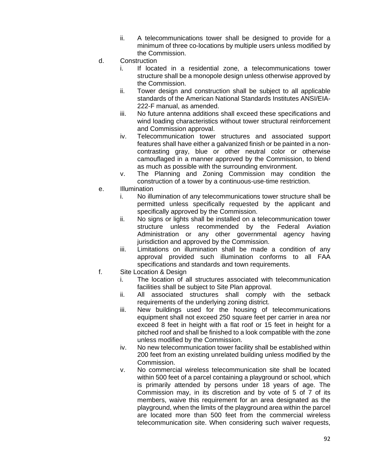- ii. A telecommunications tower shall be designed to provide for a minimum of three co-locations by multiple users unless modified by the Commission.
- d. Construction
	- i. If located in a residential zone, a telecommunications tower structure shall be a monopole design unless otherwise approved by the Commission.
	- ii. Tower design and construction shall be subject to all applicable standards of the American National Standards Institutes ANSI/EIA-222-F manual, as amended.
	- iii. No future antenna additions shall exceed these specifications and wind loading characteristics without tower structural reinforcement and Commission approval.
	- iv. Telecommunication tower structures and associated support features shall have either a galvanized finish or be painted in a noncontrasting gray, blue or other neutral color or otherwise camouflaged in a manner approved by the Commission, to blend as much as possible with the surrounding environment.
	- v. The Planning and Zoning Commission may condition the construction of a tower by a continuous-use-time restriction.
- e. Illumination
	- i. No illumination of any telecommunications tower structure shall be permitted unless specifically requested by the applicant and specifically approved by the Commission.
	- ii. No signs or lights shall be installed on a telecommunication tower structure unless recommended by the Federal Aviation Administration or any other governmental agency having jurisdiction and approved by the Commission.
	- iii. Limitations on illumination shall be made a condition of any approval provided such illumination conforms to all FAA specifications and standards and town requirements.
- f. Site Location & Design
	- i. The location of all structures associated with telecommunication facilities shall be subject to Site Plan approval.
	- ii. All associated structures shall comply with the setback requirements of the underlying zoning district.
	- iii. New buildings used for the housing of telecommunications equipment shall not exceed 250 square feet per carrier in area nor exceed 8 feet in height with a flat roof or 15 feet in height for a pitched roof and shall be finished to a look compatible with the zone unless modified by the Commission.
	- iv. No new telecommunication tower facility shall be established within 200 feet from an existing unrelated building unless modified by the Commission.
	- v. No commercial wireless telecommunication site shall be located within 500 feet of a parcel containing a playground or school, which is primarily attended by persons under 18 years of age. The Commission may, in its discretion and by vote of 5 of 7 of its members, waive this requirement for an area designated as the playground, when the limits of the playground area within the parcel are located more than 500 feet from the commercial wireless telecommunication site. When considering such waiver requests,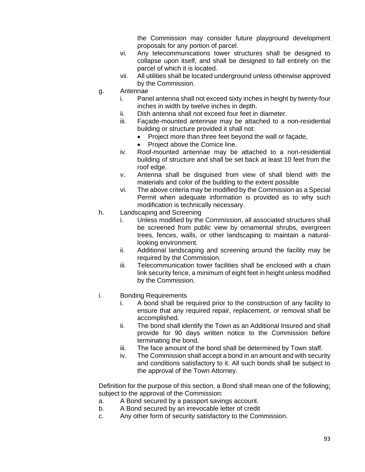the Commission may consider future playground development proposals for any portion of parcel.

- vi. Any telecommunications tower structures shall be designed to collapse upon itself, and shall be designed to fall entirely on the parcel of which it is located.
- vii. All utilities shall be located underground unless otherwise approved by the Commission.
- g. Antennae
	- i. Panel antenna shall not exceed sixty inches in height by twenty-four inches in width by twelve inches in depth.
	- ii. Dish antenna shall not exceed four feet in diameter.
	- iii. Façade-mounted antennae may be attached to a non-residential building or structure provided it shall not:
		- Project more than three feet beyond the wall or façade,
		- Project above the Comice line.
	- iv. Roof-mounted antennae may be attached to a non-residential building of structure and shall be set back at least 10 feet from the roof edge.
	- v. Antenna shall be disguised from view of shall blend with the materials and color of the building to the extent possible
	- vi. The above criteria may be modified by the Commission as a Special Permit when adequate information is provided as to why such modification is technically necessary.
- h. Landscaping and Screening
	- i. Unless modified by the Commission, all associated structures shall be screened from public view by ornamental shrubs, evergreen trees, fences, walls, or other landscaping to maintain a naturallooking environment.
	- ii. Additional landscaping and screening around the facility may be required by the Commission.
	- iii. Telecommunication tower facilities shall be enclosed with a chain link security fence, a minimum of eight feet in height unless modified by the Commission.
- i. Bonding Requirements
	- i. A bond shall be required prior to the construction of any facility to ensure that any required repair, replacement, or removal shall be accomplished.
	- ii. The bond shall identify the Town as an Additional Insured and shall provide for 90 days written notice to the Commission before terminating the bond.
	- iii. The face amount of the bond shall be determined by Town staff.
	- iv. The Commission shall accept a bond in an amount and with security and conditions satisfactory to it. All such bonds shall be subject to the approval of the Town Attorney.

Definition for the purpose of this section, a Bond shall mean one of the following; subject to the approval of the Commission:

- a. A Bond secured by a passport savings account.
- b. A Bond secured by an irrevocable letter of credit
- c. Any other form of security satisfactory to the Commission.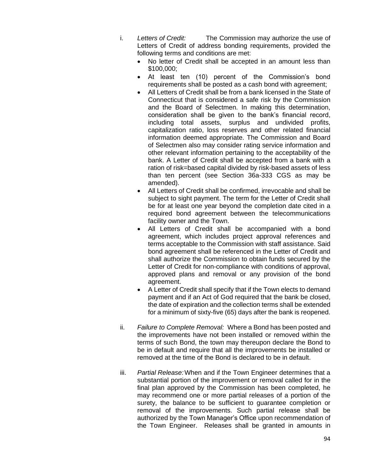- i. *Letters of Credit:* The Commission may authorize the use of Letters of Credit of address bonding requirements, provided the following terms and conditions are met:
	- No letter of Credit shall be accepted in an amount less than \$100,000;
	- At least ten (10) percent of the Commission's bond requirements shall be posted as a cash bond with agreement;
	- All Letters of Credit shall be from a bank licensed in the State of Connecticut that is considered a safe risk by the Commission and the Board of Selectmen. In making this determination, consideration shall be given to the bank's financial record, including total assets, surplus and undivided profits, capitalization ratio, loss reserves and other related financial information deemed appropriate. The Commission and Board of Selectmen also may consider rating service information and other relevant information pertaining to the acceptability of the bank. A Letter of Credit shall be accepted from a bank with a ration of risk=based capital divided by risk-based assets of less than ten percent (see Section 36a-333 CGS as may be amended).
	- All Letters of Credit shall be confirmed, irrevocable and shall be subject to sight payment. The term for the Letter of Credit shall be for at least one year beyond the completion date cited in a required bond agreement between the telecommunications facility owner and the Town.
	- All Letters of Credit shall be accompanied with a bond agreement, which includes project approval references and terms acceptable to the Commission with staff assistance. Said bond agreement shall be referenced in the Letter of Credit and shall authorize the Commission to obtain funds secured by the Letter of Credit for non-compliance with conditions of approval, approved plans and removal or any provision of the bond agreement.
	- A Letter of Credit shall specify that if the Town elects to demand payment and if an Act of God required that the bank be closed, the date of expiration and the collection terms shall be extended for a minimum of sixty-five (65) days after the bank is reopened.
- ii. *Failure to Complete Removal:* Where a Bond has been posted and the improvements have not been installed or removed within the terms of such Bond, the town may thereupon declare the Bond to be in default and require that all the improvements be installed or removed at the time of the Bond is declared to be in default.
- iii. *Partial Release:*When and if the Town Engineer determines that a substantial portion of the improvement or removal called for in the final plan approved by the Commission has been completed, he may recommend one or more partial releases of a portion of the surety, the balance to be sufficient to guarantee completion or removal of the improvements. Such partial release shall be authorized by the Town Manager's Office upon recommendation of the Town Engineer. Releases shall be granted in amounts in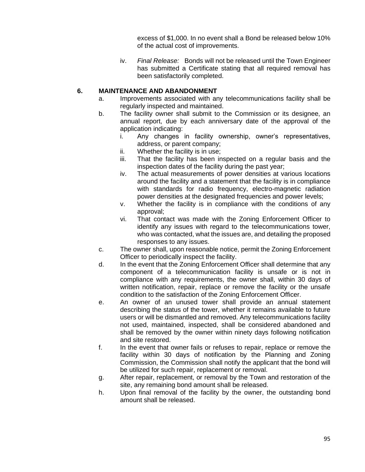excess of \$1,000. In no event shall a Bond be released below 10% of the actual cost of improvements.

iv. *Final Release:* Bonds will not be released until the Town Engineer has submitted a Certificate stating that all required removal has been satisfactorily completed.

#### **6. MAINTENANCE AND ABANDONMENT**

- a. Improvements associated with any telecommunications facility shall be regularly inspected and maintained.
- b. The facility owner shall submit to the Commission or its designee, an annual report, due by each anniversary date of the approval of the application indicating:
	- i. Any changes in facility ownership, owner's representatives, address, or parent company;
	- ii. Whether the facility is in use;
	- iii. That the facility has been inspected on a regular basis and the inspection dates of the facility during the past year;
	- iv. The actual measurements of power densities at various locations around the facility and a statement that the facility is in compliance with standards for radio frequency, electro-magnetic radiation power densities at the designated frequencies and power levels;
	- v. Whether the facility is in compliance with the conditions of any approval;
	- vi. That contact was made with the Zoning Enforcement Officer to identify any issues with regard to the telecommunications tower, who was contacted, what the issues are, and detailing the proposed responses to any issues.
- c. The owner shall, upon reasonable notice, permit the Zoning Enforcement Officer to periodically inspect the facility.
- d. In the event that the Zoning Enforcement Officer shall determine that any component of a telecommunication facility is unsafe or is not in compliance with any requirements, the owner shall, within 30 days of written notification, repair, replace or remove the facility or the unsafe condition to the satisfaction of the Zoning Enforcement Officer.
- e. An owner of an unused tower shall provide an annual statement describing the status of the tower, whether it remains available to future users or will be dismantled and removed. Any telecommunications facility not used, maintained, inspected, shall be considered abandoned and shall be removed by the owner within ninety days following notification and site restored.
- f. In the event that owner fails or refuses to repair, replace or remove the facility within 30 days of notification by the Planning and Zoning Commission, the Commission shall notify the applicant that the bond will be utilized for such repair, replacement or removal.
- g. After repair, replacement, or removal by the Town and restoration of the site, any remaining bond amount shall be released.
- h. Upon final removal of the facility by the owner, the outstanding bond amount shall be released.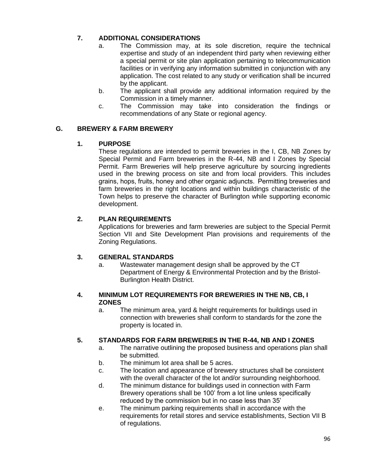# **7. ADDITIONAL CONSIDERATIONS**

- a. The Commission may, at its sole discretion, require the technical expertise and study of an independent third party when reviewing either a special permit or site plan application pertaining to telecommunication facilities or in verifying any information submitted in conjunction with any application. The cost related to any study or verification shall be incurred by the applicant.
- b. The applicant shall provide any additional information required by the Commission in a timely manner.
- c. The Commission may take into consideration the findings or recommendations of any State or regional agency.

#### **G. BREWERY & FARM BREWERY**

#### **1. PURPOSE**

These regulations are intended to permit breweries in the I, CB, NB Zones by Special Permit and Farm breweries in the R-44, NB and I Zones by Special Permit. Farm Breweries will help preserve agriculture by sourcing ingredients used in the brewing process on site and from local providers. This includes grains, hops, fruits, honey and other organic adjuncts.  Permitting breweries and farm breweries in the right locations and within buildings characteristic of the Town helps to preserve the character of Burlington while supporting economic development. 

#### **2. PLAN REQUIREMENTS**

Applications for breweries and farm breweries are subject to the Special Permit Section VII and Site Development Plan provisions and requirements of the Zoning Regulations.

#### **3. GENERAL STANDARDS**

a. Wastewater management design shall be approved by the CT Department of Energy & Environmental Protection and by the Bristol-Burlington Health District.

#### **4. MINIMUM LOT REQUIREMENTS FOR BREWERIES IN THE NB, CB, I ZONES**

a. The minimum area, yard & height requirements for buildings used in connection with breweries shall conform to standards for the zone the property is located in.

## **5. STANDARDS FOR FARM BREWERIES IN THE R-44, NB AND I ZONES**

- a. The narrative outlining the proposed business and operations plan shall be submitted.
- b. The minimum lot area shall be 5 acres.
- c. The location and appearance of brewery structures shall be consistent with the overall character of the lot and/or surrounding neighborhood.
- d. The minimum distance for buildings used in connection with Farm Brewery operations shall be 100' from a lot line unless specifically reduced by the commission but in no case less than 35'
- e. The minimum parking requirements shall in accordance with the requirements for retail stores and service establishments, Section VII B of regulations.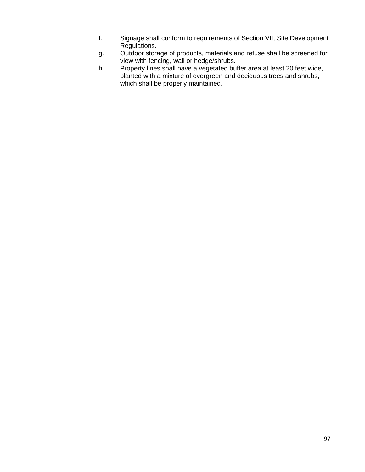- f. Signage shall conform to requirements of Section VII, Site Development Regulations.
- g. Outdoor storage of products, materials and refuse shall be screened for view with fencing, wall or hedge/shrubs.
- h. Property lines shall have a vegetated buffer area at least 20 feet wide, planted with a mixture of evergreen and deciduous trees and shrubs, which shall be properly maintained.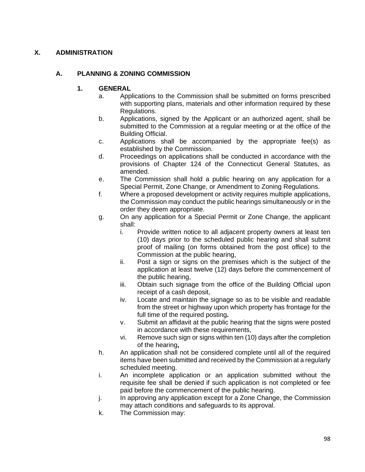## **X. ADMINISTRATION**

## **A. PLANNING & ZONING COMMISSION**

### **1. GENERAL**

- a. Applications to the Commission shall be submitted on forms prescribed with supporting plans, materials and other information required by these Regulations.
- b. Applications, signed by the Applicant or an authorized agent, shall be submitted to the Commission at a regular meeting or at the office of the Building Official.
- c. Applications shall be accompanied by the appropriate fee(s) as established by the Commission.
- d. Proceedings on applications shall be conducted in accordance with the provisions of Chapter 124 of the Connecticut General Statutes, as amended.
- e. The Commission shall hold a public hearing on any application for a Special Permit, Zone Change, or Amendment to Zoning Regulations.
- f. Where a proposed development or activity requires multiple applications, the Commission may conduct the public hearings simultaneously or in the order they deem appropriate.
- g. On any application for a Special Permit or Zone Change, the applicant shall:
	- i. Provide written notice to all adjacent property owners at least ten (10) days prior to the scheduled public hearing and shall submit proof of mailing (on forms obtained from the post office) to the Commission at the public hearing,
	- ii. Post a sign or signs on the premises which is the subject of the application at least twelve (12) days before the commencement of the public hearing,
	- iii. Obtain such signage from the office of the Building Official upon receipt of a cash deposit,
	- iv. Locate and maintain the signage so as to be visible and readable from the street or highway upon which property has frontage for the full time of the required posting**.**
	- v. Submit an affidavit at the public hearing that the signs were posted in accordance with these requirements,
	- vi. Remove such sign or signs within ten (10) days after the completion of the hearing**,**
- h. An application shall not be considered complete until all of the required items have been submitted and received by the Commission at a regularly scheduled meeting.
- i. An incomplete application or an application submitted without the requisite fee shall be denied if such application is not completed or fee paid before the commencement of the public hearing.
- j. In approving any application except for a Zone Change, the Commission may attach conditions and safeguards to its approval.
- k. The Commission may: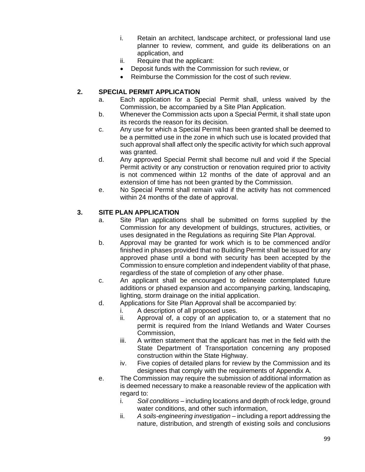- i. Retain an architect, landscape architect, or professional land use planner to review, comment, and guide its deliberations on an application, and
- ii. Require that the applicant:
- Deposit funds with the Commission for such review, or
- Reimburse the Commission for the cost of such review.

### **2. SPECIAL PERMIT APPLICATION**

- a. Each application for a Special Permit shall, unless waived by the Commission, be accompanied by a Site Plan Application.
- b. Whenever the Commission acts upon a Special Permit, it shall state upon its records the reason for its decision.
- c. Any use for which a Special Permit has been granted shall be deemed to be a permitted use in the zone in which such use is located provided that such approval shall affect only the specific activity for which such approval was granted.
- d. Any approved Special Permit shall become null and void if the Special Permit activity or any construction or renovation required prior to activity is not commenced within 12 months of the date of approval and an extension of time has not been granted by the Commission.
- e. No Special Permit shall remain valid if the activity has not commenced within 24 months of the date of approval.

#### **3. SITE PLAN APPLICATION**

- a. Site Plan applications shall be submitted on forms supplied by the Commission for any development of buildings, structures, activities, or uses designated in the Regulations as requiring Site Plan Approval.
- b. Approval may be granted for work which is to be commenced and/or finished in phases provided that no Building Permit shall be issued for any approved phase until a bond with security has been accepted by the Commission to ensure completion and independent viability of that phase, regardless of the state of completion of any other phase.
- c. An applicant shall be encouraged to delineate contemplated future additions or phased expansion and accompanying parking, landscaping, lighting, storm drainage on the initial application.
- d. Applications for Site Plan Approval shall be accompanied by:
	- i. A description of all proposed uses.
	- ii. Approval of, a copy of an application to, or a statement that no permit is required from the Inland Wetlands and Water Courses Commission,
	- iii. A written statement that the applicant has met in the field with the State Department of Transportation concerning any proposed construction within the State Highway.
	- iv. Five copies of detailed plans for review by the Commission and its designees that comply with the requirements of Appendix A.
- e. The Commission may require the submission of additional information as is deemed necessary to make a reasonable review of the application with regard to:
	- i. *Soil conditions* including locations and depth of rock ledge, ground water conditions, and other such information,
	- ii. *A soils-engineering investigation* including a report addressing the nature, distribution, and strength of existing soils and conclusions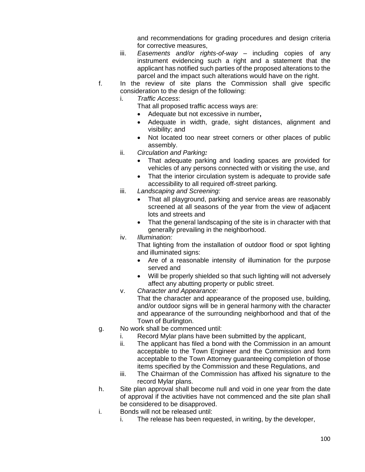and recommendations for grading procedures and design criteria for corrective measures,

- iii. *Easements and/or rights-of-way* including copies of any instrument evidencing such a right and a statement that the applicant has notified such parties of the proposed alterations to the parcel and the impact such alterations would have on the right.
- f. In the review of site plans the Commission shall give specific consideration to the design of the following:
	- i. *Traffic Access*:
		- That all proposed traffic access ways are:
		- Adequate but not excessive in number**,**
		- Adequate in width, grade, sight distances, alignment and visibility; and
		- Not located too near street corners or other places of public assembly.
	- ii. *Circulation and Parking:*
		- That adequate parking and loading spaces are provided for vehicles of any persons connected with or visiting the use, and
		- That the interior circulation system is adequate to provide safe accessibility to all required off-street parking.
	- iii. *Landscaping and Screening:*
		- That all playground, parking and service areas are reasonably screened at all seasons of the year from the view of adjacent lots and streets and
		- That the general landscaping of the site is in character with that generally prevailing in the neighborhood.
	- iv. *Illumination:*

That lighting from the installation of outdoor flood or spot lighting and illuminated signs:

- Are of a reasonable intensity of illumination for the purpose served and
- Will be properly shielded so that such lighting will not adversely affect any abutting property or public street.
- v. *Character and Appearance:*

That the character and appearance of the proposed use, building, and/or outdoor signs will be in general harmony with the character and appearance of the surrounding neighborhood and that of the Town of Burlington.

- g. No work shall be commenced until:
	- i. Record Mylar plans have been submitted by the applicant,
	- ii. The applicant has filed a bond with the Commission in an amount acceptable to the Town Engineer and the Commission and form acceptable to the Town Attorney guaranteeing completion of those items specified by the Commission and these Regulations, and
	- iii. The Chairman of the Commission has affixed his signature to the record Mylar plans.
- h. Site plan approval shall become null and void in one year from the date of approval if the activities have not commenced and the site plan shall be considered to be disapproved.
- i. Bonds will not be released until:
	- i. The release has been requested, in writing, by the developer,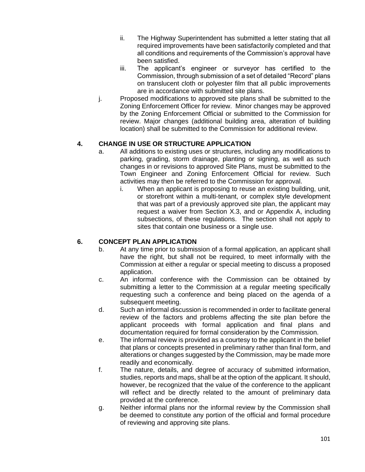- ii. The Highway Superintendent has submitted a letter stating that all required improvements have been satisfactorily completed and that all conditions and requirements of the Commission's approval have been satisfied.
- iii. The applicant's engineer or surveyor has certified to the Commission, through submission of a set of detailed "Record" plans on translucent cloth or polyester film that all public improvements are in accordance with submitted site plans.
- j. Proposed modifications to approved site plans shall be submitted to the Zoning Enforcement Officer for review. Minor changes may be approved by the Zoning Enforcement Official or submitted to the Commission for review. Major changes (additional building area, alteration of building location) shall be submitted to the Commission for additional review.

## **4. CHANGE IN USE OR STRUCTURE APPLICATION**

- a. All additions to existing uses or structures, including any modifications to parking, grading, storm drainage, planting or signing, as well as such changes in or revisions to approved Site Plans, must be submitted to the Town Engineer and Zoning Enforcement Official for review. Such activities may then be referred to the Commission for approval.
	- i. When an applicant is proposing to reuse an existing building, unit, or storefront within a multi-tenant, or complex style development that was part of a previously approved site plan, the applicant may request a waiver from Section X.3, and or Appendix A, including subsections, of these regulations. The section shall not apply to sites that contain one business or a single use.

## **6. CONCEPT PLAN APPLICATION**

- b. At any time prior to submission of a formal application, an applicant shall have the right, but shall not be required, to meet informally with the Commission at either a regular or special meeting to discuss a proposed application.
- c. An informal conference with the Commission can be obtained by submitting a letter to the Commission at a regular meeting specifically requesting such a conference and being placed on the agenda of a subsequent meeting.
- d. Such an informal discussion is recommended in order to facilitate general review of the factors and problems affecting the site plan before the applicant proceeds with formal application and final plans and documentation required for formal consideration by the Commission.
- e. The informal review is provided as a courtesy to the applicant in the belief that plans or concepts presented in preliminary rather than final form, and alterations or changes suggested by the Commission, may be made more readily and economically.
- f. The nature, details, and degree of accuracy of submitted information, studies, reports and maps, shall be at the option of the applicant. It should, however, be recognized that the value of the conference to the applicant will reflect and be directly related to the amount of preliminary data provided at the conference.
- g. Neither informal plans nor the informal review by the Commission shall be deemed to constitute any portion of the official and formal procedure of reviewing and approving site plans.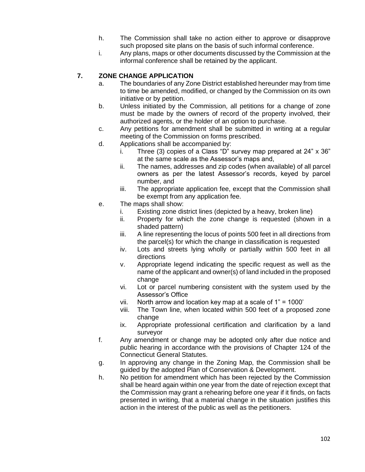- h. The Commission shall take no action either to approve or disapprove such proposed site plans on the basis of such informal conference.
- i. Any plans, maps or other documents discussed by the Commission at the informal conference shall be retained by the applicant.

# **7. ZONE CHANGE APPLICATION**

- a. The boundaries of any Zone District established hereunder may from time to time be amended, modified, or changed by the Commission on its own initiative or by petition.
- b. Unless initiated by the Commission, all petitions for a change of zone must be made by the owners of record of the property involved, their authorized agents, or the holder of an option to purchase.
- c. Any petitions for amendment shall be submitted in writing at a regular meeting of the Commission on forms prescribed.
- d. Applications shall be accompanied by:
	- i. Three (3) copies of a Class "D" survey map prepared at 24" x 36" at the same scale as the Assessor's maps and,
	- ii. The names, addresses and zip codes (when available) of all parcel owners as per the latest Assessor's records, keyed by parcel number, and
	- iii. The appropriate application fee, except that the Commission shall be exempt from any application fee.
- e. The maps shall show:
	- i. Existing zone district lines (depicted by a heavy, broken line)
	- ii. Property for which the zone change is requested (shown in a shaded pattern)
	- iii. A line representing the locus of points 500 feet in all directions from the parcel(s) for which the change in classification is requested
	- iv. Lots and streets lying wholly or partially within 500 feet in all directions
	- v. Appropriate legend indicating the specific request as well as the name of the applicant and owner(s) of land included in the proposed change
	- vi. Lot or parcel numbering consistent with the system used by the Assessor's Office
	- vii. North arrow and location key map at a scale of 1" = 1000'
	- viii. The Town line, when located within 500 feet of a proposed zone change
	- ix. Appropriate professional certification and clarification by a land surveyor
- f. Any amendment or change may be adopted only after due notice and public hearing in accordance with the provisions of Chapter 124 of the Connecticut General Statutes.
- g. In approving any change in the Zoning Map, the Commission shall be guided by the adopted Plan of Conservation & Development.
- h. No petition for amendment which has been rejected by the Commission shall be heard again within one year from the date of rejection except that the Commission may grant a rehearing before one year if it finds, on facts presented in writing, that a material change in the situation justifies this action in the interest of the public as well as the petitioners.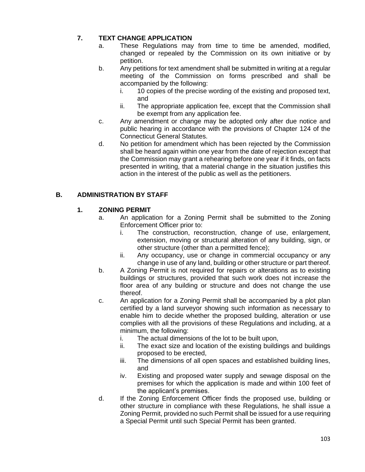# **7. TEXT CHANGE APPLICATION**

- a. These Regulations may from time to time be amended, modified, changed or repealed by the Commission on its own initiative or by petition.
- b. Any petitions for text amendment shall be submitted in writing at a regular meeting of the Commission on forms prescribed and shall be accompanied by the following:
	- i. 10 copies of the precise wording of the existing and proposed text, and
	- ii. The appropriate application fee, except that the Commission shall be exempt from any application fee.
- c. Any amendment or change may be adopted only after due notice and public hearing in accordance with the provisions of Chapter 124 of the Connecticut General Statutes.
- d. No petition for amendment which has been rejected by the Commission shall be heard again within one year from the date of rejection except that the Commission may grant a rehearing before one year if it finds, on facts presented in writing, that a material change in the situation justifies this action in the interest of the public as well as the petitioners.

## **B. ADMINISTRATION BY STAFF**

## **1. ZONING PERMIT**

- a. An application for a Zoning Permit shall be submitted to the Zoning Enforcement Officer prior to:
	- i. The construction, reconstruction, change of use, enlargement, extension, moving or structural alteration of any building, sign, or other structure (other than a permitted fence);
	- ii. Any occupancy, use or change in commercial occupancy or any change in use of any land, building or other structure or part thereof.
- b. A Zoning Permit is not required for repairs or alterations as to existing buildings or structures, provided that such work does not increase the floor area of any building or structure and does not change the use thereof.
- c. An application for a Zoning Permit shall be accompanied by a plot plan certified by a land surveyor showing such information as necessary to enable him to decide whether the proposed building, alteration or use complies with all the provisions of these Regulations and including, at a minimum, the following:
	- i. The actual dimensions of the lot to be built upon,
	- ii. The exact size and location of the existing buildings and buildings proposed to be erected,
	- iii. The dimensions of all open spaces and established building lines, and
	- iv. Existing and proposed water supply and sewage disposal on the premises for which the application is made and within 100 feet of the applicant's premises.
- d. If the Zoning Enforcement Officer finds the proposed use, building or other structure in compliance with these Regulations, he shall issue a Zoning Permit, provided no such Permit shall be issued for a use requiring a Special Permit until such Special Permit has been granted.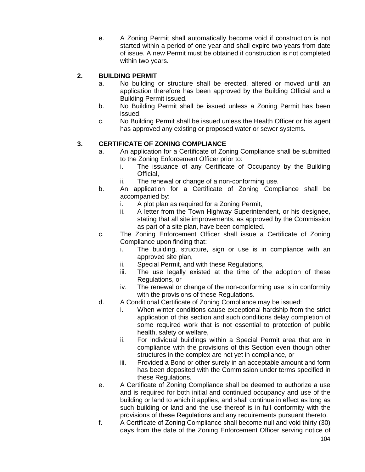e. A Zoning Permit shall automatically become void if construction is not started within a period of one year and shall expire two years from date of issue. A new Permit must be obtained if construction is not completed within two years.

# **2. BUILDING PERMIT**

- a. No building or structure shall be erected, altered or moved until an application therefore has been approved by the Building Official and a Building Permit issued.
- b. No Building Permit shall be issued unless a Zoning Permit has been issued.
- c. No Building Permit shall be issued unless the Health Officer or his agent has approved any existing or proposed water or sewer systems.

# **3. CERTIFICATE OF ZONING COMPLIANCE**

- a. An application for a Certificate of Zoning Compliance shall be submitted to the Zoning Enforcement Officer prior to:
	- i. The issuance of any Certificate of Occupancy by the Building Official,
	- ii. The renewal or change of a non-conforming use.
- b. An application for a Certificate of Zoning Compliance shall be accompanied by:
	- i. A plot plan as required for a Zoning Permit,
	- ii. A letter from the Town Highway Superintendent, or his designee, stating that all site improvements, as approved by the Commission as part of a site plan, have been completed.
- c. The Zoning Enforcement Officer shall issue a Certificate of Zoning Compliance upon finding that:
	- i. The building, structure, sign or use is in compliance with an approved site plan,
	- ii. Special Permit, and with these Regulations,
	- iii. The use legally existed at the time of the adoption of these Regulations, or
	- iv. The renewal or change of the non-conforming use is in conformity with the provisions of these Regulations.
- d. A Conditional Certificate of Zoning Compliance may be issued:
	- i. When winter conditions cause exceptional hardship from the strict application of this section and such conditions delay completion of some required work that is not essential to protection of public health, safety or welfare,
	- ii. For individual buildings within a Special Permit area that are in compliance with the provisions of this Section even though other structures in the complex are not yet in compliance, or
	- iii. Provided a Bond or other surety in an acceptable amount and form has been deposited with the Commission under terms specified in these Regulations.
- e. A Certificate of Zoning Compliance shall be deemed to authorize a use and is required for both initial and continued occupancy and use of the building or land to which it applies, and shall continue in effect as long as such building or land and the use thereof is in full conformity with the provisions of these Regulations and any requirements pursuant thereto.
- f. A Certificate of Zoning Compliance shall become null and void thirty (30) days from the date of the Zoning Enforcement Officer serving notice of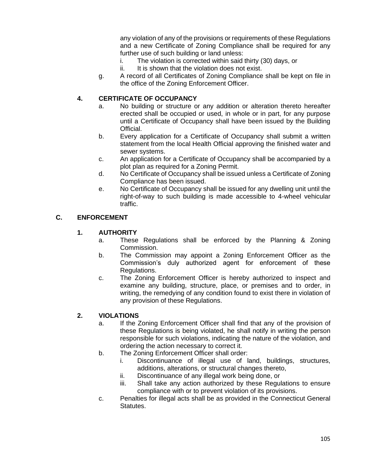any violation of any of the provisions or requirements of these Regulations and a new Certificate of Zoning Compliance shall be required for any further use of such building or land unless:

- i. The violation is corrected within said thirty (30) days, or
- ii. It is shown that the violation does not exist.
- g. A record of all Certificates of Zoning Compliance shall be kept on file in the office of the Zoning Enforcement Officer.

## **4. CERTIFICATE OF OCCUPANCY**

- a. No building or structure or any addition or alteration thereto hereafter erected shall be occupied or used, in whole or in part, for any purpose until a Certificate of Occupancy shall have been issued by the Building Official.
- b. Every application for a Certificate of Occupancy shall submit a written statement from the local Health Official approving the finished water and sewer systems.
- c. An application for a Certificate of Occupancy shall be accompanied by a plot plan as required for a Zoning Permit.
- d. No Certificate of Occupancy shall be issued unless a Certificate of Zoning Compliance has been issued.
- e. No Certificate of Occupancy shall be issued for any dwelling unit until the right-of-way to such building is made accessible to 4-wheel vehicular traffic.

#### **C. ENFORCEMENT**

## **1. AUTHORITY**

- a. These Regulations shall be enforced by the Planning & Zoning Commission.
- b. The Commission may appoint a Zoning Enforcement Officer as the Commission's duly authorized agent for enforcement of these Regulations.
- c. The Zoning Enforcement Officer is hereby authorized to inspect and examine any building, structure, place, or premises and to order, in writing, the remedying of any condition found to exist there in violation of any provision of these Regulations.

## **2. VIOLATIONS**

- a. If the Zoning Enforcement Officer shall find that any of the provision of these Regulations is being violated, he shall notify in writing the person responsible for such violations, indicating the nature of the violation, and ordering the action necessary to correct it.
- b. The Zoning Enforcement Officer shall order:
	- i. Discontinuance of illegal use of land, buildings, structures, additions, alterations, or structural changes thereto,
	- ii. Discontinuance of any illegal work being done, or
	- iii. Shall take any action authorized by these Regulations to ensure compliance with or to prevent violation of its provisions.
- c. Penalties for illegal acts shall be as provided in the Connecticut General Statutes.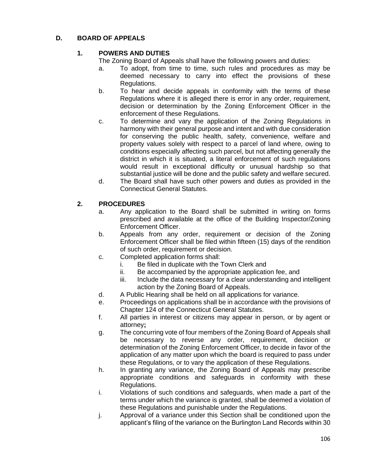## **D. BOARD OF APPEALS**

## **1. POWERS AND DUTIES**

The Zoning Board of Appeals shall have the following powers and duties:

- a. To adopt, from time to time, such rules and procedures as may be deemed necessary to carry into effect the provisions of these Regulations.
- b. To hear and decide appeals in conformity with the terms of these Regulations where it is alleged there is error in any order, requirement, decision or determination by the Zoning Enforcement Officer in the enforcement of these Regulations.
- c. To determine and vary the application of the Zoning Regulations in harmony with their general purpose and intent and with due consideration for conserving the public health, safety, convenience, welfare and property values solely with respect to a parcel of land where, owing to conditions especially affecting such parcel, but not affecting generally the district in which it is situated, a literal enforcement of such regulations would result in exceptional difficulty or unusual hardship so that substantial justice will be done and the public safety and welfare secured.
- d. The Board shall have such other powers and duties as provided in the Connecticut General Statutes.

## **2. PROCEDURES**

- a. Any application to the Board shall be submitted in writing on forms prescribed and available at the office of the Building Inspector/Zoning Enforcement Officer.
- b. Appeals from any order, requirement or decision of the Zoning Enforcement Officer shall be filed within fifteen (15) days of the rendition of such order, requirement or decision.
- c. Completed application forms shall:
	- i. Be filed in duplicate with the Town Clerk and
	- ii. Be accompanied by the appropriate application fee, and
	- iii. Include the data necessary for a clear understanding and intelligent action by the Zoning Board of Appeals.
- d. A Public Hearing shall be held on all applications for variance.
- e. Proceedings on applications shall be in accordance with the provisions of Chapter 124 of the Connecticut General Statutes.
- f. All parties in interest or citizens may appear in person, or by agent or attorney**;**
- g. The concurring vote of four members of the Zoning Board of Appeals shall be necessary to reverse any order, requirement, decision or determination of the Zoning Enforcement Officer, to decide in favor of the application of any matter upon which the board is required to pass under these Regulations, or to vary the application of these Regulations.
- h. In granting any variance, the Zoning Board of Appeals may prescribe appropriate conditions and safeguards in conformity with these Regulations.
- i. Violations of such conditions and safeguards, when made a part of the terms under which the variance is granted, shall be deemed a violation of these Regulations and punishable under the Regulations.
- j. Approval of a variance under this Section shall be conditioned upon the applicant's filing of the variance on the Burlington Land Records within 30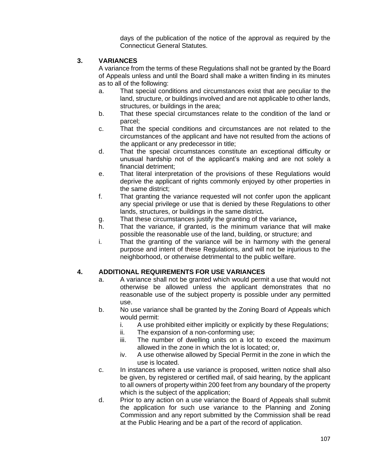days of the publication of the notice of the approval as required by the Connecticut General Statutes.

## **3. VARIANCES**

A variance from the terms of these Regulations shall not be granted by the Board of Appeals unless and until the Board shall make a written finding in its minutes as to all of the following:

- a. That special conditions and circumstances exist that are peculiar to the land, structure, or buildings involved and are not applicable to other lands, structures, or buildings in the area;
- b. That these special circumstances relate to the condition of the land or parcel;
- c. That the special conditions and circumstances are not related to the circumstances of the applicant and have not resulted from the actions of the applicant or any predecessor in title;
- d. That the special circumstances constitute an exceptional difficulty or unusual hardship not of the applicant's making and are not solely a financial detriment;
- e. That literal interpretation of the provisions of these Regulations would deprive the applicant of rights commonly enjoyed by other properties in the same district;
- f. That granting the variance requested will not confer upon the applicant any special privilege or use that is denied by these Regulations to other lands, structures, or buildings in the same district**.**
- g. That these circumstances justify the granting of the variance**,**
- h. That the variance, if granted, is the minimum variance that will make possible the reasonable use of the land, building, or structure; and
- i. That the granting of the variance will be in harmony with the general purpose and intent of these Regulations, and will not be injurious to the neighborhood, or otherwise detrimental to the public welfare.

## **4. ADDITIONAL REQUIREMENTS FOR USE VARIANCES**

- a. A variance shall not be granted which would permit a use that would not otherwise be allowed unless the applicant demonstrates that no reasonable use of the subject property is possible under any permitted use.
- b. No use variance shall be granted by the Zoning Board of Appeals which would permit:
	- i. A use prohibited either implicitly or explicitly by these Regulations;
	- ii. The expansion of a non-conforming use;
	- iii. The number of dwelling units on a lot to exceed the maximum allowed in the zone in which the lot is located; or,
	- iv. A use otherwise allowed by Special Permit in the zone in which the use is located.
- c. In instances where a use variance is proposed, written notice shall also be given, by registered or certified mail, of said hearing, by the applicant to all owners of property within 200 feet from any boundary of the property which is the subject of the application;
- d. Prior to any action on a use variance the Board of Appeals shall submit the application for such use variance to the Planning and Zoning Commission and any report submitted by the Commission shall be read at the Public Hearing and be a part of the record of application.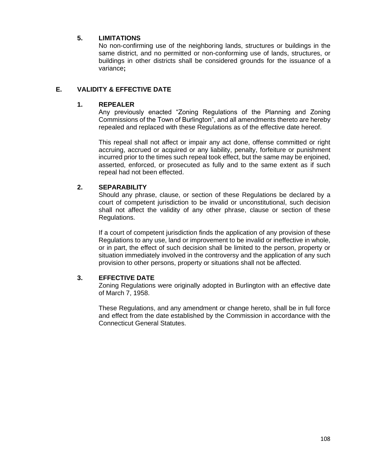#### **5. LIMITATIONS**

No non-confirming use of the neighboring lands, structures or buildings in the same district, and no permitted or non-conforming use of lands, structures, or buildings in other districts shall be considered grounds for the issuance of a variance**;**

#### **E. VALIDITY & EFFECTIVE DATE**

#### **1. REPEALER**

Any previously enacted "Zoning Regulations of the Planning and Zoning Commissions of the Town of Burlington", and all amendments thereto are hereby repealed and replaced with these Regulations as of the effective date hereof.

This repeal shall not affect or impair any act done, offense committed or right accruing, accrued or acquired or any liability, penalty, forfeiture or punishment incurred prior to the times such repeal took effect, but the same may be enjoined, asserted, enforced, or prosecuted as fully and to the same extent as if such repeal had not been effected.

#### **2. SEPARABILITY**

Should any phrase, clause, or section of these Regulations be declared by a court of competent jurisdiction to be invalid or unconstitutional, such decision shall not affect the validity of any other phrase, clause or section of these Regulations.

If a court of competent jurisdiction finds the application of any provision of these Regulations to any use, land or improvement to be invalid or ineffective in whole, or in part, the effect of such decision shall be limited to the person, property or situation immediately involved in the controversy and the application of any such provision to other persons, property or situations shall not be affected.

#### **3. EFFECTIVE DATE**

Zoning Regulations were originally adopted in Burlington with an effective date of March 7, 1958.

These Regulations, and any amendment or change hereto, shall be in full force and effect from the date established by the Commission in accordance with the Connecticut General Statutes.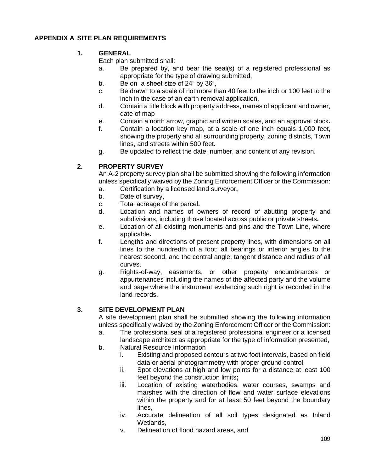## **APPENDIX A SITE PLAN REQUIREMENTS**

### **1. GENERAL**

Each plan submitted shall:

- a. Be prepared by, and bear the seal(s) of a registered professional as appropriate for the type of drawing submitted,
- b. Be on a sheet size of 24" by 36",
- c. Be drawn to a scale of not more than 40 feet to the inch or 100 feet to the inch in the case of an earth removal application,
- d. Contain a title block with property address, names of applicant and owner, date of map
- e. Contain a north arrow, graphic and written scales, and an approval block**.**
- f. Contain a location key map, at a scale of one inch equals 1,000 feet, showing the property and all surrounding property, zoning districts, Town lines, and streets within 500 feet**.**
- g. Be updated to reflect the date, number, and content of any revision.

## **2. PROPERTY SURVEY**

An A-2 property survey plan shall be submitted showing the following information unless specifically waived by the Zoning Enforcement Officer or the Commission:

- a. Certification by a licensed land surveyor**,**
- b. Date of survey,
- c. Total acreage of the parcel**.**
- d. Location and names of owners of record of abutting property and subdivisions, including those located across public or private streets**.**
- e. Location of all existing monuments and pins and the Town Line, where applicable**.**
- f. Lengths and directions of present property lines, with dimensions on all lines to the hundredth of a foot; all bearings or interior angles to the nearest second, and the central angle, tangent distance and radius of all curves.
- g. Rights-of-way, easements, or other property encumbrances or appurtenances including the names of the affected party and the volume and page where the instrument evidencing such right is recorded in the land records.

## **3. SITE DEVELOPMENT PLAN**

A site development plan shall be submitted showing the following information unless specifically waived by the Zoning Enforcement Officer or the Commission:

- a. The professional seal of a registered professional engineer or a licensed landscape architect as appropriate for the type of information presented,
- b. Natural Resource Information
	- i. Existing and proposed contours at two foot intervals, based on field data or aerial photogrammetry with proper ground control,
	- ii. Spot elevations at high and low points for a distance at least 100 feet beyond the construction limits**;**
	- iii. Location of existing waterbodies, water courses, swamps and marshes with the direction of flow and water surface elevations within the property and for at least 50 feet beyond the boundary lines,
	- iv. Accurate delineation of all soil types designated as Inland Wetlands,
	- v. Delineation of flood hazard areas, and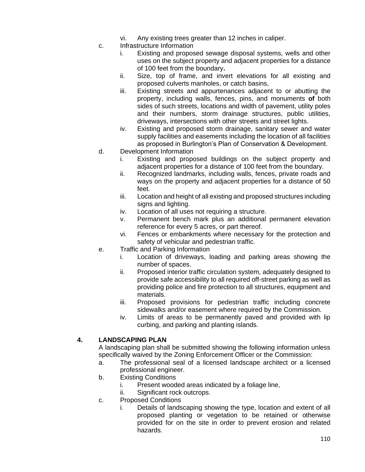- vi. Any existing trees greater than 12 inches in caliper.
- c. Infrastructure Information
	- i. Existing and proposed sewage disposal systems, wells and other uses on the subject property and adjacent properties for a distance of 100 feet from the boundary**.**
	- ii. Size, top of frame, and invert elevations for all existing and proposed culverts manholes, or catch basins,
	- iii. Existing streets and appurtenances adjacent to or abutting the property, including walls, fences, pins, and monuments **of** both sides of such streets, locations and width of pavement, utility poles and their numbers, storm drainage structures, public utilities, driveways, intersections with other streets and street lights.
	- iv. Existing and proposed storm drainage, sanitary sewer and water supply facilities and easements including the location of all facilities as proposed in Burlington's Plan of Conservation & Development.
- d. Development Information
	- i. Existing and proposed buildings on the subject property and adjacent properties for a distance of 100 feet from the boundary.
	- ii. Recognized landmarks, including walls, fences, private roads and ways on the property and adjacent properties for a distance of 50 feet.
	- iii. Location and height of all existing and proposed structures including signs and lighting.
	- iv. Location of all uses not requiring a structure.
	- v. Permanent bench mark plus an additional permanent elevation reference for every 5 acres, or part thereof.
	- vi. Fences or embankments where necessary for the protection and safety of vehicular and pedestrian traffic.
- e. Traffic and Parking Information
	- i. Location of driveways, loading and parking areas showing the number of spaces.
	- ii. Proposed interior traffic circulation system, adequately designed to provide safe accessibility to all required off-street parking as well as providing police and fire protection to all structures, equipment and materials.
	- iii. Proposed provisions for pedestrian traffic including concrete sidewalks and/or easement where required by the Commission.
	- iv. Limits of areas to be permanently paved and provided with lip curbing, and parking and planting islands.

### **4. LANDSCAPING PLAN**

A landscaping plan shall be submitted showing the following information unless specifically waived by the Zoning Enforcement Officer or the Commission:

- a. The professional seal of a licensed landscape architect or a licensed professional engineer.
- b. Existing Conditions
	- i. Present wooded areas indicated by a foliage line,
	- ii. Significant rock outcrops.
- c. Proposed Conditions
	- i. Details of landscaping showing the type, location and extent of all proposed planting or vegetation to be retained or otherwise provided for on the site in order to prevent erosion and related hazards.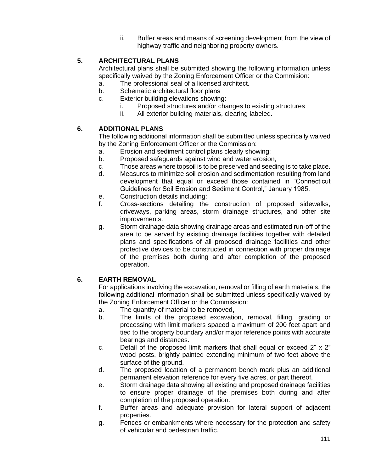ii. Buffer areas and means of screening development from the view of highway traffic and neighboring property owners.

## **5. ARCHITECTURAL PLANS**

Architectural plans shall be submitted showing the following information unless specifically waived by the Zoning Enforcement Officer or the Commision:

- a. The professional seal of a licensed architect.
- b. Schematic architectural floor plans
- c. Exterior building elevations showing:
	- i. Proposed structures and/or changes to existing structures
	- ii. All exterior building materials, clearing labeled.

### **6. ADDITIONAL PLANS**

The following additional information shall be submitted unless specifically waived by the Zoning Enforcement Officer or the Commission:

- a. Erosion and sediment control plans clearly showing:
- b. Proposed safeguards against wind and water erosion,
- c. Those areas where topsoil is to be preserved and seeding is to take place.
- d. Measures to minimize soil erosion and sedimentation resulting from land development that equal or exceed those contained in "Connecticut Guidelines for Soil Erosion and Sediment Control," January 1985.
- e. Construction details including:
- f. Cross-sections detailing the construction of proposed sidewalks, driveways, parking areas, storm drainage structures, and other site improvements.
- g. Storm drainage data showing drainage areas and estimated run-off of the area to be served by existing drainage facilities together with detailed plans and specifications of all proposed drainage facilities and other protective devices to be constructed in connection with proper drainage of the premises both during and after completion of the proposed operation.

## **6. EARTH REMOVAL**

For applications involving the excavation, removal or filling of earth materials, the following additional information shall be submitted unless specifically waived by the Zoning Enforcement Officer or the Commission:

- a. The quantity of material to be removed**,**
- b. The limits of the proposed excavation, removal, filling, grading or processing with limit markers spaced a maximum of 200 feet apart and tied to the property boundary and/or major reference points with accurate bearings and distances.
- c. Detail of the proposed limit markers that shall equal or exceed 2" x 2" wood posts, brightly painted extending minimum of two feet above the surface of the ground.
- d. The proposed location of a permanent bench mark plus an additional permanent elevation reference for every five acres, or part thereof.
- e. Storm drainage data showing all existing and proposed drainage facilities to ensure proper drainage of the premises both during and after completion of the proposed operation.
- f. Buffer areas and adequate provision for lateral support of adjacent properties.
- g. Fences or embankments where necessary for the protection and safety of vehicular and pedestrian traffic.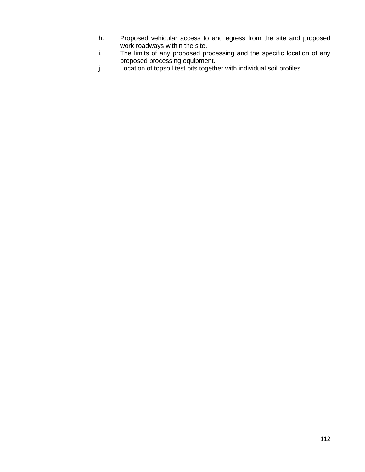- h. Proposed vehicular access to and egress from the site and proposed work roadways within the site.
- i. The limits of any proposed processing and the specific location of any proposed processing equipment.
- j. Location of topsoil test pits together with individual soil profiles.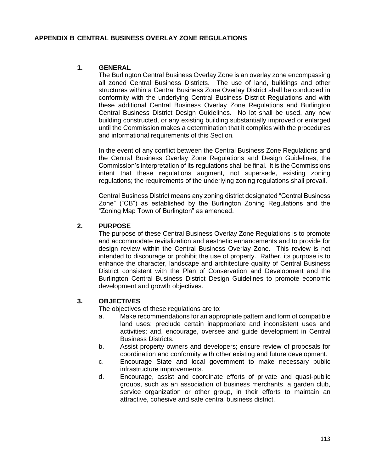### **APPENDIX B CENTRAL BUSINESS OVERLAY ZONE REGULATIONS**

### **1. GENERAL**

The Burlington Central Business Overlay Zone is an overlay zone encompassing all zoned Central Business Districts. The use of land, buildings and other structures within a Central Business Zone Overlay District shall be conducted in conformity with the underlying Central Business District Regulations and with these additional Central Business Overlay Zone Regulations and Burlington Central Business District Design Guidelines. No lot shall be used, any new building constructed, or any existing building substantially improved or enlarged until the Commission makes a determination that it complies with the procedures and informational requirements of this Section.

In the event of any conflict between the Central Business Zone Regulations and the Central Business Overlay Zone Regulations and Design Guidelines, the Commission's interpretation of its **r**egulations shall be final. It is the Commissions intent that these **r**egulations augment, not supersede, existing zoning regulations; the requirements of the underlying zoning regulations shall prevail.

Central Business District means any zoning district designated "Central Business Zone" ("CB") as established by the Burlington Zoning Regulations and the "Zoning Map Town of Burlington" as amended.

#### **2. PURPOSE**

The purpose of these Central Business Overlay Zone Regulations is to promote and accommodate revitalization and aesthetic enhancements and to provide for design review within the Central Business Overlay Zone. This review is not intended to discourage or prohibit the use of property. Rather, its purpose is to enhance the character, landscape and architecture quality of Central Business District consistent with the Plan of Conservation and Development and the Burlington Central Business District Design Guidelines to promote economic development and growth objectives.

### **3. OBJECTIVES**

The objectives of these **r**egulations are to:

- a. Make recommendations for an appropriate pattern and form of compatible land uses; preclude certain inappropriate and inconsistent uses and activities; and, encourage, oversee and guide development in Central Business Districts.
- b. Assist property owners and developers; ensure review of proposals for coordination and conformity with other existing and future development.
- c. Encourage State and local government to make necessary public infrastructure improvements.
- d. Encourage, assist and coordinate efforts of private and quasi-public groups, such as an association of business merchants, a garden club, service organization or other group, in their efforts to maintain an attractive, cohesive and safe central business district.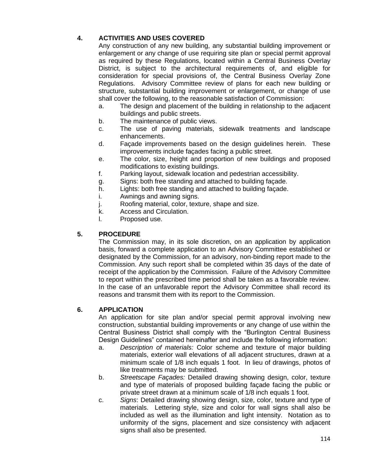# **4. ACTIVITIES AND USES COVERED**

Any construction of any new building, any substantial building improvement or enlargement or any change of use requiring site plan or special permit approval as required by these Regulations, located within a Central Business Overlay District, is subject to the architectural requirements of, and eligible for consideration for special provisions of, the Central Business Overlay Zone Regulations. Advisory Committee review of plans for each new building or structure, substantial building improvement or enlargement, or change of use shall cover the following, to the reasonable satisfaction of Commission:

- a. The design and placement of the building in relationship to the adjacent buildings and public streets.
- b. The maintenance of public views.
- c. The use of paving materials, sidewalk treatments and landscape enhancements.
- d. Façade improvements based on the design guidelines herein. These improvements include façades facing a public street.
- e. The color, size, height and proportion of new buildings and proposed modifications to existing buildings.
- f. Parking layout, sidewalk location and pedestrian accessibility.
- g. Signs: both free standing and attached to building façade.
- h. Lights: both free standing and attached to building façade.
- i. Awnings and awning signs.
- j. Roofing material, color, texture, shape and size.
- k. Access and Circulation.
- l. Proposed use.

# **5. PROCEDURE**

The Commission may, in its sole discretion, on an application by application basis, forward a complete application to an Advisory Committee established or designated by the Commission, for an advisory, non-binding report made to the Commission. Any such report shall be completed within 35 days of the date of receipt of the application by the Commission. Failure of the Advisory Committee to report within the prescribed time period shall be taken as a favorable review. In the case of an unfavorable report the Advisory Committee shall record its reasons and transmit them with its report to the Commission.

## **6. APPLICATION**

An application for site plan and/or special permit approval involving new construction, substantial building improvements or any change of use within the Central Business District shall comply with the "Burlington Central Business Design Guidelines" contained hereinafter and include the following information:

- a. *Description of materials:* Color scheme and texture of major building materials, exterior wall elevations of all adjacent structures, drawn at a minimum scale of 1/8 inch equals 1 foot. In lieu of drawings, photos of like treatments may be submitted.
- b. *Streetscape Façades:* Detailed drawing showing design, color, texture and type of materials of proposed building façade facing the public or private street drawn at a minimum scale of 1/8 inch equals 1 foot.
- c. *Signs*: Detailed drawing showing design, size, color, texture and type of materials. Lettering style, size and color for wall signs shall also be included as well as the illumination and light intensity. Notation as to uniformity of the signs, placement and size consistency with adjacent signs shall also be presented.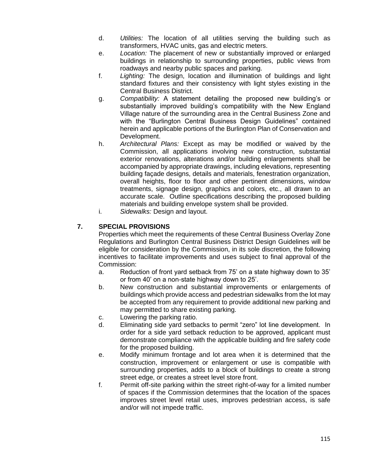- d. *Utilities:* The location of all utilities serving the building such as transformers, HVAC units, gas and electric meters.
- e. *Location:* The placement of new or substantially improved or enlarged buildings in relationship to surrounding properties, public views from roadways and nearby public spaces and parking.
- f. *Lighting:* The design, location and illumination of buildings and light standard fixtures and their consistency with light styles existing in the Central Business District.
- g. *Compatibility:* A statement detailing the proposed new building's or substantially improved building's compatibility with the New England Village nature of the surrounding area in the Central Business Zone and with the "Burlington Central Business Design Guidelines" contained herein and applicable portions of the Burlington Plan of Conservation and Development.
- h. *Architectural Plans:* Except as may be modified or waived by the Commission, all applications involving new construction, substantial exterior renovations, alterations and/or building enlargements shall be accompanied by appropriate drawings, including elevations, representing building façade designs, details and materials, fenestration organization, overall heights, floor to floor and other pertinent dimensions, window treatments, signage design, graphics and colors, etc., all drawn to an accurate scale. Outline specifications describing the proposed building materials and building envelope system shall be provided.
- i. *Sidewalks:* Design and layout.

## **7. SPECIAL PROVISIONS**

Properties which meet the requirements of these Central Business Overlay Zone Regulations and Burlington Central Business District Design Guidelines will be eligible for consideration by the Commission, in its sole discretion, the following incentives to facilitate improvements and uses subject to final approval of the Commission:

- a. Reduction of front yard setback from 75' on a state highway down to 35' or from 40' on a non-state highway down to 25'.
- b. New construction and substantial improvements or enlargements of buildings which provide access and pedestrian sidewalks from the lot may be accepted from any requirement to provide additional new parking and may permitted to share existing parking.
- c. Lowering the parking ratio.
- d. Eliminating side yard setbacks to permit "zero" lot line development. In order for a side yard setback reduction to be approved, applicant must demonstrate compliance with the applicable building and fire safety code for the proposed building.
- e. Modify minimum frontage and lot area when it is determined that the construction, improvement or enlargement or use is compatible with surrounding properties, adds to a block of buildings to create a strong street edge, or creates a street level store front.
- f. Permit off-site parking within the street right-of-way for a limited number of spaces if the Commission determines that the location of the spaces improves street level retail uses, improves pedestrian access, is safe and/or will not impede traffic.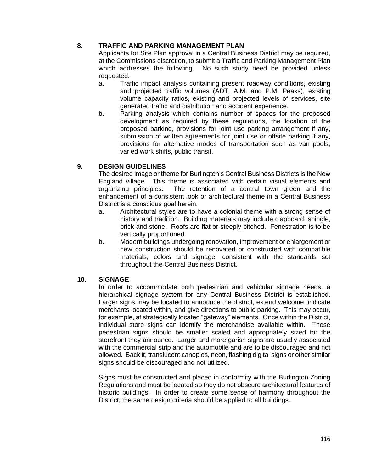## **8. TRAFFIC AND PARKING MANAGEMENT PLAN**

Applicants for Site Plan approval in a Central Business District may be required, at the Commissions discretion, to submit a Traffic and Parking Management Plan which addresses the following. No such study need be provided unless requested.

- a. Traffic impact analysis containing present roadway conditions, existing and projected traffic volumes (ADT, A.M. and P.M. Peaks), existing volume capacity ratios, existing and projected levels of services, site generated traffic and distribution and accident experience.
- b. Parking analysis which contains number of spaces for the proposed development as required by these regulations, the location of the proposed parking, provisions for joint use parking arrangement if any, submission of written agreements for joint use or offsite parking if any, provisions for alternative modes of transportation such as van pools, varied work shifts, public transit.

## **9. DESIGN GUIDELINES**

The desired image or theme for Burlington's Central Business Districts is the New England village. This theme is associated with certain visual elements and organizing principles. The retention of a central town green and the enhancement of a consistent look or architectural theme in a Central Business District is a conscious goal herein.

- a. Architectural styles are to have a colonial theme with a strong sense of history and tradition. Building materials may include clapboard, shingle, brick and stone. Roofs are flat or steeply pitched. Fenestration is to be vertically proportioned.
- b. Modern buildings undergoing renovation, improvement or enlargement or new construction should be renovated or constructed with compatible materials, colors and signage, consistent with the standards set throughout the Central Business District.

## **10. SIGNAGE**

In order to accommodate both pedestrian and vehicular signage needs, a hierarchical signage system for any Central Business District is established. Larger signs may be located to announce the district, extend welcome, indicate merchants located within, and give directions to public parking. This may occur, for example, at strategically located "gateway" elements. Once within the District, individual store signs can identify the merchandise available within. These pedestrian signs should be smaller scaled and appropriately sized for the storefront they announce. Larger and more garish signs are usually associated with the commercial strip and the automobile and are to be discouraged and not allowed. Backlit, translucent canopies, neon, flashing digital signs or other similar signs should be discouraged and not utilized.

Signs must be constructed and placed in conformity with the Burlington Zoning Regulations and must be located so they do not obscure architectural features of historic buildings. In order to create some sense of harmony throughout the District, the same design criteria should be applied to all buildings.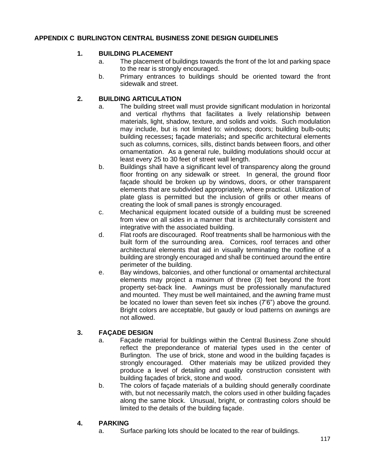## **APPENDIX C BURLINGTON CENTRAL BUSINESS ZONE DESIGN GUIDELINES**

### **1. BUILDING PLACEMENT**

- a. The placement of buildings towards the front of the lot and parking space to the rear is strongly encouraged.
- b. Primary entrances to buildings should be oriented toward the front sidewalk and street.

## **2. BUILDING ARTICULATION**

- a. The building street wall must provide significant modulation in horizontal and vertical rhythms that facilitates a lively relationship between materials, light, shadow, texture, and solids and voids. Such modulation may include, but is not limited to: windows**;** doors; building bulb-outs**;** building recesses**;** façade materials**;** and specific architectural elements such as columns, cornices, sills, distinct bands between floors, and other ornamentation. As a general rule, building modulations should occur at least every 25 to 30 feet of street wall length.
- b. Buildings shall have a significant level of transparency along the ground floor fronting on any sidewalk or street. In general, the ground floor façade should be broken up by windows, doors, or other transparent elements that are subdivided appropriately, where practical. Utilization of plate glass is permitted but the inclusion of grills or other means of creating the look of small panes is strongly encouraged.
- c. Mechanical equipment located outside of a building must be screened from view on all sides in a manner that is architecturally consistent and integrative with the associated building.
- d. Flat roofs are discouraged. Roof treatments shall be harmonious with the built form of the surrounding area. Cornices, roof terraces and other architectural elements that aid in visually terminating the roofline of a building are strongly encouraged and shall be continued around the entire perimeter of the building.
- e. Bay windows, balconies, and other functional or ornamental architectural elements may project a maximum of three (3) feet beyond the front property set-back line. Awnings must be professionally manufactured and mounted. They must be well maintained, and the awning frame must be located no lower than seven feet six inches (7'6") above the ground. Bright colors are acceptable, but gaudy or loud patterns on awnings are not allowed.

## **3. FAÇADE DESIGN**

- a. Façade material for buildings within the Central Business Zone should reflect the preponderance of material types used in the center of Burlington. The use of brick, stone and wood in the building façades is strongly encouraged. Other materials may be utilized provided they produce a level of detailing and quality construction consistent with building façades of brick, stone and wood.
- b. The colors of façade materials of a building should generally coordinate with, but not necessarily match, the colors used in other building façades along the same block. Unusual, bright, or contrasting colors should be limited to the details of the building façade.

### **4. PARKING**

a. Surface parking lots should be located to the rear of buildings.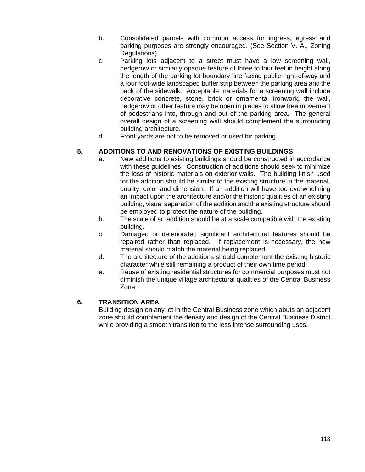- b. Consolidated parcels with common access for ingress, egress and parking purposes are strongly encouraged. (See Section V. A., Zoning Regulations)
- c. Parking lots adjacent to a street must have a low screening wall, hedgerow or similarly opaque feature of three to four feet in height along the length of the parking lot boundary line facing public right-of-way and a four foot-wide landscaped buffer strip between the parking area and the back of the sidewalk. Acceptable materials for a screening wall include decorative concrete, stone, brick or ornamental ironwork**,** the wall, hedgerow or other feature may be open in places to allow free movement of pedestrians into, through and out of the parking area. The general overall design of a screening wall should complement the surrounding building architecture.
- d. Front yards are not to be removed or used for parking.

## **5. ADDITIONS TO AND RENOVATIONS OF EXISTING BUILDINGS**

- a. New additions to existing buildings should be constructed in accordance with these guidelines. Construction of additions should seek to minimize the loss of historic materials on exterior walls. The building finish used for the addition should be similar to the existing structure in the material, quality, color and dimension. If an addition will have too overwhelming an impact upon the architecture and/or the historic qualities of an existing building, visual separation of the addition and the existing structure should be employed to protect the nature of the building.
- b. The scale of an addition should be at a scale compatible with the existing building.
- c. Damaged or deteriorated significant architectural features should be repaired rather than replaced. If replacement is necessary, the new material should match the material being replaced.
- d. The architecture of the additions should complement the existing historic character while still remaining a product of their own time period.
- e. Reuse of existing residential structures for commercial purposes must not diminish the unique village architectural qualities of the Central Business Zone.

## **6. TRANSITION AREA**

Building design on any lot in the Central Business zone which abuts an adjacent zone should complement the density and design of the Central Business District while providing a smooth transition to the less intense surrounding uses.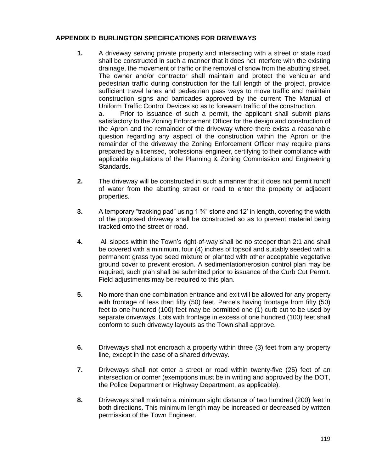### **APPENDIX D BURLINGTON SPECIFICATIONS FOR DRIVEWAYS**

**1.** A driveway serving private property and intersecting with a street or state road shall be constructed in such a manner that it does not interfere with the existing drainage, the movement of traffic or the removal of snow from the abutting street. The owner and/or contractor shall maintain and protect the vehicular and pedestrian traffic during construction for the full length of the project, provide sufficient travel lanes and pedestrian pass ways to move traffic and maintain construction signs and barricades approved by the current The Manual of Uniform Traffic Control Devices so as to forewarn traffic of the construction.

a. Prior to issuance of such a permit, the applicant shall submit plans satisfactory to the Zoning Enforcement Officer for the design and construction of the Apron and the remainder of the driveway where there exists a reasonable question regarding any aspect of the construction within the Apron or the remainder of the driveway the Zoning Enforcement Officer may require plans prepared by a licensed, professional engineer, certifying to their compliance with applicable regulations of the Planning & Zoning Commission and Engineering Standards.

- **2.** The driveway will be constructed in such a manner that it does not permit runoff of water from the abutting street or road to enter the property or adjacent properties.
- **3.** A temporary "tracking pad" using 1 ¾" stone and 12' in length, covering the width of the proposed driveway shall be constructed so as to prevent material being tracked onto the street or road.
- **4.** All slopes within the Town's right-of-way shall be no steeper than 2:1 and shall be covered with a minimum, four (4) inches of topsoil and suitably seeded with a permanent grass type seed mixture or planted with other acceptable vegetative ground cover to prevent erosion. A sedimentation/erosion control plan may be required; such plan shall be submitted prior to issuance of the Curb Cut Permit. Field adjustments may be required to this plan.
- **5.** No more than one combination entrance and exit will be allowed for any property with frontage of less than fifty (50) feet. Parcels having frontage from fifty (50) feet to one hundred (100) feet may be permitted one (1) curb cut to be used by separate driveways. Lots with frontage in excess of one hundred (100) feet shall conform to such driveway layouts as the Town shall approve.
- **6.** Driveways shall not encroach a property within three (3) feet from any property line, except in the case of a shared driveway.
- **7.** Driveways shall not enter a street or road within twenty-five (25) feet of an intersection or corner (exemptions must be in writing and approved by the DOT, the Police Department or Highway Department, as applicable).
- **8.** Driveways shall maintain a minimum sight distance of two hundred (200) feet in both directions. This minimum length may be increased or decreased by written permission of the Town Engineer.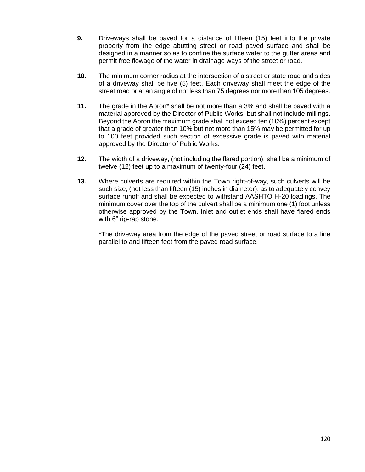- **9.** Driveways shall be paved for a distance of fifteen (15) feet into the private property from the edge abutting street or road paved surface and shall be designed in a manner so as to confine the surface water to the gutter areas and permit free flowage of the water in drainage ways of the street or road.
- **10.** The minimum corner radius at the intersection of a street or state road and sides of a driveway shall be five (5) feet. Each driveway shall meet the edge of the street road or at an angle of not less than 75 degrees nor more than 105 degrees.
- **11.** The grade in the Apron\* shall be not more than a 3% and shall be paved with a material approved by the Director of Public Works, but shall not include millings. Beyond the Apron the maximum grade shall not exceed ten (10%) percent except that a grade of greater than 10% but not more than 15% may be permitted for up to 100 feet provided such section of excessive grade is paved with material approved by the Director of Public Works.
- **12.** The width of a driveway, (not including the flared portion), shall be a minimum of twelve (12) feet up to a maximum of twenty-four (24) feet.
- **13.** Where culverts are required within the Town right-of-way, such culverts will be such size, (not less than fifteen (15) inches in diameter), as to adequately convey surface runoff and shall be expected to withstand AASHTO H-20 loadings. The minimum cover over the top of the culvert shall be a minimum one (1) foot unless otherwise approved by the Town. Inlet and outlet ends shall have flared ends with 6" rip-rap stone.

\*The driveway area from the edge of the paved street or road surface to a line parallel to and fifteen feet from the paved road surface.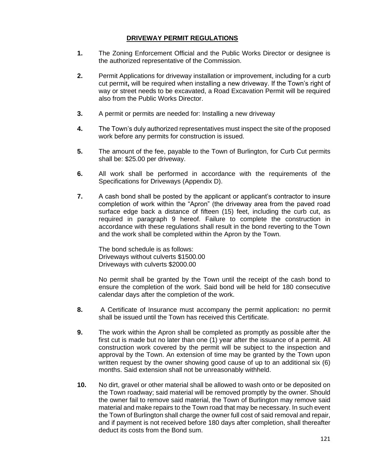#### **DRIVEWAY PERMIT REGULATIONS**

- **1.** The Zoning Enforcement Official and the Public Works Director or designee is the authorized representative of the Commission.
- **2.** Permit Applications for driveway installation or improvement, including for a curb cut permit**,** will be required when installing a new driveway. If the Town's right of way or street needs to be excavated, a Road Excavation Permit will be required also from the Public Works Director.
- **3.** A permit or permits are needed for: Installing a new driveway
- **4.** The Town's duly authorized representatives must inspect the site of the proposed work before any permits for construction is issued.
- **5.** The amount of the fee, payable to the Town of Burlington, for Curb Cut permits shall be: \$25.00 per driveway.
- **6.** All work shall be performed in accordance with the requirements of the Specifications for Driveways (Appendix D).
- **7.** A cash bond shall be posted by the applicant or applicant's contractor to insure completion of work within the "Apron" (the driveway area from the paved road surface edge back a distance of fifteen (15) feet, including the curb cut, as required in paragraph 9 hereof. Failure to complete the construction in accordance with these regulations shall result in the bond reverting to the Town and the work shall be completed within the Apron by the Town.

The bond schedule is as follows: Driveways without culverts \$1500.00 Driveways with culverts \$2000.00

No permit shall be granted by the Town until the receipt of the cash bond to ensure the completion of the work. Said bond will be held for 180 consecutive calendar days after the completion of the work.

- **8.** A Certificate of Insurance must accompany the permit application**:** no permit shall be issued until the Town has received this Certificate.
- **9.** The work within the Apron shall be completed as promptly as possible after the first cut is made but no later than one (1) year after the issuance of a permit. All construction work covered by the permit will be subject to the inspection and approval by the Town. An extension of time may be granted by the Town upon written request by the owner showing good cause of up to an additional six (6) months. Said extension shall not be unreasonably withheld.
- **10.** No dirt, gravel or other material shall be allowed to wash onto or be deposited on the Town roadway; said material will be removed promptly by the owner. Should the owner fail to remove said material, the Town of Burlington may remove said material and make repairs to the Town road that may be necessary. In such event the Town of Burlington shall charge the owner full cost of said removal and repair, and if payment is not received before 180 days after completion, shall thereafter deduct its costs from the Bond sum.